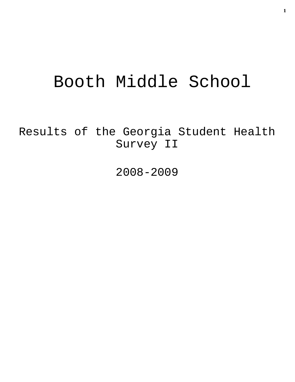# Booth Middle School

Results of the Georgia Student Health Survey II

2008-2009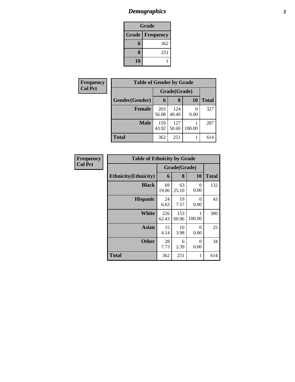# *Demographics* **2**

| Grade |                          |  |  |  |
|-------|--------------------------|--|--|--|
|       | <b>Grade   Frequency</b> |  |  |  |
| 6     | 362                      |  |  |  |
| 8     | 251                      |  |  |  |
| 10    |                          |  |  |  |

| Frequency      | <b>Table of Gender by Grade</b> |              |              |           |              |
|----------------|---------------------------------|--------------|--------------|-----------|--------------|
| <b>Col Pct</b> |                                 | Grade(Grade) |              |           |              |
|                | Gender(Gender)                  | 6            | 8            | <b>10</b> | <b>Total</b> |
|                | <b>Female</b>                   | 203<br>56.08 | 124<br>49.40 | 0<br>0.00 | 327          |
|                | <b>Male</b>                     | 159<br>43.92 | 127<br>50.60 | 100.00    | 287          |
|                | <b>Total</b>                    | 362          | 251          |           | 614          |

| Frequency      | <b>Table of Ethnicity by Grade</b> |              |              |                  |              |
|----------------|------------------------------------|--------------|--------------|------------------|--------------|
| <b>Col Pct</b> |                                    |              | Grade(Grade) |                  |              |
|                | <b>Ethnicity</b> (Ethnicity)       | 6            | 8            | 10               | <b>Total</b> |
|                | <b>Black</b>                       | 69<br>19.06  | 63<br>25.10  | 0<br>0.00        | 132          |
|                | <b>Hispanic</b>                    | 24<br>6.63   | 19<br>7.57   | $\Omega$<br>0.00 | 43           |
|                | <b>White</b>                       | 226<br>62.43 | 153<br>60.96 | 100.00           | 380          |
|                | Asian                              | 15<br>4.14   | 10<br>3.98   | $\Omega$<br>0.00 | 25           |
|                | <b>Other</b>                       | 28<br>7.73   | 6<br>2.39    | $\Omega$<br>0.00 | 34           |
|                | <b>Total</b>                       | 362          | 251          | 1                | 614          |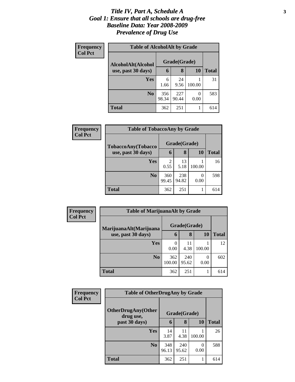#### *Title IV, Part A, Schedule A* **3** *Goal 1: Ensure that all schools are drug-free Baseline Data: Year 2008-2009 Prevalence of Drug Use*

| Frequency      | <b>Table of AlcoholAlt by Grade</b> |              |              |           |       |  |  |
|----------------|-------------------------------------|--------------|--------------|-----------|-------|--|--|
| <b>Col Pct</b> | AlcoholAlt(Alcohol                  |              | Grade(Grade) |           |       |  |  |
|                | use, past 30 days)                  | 6            | 8            | <b>10</b> | Total |  |  |
|                | <b>Yes</b>                          | 6<br>1.66    | 24<br>9.56   | 100.00    | 31    |  |  |
|                | N <sub>0</sub>                      | 356<br>98.34 | 227<br>90.44 | 0<br>0.00 | 583   |  |  |
|                | <b>Total</b>                        | 362          | 251          |           | 614   |  |  |

| Frequency<br><b>Col Pct</b> | <b>Table of TobaccoAny by Grade</b> |                        |              |           |              |
|-----------------------------|-------------------------------------|------------------------|--------------|-----------|--------------|
|                             | TobaccoAny(Tobacco                  | Grade(Grade)           |              |           |              |
|                             | use, past 30 days)                  | 6                      | 8            | 10        | <b>Total</b> |
|                             | Yes                                 | $\overline{c}$<br>0.55 | 13<br>5.18   | 100.00    | 16           |
|                             | N <sub>0</sub>                      | 360<br>99.45           | 238<br>94.82 | 0<br>0.00 | 598          |
|                             | <b>Total</b>                        | 362                    | 251          |           | 614          |

| Frequency      | <b>Table of MarijuanaAlt by Grade</b> |               |              |        |              |
|----------------|---------------------------------------|---------------|--------------|--------|--------------|
| <b>Col Pct</b> | MarijuanaAlt(Marijuana                | Grade(Grade)  |              |        |              |
|                | use, past 30 days)                    | 6             | 8            | 10     | <b>Total</b> |
|                | <b>Yes</b>                            | 0<br>0.00     | 11<br>4.38   | 100.00 | 12           |
|                | N <sub>0</sub>                        | 362<br>100.00 | 240<br>95.62 | 0.00   | 602          |
|                | <b>Total</b>                          | 362           | 251          |        | 614          |

| Frequency      | <b>Table of OtherDrugAny by Grade</b>  |              |              |           |              |
|----------------|----------------------------------------|--------------|--------------|-----------|--------------|
| <b>Col Pct</b> | <b>OtherDrugAny(Other</b><br>drug use, |              | Grade(Grade) |           |              |
|                | past 30 days)                          | 6            | 8            | 10        | <b>Total</b> |
|                | Yes                                    | 14<br>3.87   | 11<br>4.38   | 100.00    | 26           |
|                | N <sub>0</sub>                         | 348<br>96.13 | 240<br>95.62 | 0<br>0.00 | 588          |
|                | <b>Total</b>                           | 362          | 251          | 1         | 614          |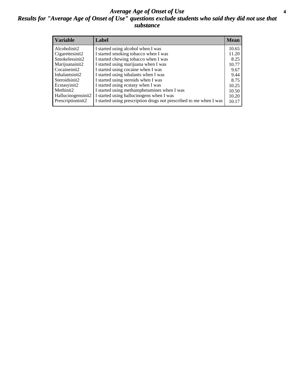#### *Average Age of Onset of Use* **4** *Results for "Average Age of Onset of Use" questions exclude students who said they did not use that substance*

| <b>Variable</b>    | Label                                                              | Mean  |
|--------------------|--------------------------------------------------------------------|-------|
| Alcoholinit2       | I started using alcohol when I was                                 | 10.65 |
| Cigarettesinit2    | I started smoking tobacco when I was                               | 11.20 |
| Smokelessinit2     | I started chewing tobacco when I was                               | 8.25  |
| Marijuanainit2     | I started using marijuana when I was                               | 10.77 |
| Cocaineinit2       | I started using cocaine when I was                                 | 9.67  |
| Inhalantsinit2     | I started using inhalants when I was                               | 9.44  |
| Steroidsinit2      | I started using steroids when I was                                | 8.75  |
| Ecstasyinit2       | I started using ecstasy when I was                                 | 10.25 |
| Methinit2          | I started using methamphetamines when I was                        | 10.50 |
| Hallucinogensinit2 | I started using hallucinogens when I was                           | 10.20 |
| Prescriptioninit2  | I started using prescription drugs not prescribed to me when I was | 10.17 |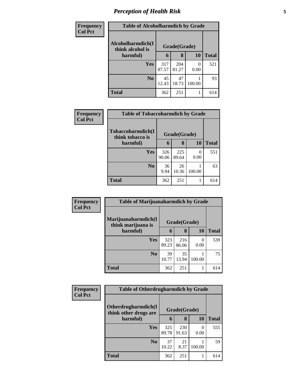# *Perception of Health Risk* **5**

| Frequency      | <b>Table of Alcoholharmdich by Grade</b> |              |              |           |              |
|----------------|------------------------------------------|--------------|--------------|-----------|--------------|
| <b>Col Pct</b> | Alcoholharmdich(I<br>think alcohol is    | Grade(Grade) |              |           |              |
|                | harmful)                                 | 6            | 8            | 10        | <b>Total</b> |
|                | Yes                                      | 317<br>87.57 | 204<br>81.27 | 0<br>0.00 | 521          |
|                | N <sub>0</sub>                           | 45<br>12.43  | 47<br>18.73  | 100.00    | 93           |
|                | <b>Total</b>                             | 362          | 251          |           | 614          |

| <b>Frequency</b> | <b>Table of Tobaccoharmdich by Grade</b> |              |              |           |              |
|------------------|------------------------------------------|--------------|--------------|-----------|--------------|
| <b>Col Pct</b>   | Tobaccoharmdich(I<br>think tobacco is    |              | Grade(Grade) |           |              |
|                  | harmful)                                 | 6            | 8            | 10        | <b>Total</b> |
|                  | Yes                                      | 326<br>90.06 | 225<br>89.64 | 0<br>0.00 | 551          |
|                  | N <sub>0</sub>                           | 36<br>9.94   | 26<br>10.36  | 100.00    | 63           |
|                  | <b>Total</b>                             | 362          | 251          |           | 614          |

| Frequency      | <b>Table of Marijuanaharmdich by Grade</b> |              |              |           |              |
|----------------|--------------------------------------------|--------------|--------------|-----------|--------------|
| <b>Col Pct</b> | Marijuanaharmdich(I<br>think marijuana is  |              | Grade(Grade) |           |              |
|                | harmful)                                   | 6            | 8            | 10        | <b>Total</b> |
|                | <b>Yes</b>                                 | 323<br>89.23 | 216<br>86.06 | 0<br>0.00 | 539          |
|                | N <sub>0</sub>                             | 39<br>10.77  | 35<br>13.94  | 100.00    | 75           |
|                | <b>Total</b>                               | 362          | 251          |           | 614          |

| Frequency      | <b>Table of Otherdrugharmdich by Grade</b>   |              |              |           |              |
|----------------|----------------------------------------------|--------------|--------------|-----------|--------------|
| <b>Col Pct</b> | Otherdrugharmdich(I<br>think other drugs are | Grade(Grade) |              |           |              |
|                | harmful)                                     | 6            | 8            | <b>10</b> | <b>Total</b> |
|                | Yes                                          | 325<br>89.78 | 230<br>91.63 | 0<br>0.00 | 555          |
|                | N <sub>0</sub>                               | 37<br>10.22  | 21<br>8.37   | 100.00    | 59           |
|                | <b>Total</b>                                 | 362          | 251          |           | 614          |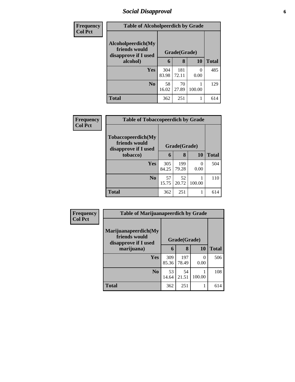### *Social Disapproval* **6**

| Frequency      | <b>Table of Alcoholpeerdich by Grade</b>                    |              |              |           |              |  |
|----------------|-------------------------------------------------------------|--------------|--------------|-----------|--------------|--|
| <b>Col Pct</b> | Alcoholpeerdich(My<br>friends would<br>disapprove if I used | Grade(Grade) |              |           |              |  |
|                | alcohol)                                                    | 6            | 8            | 10        | <b>Total</b> |  |
|                | Yes                                                         | 304<br>83.98 | 181<br>72.11 | 0<br>0.00 | 485          |  |
|                | N <sub>0</sub>                                              | 58<br>16.02  | 70<br>27.89  | 100.00    | 129          |  |
|                | <b>Total</b>                                                | 362          | 251          |           | 614          |  |

| <b>Frequency</b> | <b>Table of Tobaccopeerdich by Grade</b>                    |              |              |                  |              |  |
|------------------|-------------------------------------------------------------|--------------|--------------|------------------|--------------|--|
| <b>Col Pct</b>   | Tobaccopeerdich(My<br>friends would<br>disapprove if I used |              | Grade(Grade) |                  |              |  |
|                  | tobacco)                                                    | 6            | 8            | 10               | <b>Total</b> |  |
|                  | <b>Yes</b>                                                  | 305<br>84.25 | 199<br>79.28 | $\theta$<br>0.00 | 504          |  |
|                  | No                                                          | 57<br>15.75  | 52<br>20.72  | 100.00           | 110          |  |
|                  | <b>Total</b>                                                | 362          | 251          |                  | 614          |  |

| Frequency      | <b>Table of Marijuanapeerdich by Grade</b>                    |              |              |           |              |  |
|----------------|---------------------------------------------------------------|--------------|--------------|-----------|--------------|--|
| <b>Col Pct</b> | Marijuanapeerdich(My<br>friends would<br>disapprove if I used | Grade(Grade) |              |           |              |  |
|                | marijuana)                                                    | 6            | 8            | <b>10</b> | <b>Total</b> |  |
|                | <b>Yes</b>                                                    | 309<br>85.36 | 197<br>78.49 | 0<br>0.00 | 506          |  |
|                | N <sub>0</sub>                                                | 53<br>14.64  | 54<br>21.51  | 100.00    | 108          |  |
|                | <b>Total</b>                                                  | 362          | 251          |           | 614          |  |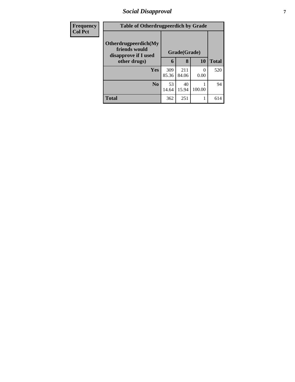### *Social Disapproval* **7**

| <b>Frequency</b> | <b>Table of Otherdrugpeerdich by Grade</b>                    |              |              |                  |              |
|------------------|---------------------------------------------------------------|--------------|--------------|------------------|--------------|
| <b>Col Pct</b>   | Otherdrugpeerdich(My<br>friends would<br>disapprove if I used | Grade(Grade) |              |                  |              |
|                  | other drugs)                                                  | 6            | 8            | 10               | <b>Total</b> |
|                  | <b>Yes</b>                                                    | 309<br>85.36 | 211<br>84.06 | $\theta$<br>0.00 | 520          |
|                  |                                                               |              |              |                  |              |
|                  | N <sub>0</sub>                                                | 53           | 40           |                  | 94           |
|                  |                                                               | 14.64        | 15.94        | 100.00           |              |
|                  | <b>Total</b>                                                  | 362          | 251          |                  | 614          |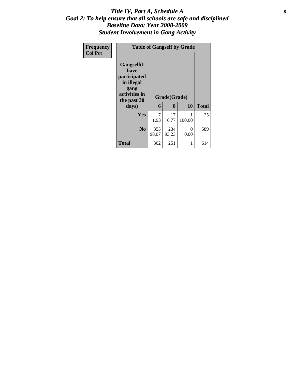#### Title IV, Part A, Schedule A **8** *Goal 2: To help ensure that all schools are safe and disciplined Baseline Data: Year 2008-2009 Student Involvement in Gang Activity*

| Frequency<br><b>Col Pct</b> | <b>Table of Gangself by Grade</b>                                                                 |              |                   |           |              |
|-----------------------------|---------------------------------------------------------------------------------------------------|--------------|-------------------|-----------|--------------|
|                             | Gangself(I<br>have<br>participated<br>in illegal<br>gang<br>activities in<br>the past 30<br>days) | 6            | Grade(Grade)<br>8 | 10        | <b>Total</b> |
|                             | Yes                                                                                               | 7<br>1.93    | 17<br>6.77        | 100.00    | 25           |
|                             | N <sub>0</sub>                                                                                    | 355<br>98.07 | 234<br>93.23      | 0<br>0.00 | 589          |
|                             | <b>Total</b>                                                                                      | 362          | 251               | 1         | 614          |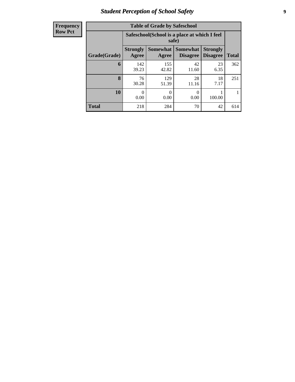### *Student Perception of School Safety* **9**

| <b>Frequency</b> |
|------------------|
| <b>Row Pct</b>   |

| <b>Table of Grade by Safeschool</b> |                          |                                                        |                                    |                                    |              |  |  |  |  |
|-------------------------------------|--------------------------|--------------------------------------------------------|------------------------------------|------------------------------------|--------------|--|--|--|--|
|                                     |                          | Safeschool (School is a place at which I feel<br>safe) |                                    |                                    |              |  |  |  |  |
| Grade(Grade)                        | <b>Strongly</b><br>Agree | Somewhat<br>Agree                                      | <b>Somewhat</b><br><b>Disagree</b> | <b>Strongly</b><br><b>Disagree</b> | <b>Total</b> |  |  |  |  |
| 6                                   | 142<br>39.23             | 155<br>42.82                                           | 42<br>11.60                        | 23<br>6.35                         | 362          |  |  |  |  |
| 8                                   | 76<br>30.28              | 129<br>51.39                                           | 28<br>11.16                        | 18<br>7.17                         | 251          |  |  |  |  |
| 10                                  | 0<br>0.00                | 0<br>0.00                                              | 0<br>0.00                          | 100.00                             |              |  |  |  |  |
| <b>Total</b>                        | 218                      | 284                                                    | 70                                 | 42                                 | 614          |  |  |  |  |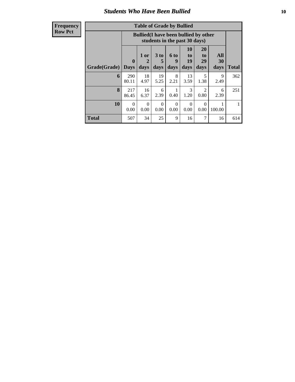#### *Students Who Have Been Bullied* **10**

| <b>Table of Grade by Bullied</b> |                    |                                                                               |                   |                   |                        |                                     |                   |       |
|----------------------------------|--------------------|-------------------------------------------------------------------------------|-------------------|-------------------|------------------------|-------------------------------------|-------------------|-------|
|                                  |                    | <b>Bullied</b> (I have been bullied by other<br>students in the past 30 days) |                   |                   |                        |                                     |                   |       |
| <b>Grade(Grade)</b>              | $\bf{0}$<br>  Davs | 1 or<br>2<br>days                                                             | 3 to<br>5<br>days | 6 to<br>9<br>days | 10<br>to<br>19<br>days | <b>20</b><br>to<br>29<br>days       | All<br>30<br>days | Total |
| 6                                | 290<br>80.11       | 18<br>4.97                                                                    | 19<br>5.25        | 8<br>2.21         | 13<br>3.59             | 5<br>1.38                           | 9<br>2.49         | 362   |
| 8                                | 217<br>86.45       | 16<br>6.37                                                                    | 6<br>2.39         | 0.40              | 3<br>1.20              | $\mathcal{D}_{\mathcal{L}}$<br>0.80 | 6<br>2.39         | 251   |
| 10                               | $\Omega$<br>0.00   | $\Omega$<br>0.00                                                              | $\Omega$<br>0.00  | 0<br>0.00         | $\Omega$<br>0.00       | ∩<br>0.00                           | 100.00            |       |
| <b>Total</b>                     | 507                | 34                                                                            | 25                | 9                 | 16                     |                                     | 16                | 614   |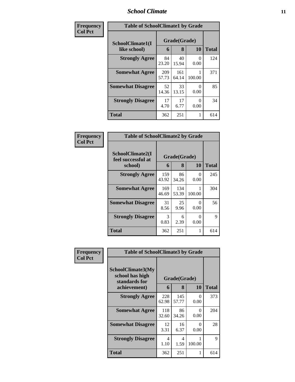#### *School Climate* **11**

| Frequency      | <b>Table of SchoolClimate1 by Grade</b> |              |              |                  |       |  |  |
|----------------|-----------------------------------------|--------------|--------------|------------------|-------|--|--|
| <b>Col Pct</b> | SchoolClimate1(I                        |              | Grade(Grade) |                  |       |  |  |
|                | like school)                            | 6            | 8            | <b>10</b>        | Total |  |  |
|                | <b>Strongly Agree</b>                   | 84<br>23.20  | 40<br>15.94  | 0<br>0.00        | 124   |  |  |
|                | <b>Somewhat Agree</b>                   | 209<br>57.73 | 161<br>64.14 | 100.00           | 371   |  |  |
|                | <b>Somewhat Disagree</b>                | 52<br>14.36  | 33<br>13.15  | 0<br>0.00        | 85    |  |  |
|                | <b>Strongly Disagree</b>                | 17<br>4.70   | 17<br>6.77   | $\Omega$<br>0.00 | 34    |  |  |
|                | <b>Total</b>                            | 362          | 251          |                  | 614   |  |  |

| Frequency      | <b>Table of SchoolClimate2 by Grade</b>           |              |                   |                           |              |
|----------------|---------------------------------------------------|--------------|-------------------|---------------------------|--------------|
| <b>Col Pct</b> | SchoolClimate2(I<br>feel successful at<br>school) | 6            | Grade(Grade)<br>8 | <b>10</b>                 | <b>Total</b> |
|                | <b>Strongly Agree</b>                             | 159<br>43.92 | 86<br>34.26       | 0<br>0.00                 | 245          |
|                | <b>Somewhat Agree</b>                             | 169<br>46.69 | 134<br>53.39      | 100.00                    | 304          |
|                | <b>Somewhat Disagree</b>                          | 31<br>8.56   | 25<br>9.96        | $\mathbf{\Omega}$<br>0.00 | 56           |
|                | <b>Strongly Disagree</b>                          | 3<br>0.83    | 6<br>2.39         | $\mathbf{\Omega}$<br>0.00 | 9            |
|                | <b>Total</b>                                      | 362          | 251               | 1                         | 614          |

| Frequency<br>Col Pct | <b>Table of SchoolClimate3 by Grade</b>                               |                        |                   |                  |              |  |
|----------------------|-----------------------------------------------------------------------|------------------------|-------------------|------------------|--------------|--|
|                      | SchoolClimate3(My<br>school has high<br>standards for<br>achievement) | 6                      | Grade(Grade)<br>8 | 10               | <b>Total</b> |  |
|                      | <b>Strongly Agree</b>                                                 | 228                    | 145               | 0                | 373          |  |
|                      |                                                                       | 62.98                  | 57.77             | 0.00             |              |  |
|                      | <b>Somewhat Agree</b>                                                 | 118<br>32.60           | 86<br>34.26       | 0<br>0.00        | 204          |  |
|                      | <b>Somewhat Disagree</b>                                              | 12<br>3.31             | 16<br>6.37        | $\Omega$<br>0.00 | 28           |  |
|                      | <b>Strongly Disagree</b>                                              | $\overline{4}$<br>1.10 | 4<br>1.59         | 1<br>100.00      | 9            |  |
|                      | <b>Total</b>                                                          | 362                    | 251               | 1                | 614          |  |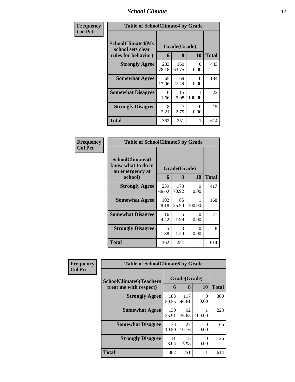### *School Climate* **12**

| Frequency      | <b>Table of SchoolClimate4 by Grade</b>                       |              |                   |           |              |
|----------------|---------------------------------------------------------------|--------------|-------------------|-----------|--------------|
| <b>Col Pct</b> | SchoolClimate4(My<br>school sets clear<br>rules for behavior) | 6            | Grade(Grade)<br>8 | <b>10</b> | <b>Total</b> |
|                | <b>Strongly Agree</b>                                         | 283<br>78.18 | 160<br>63.75      | 0<br>0.00 | 443          |
|                | <b>Somewhat Agree</b>                                         | 65<br>17.96  | 69<br>27.49       | 0<br>0.00 | 134          |
|                | <b>Somewhat Disagree</b>                                      | 6<br>1.66    | 15<br>5.98        | 100.00    | 22           |
|                | <b>Strongly Disagree</b>                                      | 8<br>2.21    | 2.79              | 0<br>0.00 | 15           |
|                | Total                                                         | 362          | 251               | 1         | 614          |

| <b>Frequency<br/>Col Pct</b> |
|------------------------------|
|                              |

| <b>Table of SchoolClimate5 by Grade</b>                   |              |              |           |       |  |  |  |
|-----------------------------------------------------------|--------------|--------------|-----------|-------|--|--|--|
| SchoolClimate5(I<br>know what to do in<br>an emergency at | Grade(Grade) |              |           |       |  |  |  |
| school)                                                   | 6            | 8            | 10        | Total |  |  |  |
| <b>Strongly Agree</b>                                     | 239<br>66.02 | 178<br>70.92 | 0<br>0.00 | 417   |  |  |  |
| <b>Somewhat Agree</b>                                     | 102<br>28.18 | 65<br>25.90  | 100.00    | 168   |  |  |  |
| <b>Somewhat Disagree</b>                                  | 16<br>4.42   | 5<br>1.99    | 0<br>0.00 | 21    |  |  |  |
| <b>Strongly Disagree</b>                                  | 5<br>1.38    | 3<br>1.20    | 0<br>0.00 | 8     |  |  |  |
| Total                                                     | 362          | 251          | 1         | 614   |  |  |  |

| Frequency      | <b>Table of SchoolClimate6 by Grade</b> |              |              |           |              |  |
|----------------|-----------------------------------------|--------------|--------------|-----------|--------------|--|
| <b>Col Pct</b> | <b>SchoolClimate6(Teachers</b>          | Grade(Grade) |              |           |              |  |
|                | treat me with respect)                  | 6            | 8            | 10        | <b>Total</b> |  |
|                | <b>Strongly Agree</b>                   | 183<br>50.55 | 117<br>46.61 | 0<br>0.00 | 300          |  |
|                | <b>Somewhat Agree</b>                   | 130<br>35.91 | 92<br>36.65  | 100.00    | 223          |  |
|                | <b>Somewhat Disagree</b>                | 38<br>10.50  | 27<br>10.76  | ∩<br>0.00 | 65           |  |
|                | <b>Strongly Disagree</b>                | 11<br>3.04   | 15<br>5.98   | ∩<br>0.00 | 26           |  |
|                | <b>Total</b>                            | 362          | 251          |           | 614          |  |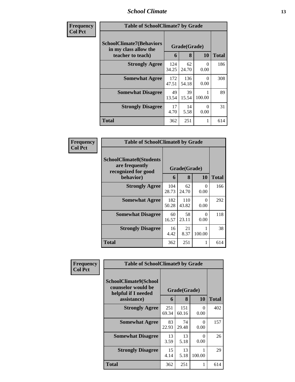#### *School Climate* **13**

| Frequency<br><b>Col Pct</b> | <b>Table of SchoolClimate7 by Grade</b>                                       |              |                   |                  |              |
|-----------------------------|-------------------------------------------------------------------------------|--------------|-------------------|------------------|--------------|
|                             | <b>SchoolClimate7(Behaviors</b><br>in my class allow the<br>teacher to teach) | 6            | Grade(Grade)<br>8 | <b>10</b>        | <b>Total</b> |
|                             | <b>Strongly Agree</b>                                                         | 124<br>34.25 | 62<br>24.70       | 0<br>0.00        | 186          |
|                             | <b>Somewhat Agree</b>                                                         | 172<br>47.51 | 136<br>54.18      | $\Omega$<br>0.00 | 308          |
|                             | <b>Somewhat Disagree</b>                                                      | 49<br>13.54  | 39<br>15.54       | 100.00           | 89           |
|                             | <b>Strongly Disagree</b>                                                      | 17<br>4.70   | 14<br>5.58        | 0<br>0.00        | 31           |
|                             | <b>Total</b>                                                                  | 362          | 251               |                  | 614          |

| <b>Frequency</b> | <b>Table of SchoolClimate8 by Grade</b>                                 |              |              |           |              |  |
|------------------|-------------------------------------------------------------------------|--------------|--------------|-----------|--------------|--|
| <b>Col Pct</b>   | <b>SchoolClimate8(Students</b><br>are frequently<br>recognized for good |              | Grade(Grade) |           |              |  |
|                  | behavior)                                                               | 6            | 8            | <b>10</b> | <b>Total</b> |  |
|                  | <b>Strongly Agree</b>                                                   | 104<br>28.73 | 62<br>24.70  | 0<br>0.00 | 166          |  |
|                  | <b>Somewhat Agree</b>                                                   | 182<br>50.28 | 110<br>43.82 | 0<br>0.00 | 292          |  |
|                  | <b>Somewhat Disagree</b>                                                | 60<br>16.57  | 58<br>23.11  | 0<br>0.00 | 118          |  |
|                  | <b>Strongly Disagree</b>                                                | 16<br>4.42   | 21<br>8.37   | 100.00    | 38           |  |
|                  | Total                                                                   | 362          | 251          |           | 614          |  |

| Frequency      | <b>Table of SchoolClimate9 by Grade</b>                                           |              |                   |                  |              |
|----------------|-----------------------------------------------------------------------------------|--------------|-------------------|------------------|--------------|
| <b>Col Pct</b> | SchoolClimate9(School<br>counselor would be<br>helpful if I needed<br>assistance) | 6            | Grade(Grade)<br>8 | <b>10</b>        | <b>Total</b> |
|                | <b>Strongly Agree</b>                                                             | 251<br>69.34 | 151<br>60.16      | 0<br>0.00        | 402          |
|                | <b>Somewhat Agree</b>                                                             | 83<br>22.93  | 74<br>29.48       | $\Omega$<br>0.00 | 157          |
|                | <b>Somewhat Disagree</b>                                                          | 13<br>3.59   | 13<br>5.18        | 0<br>0.00        | 26           |
|                | <b>Strongly Disagree</b>                                                          | 15<br>4.14   | 13<br>5.18        | 100.00           | 29           |
|                | Total                                                                             | 362          | 251               |                  | 614          |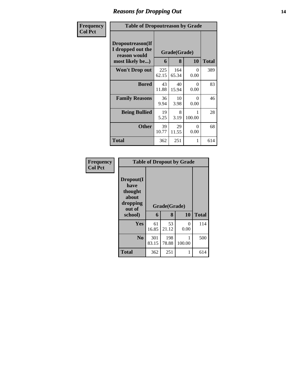#### *Reasons for Dropping Out* **14**

| Frequency      | <b>Table of Dropoutreason by Grade</b>                                   |              |                   |                  |              |
|----------------|--------------------------------------------------------------------------|--------------|-------------------|------------------|--------------|
| <b>Col Pct</b> | Dropoutreason(If<br>I dropped out the<br>reason would<br>most likely be) | 6            | Grade(Grade)<br>8 | 10               | <b>Total</b> |
|                | <b>Won't Drop out</b>                                                    | 225<br>62.15 | 164<br>65.34      | 0<br>0.00        | 389          |
|                | <b>Bored</b>                                                             | 43<br>11.88  | 40<br>15.94       | 0<br>0.00        | 83           |
|                | <b>Family Reasons</b>                                                    | 36<br>9.94   | 10<br>3.98        | $\Omega$<br>0.00 | 46           |
|                | <b>Being Bullied</b>                                                     | 19<br>5.25   | 8<br>3.19         | 100.00           | 28           |
|                | <b>Other</b>                                                             | 39<br>10.77  | 29<br>11.55       | 0<br>0.00        | 68           |
|                | Total                                                                    | 362          | 251               | 1                | 614          |

| Frequency      | <b>Table of Dropout by Grade</b>                                       |              |                   |           |              |  |  |
|----------------|------------------------------------------------------------------------|--------------|-------------------|-----------|--------------|--|--|
| <b>Col Pct</b> | Dropout(I<br>have<br>thought<br>about<br>dropping<br>out of<br>school) | 6            | Grade(Grade)<br>8 | 10        | <b>Total</b> |  |  |
|                | Yes                                                                    | 61<br>16.85  | 53<br>21.12       | 0<br>0.00 | 114          |  |  |
|                | N <sub>0</sub>                                                         | 301<br>83.15 | 198<br>78.88      | 100.00    | 500          |  |  |
|                | <b>Total</b>                                                           | 362          | 251               | 1         | 614          |  |  |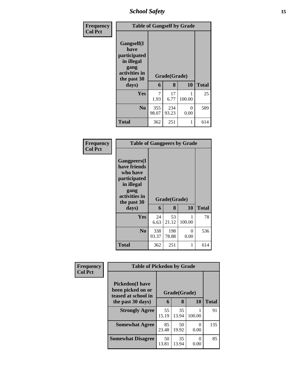*School Safety* **15**

| <b>Frequency</b> | <b>Table of Gangself by Grade</b>                                                                 |              |                   |           |              |  |  |
|------------------|---------------------------------------------------------------------------------------------------|--------------|-------------------|-----------|--------------|--|--|
| <b>Col Pct</b>   | Gangself(I<br>have<br>participated<br>in illegal<br>gang<br>activities in<br>the past 30<br>days) | 6            | Grade(Grade)<br>8 | 10        | <b>Total</b> |  |  |
|                  |                                                                                                   |              |                   |           |              |  |  |
|                  | Yes                                                                                               | 7<br>1.93    | 17<br>6.77        | 100.00    | 25           |  |  |
|                  | N <sub>0</sub>                                                                                    | 355<br>98.07 | 234<br>93.23      | 0<br>0.00 | 589          |  |  |
|                  | <b>Total</b>                                                                                      | 362          | 251               | 1         | 614          |  |  |

#### **Frequency Col Pct**

| <b>Table of Gangpeers by Grade</b>                                                                                    |              |              |             |              |  |  |  |
|-----------------------------------------------------------------------------------------------------------------------|--------------|--------------|-------------|--------------|--|--|--|
| <b>Gangpeers</b> (I<br>have friends<br>who have<br>participated<br>in illegal<br>gang<br>activities in<br>the past 30 |              | Grade(Grade) |             |              |  |  |  |
| days)                                                                                                                 | 6            | 8            | 10          | <b>Total</b> |  |  |  |
| Yes                                                                                                                   | 24<br>6.63   | 53<br>21.12  | 1<br>100.00 | 78           |  |  |  |
| N <sub>0</sub>                                                                                                        | 338<br>93.37 | 198<br>78.88 | 0<br>0.00   | 536          |  |  |  |
| Total                                                                                                                 | 362          | 251          | 1           | 614          |  |  |  |

| Frequency      |                                                                     | <b>Table of Pickedon by Grade</b> |              |                  |              |  |
|----------------|---------------------------------------------------------------------|-----------------------------------|--------------|------------------|--------------|--|
| <b>Col Pct</b> | <b>Pickedon</b> (I have<br>been picked on or<br>teased at school in |                                   | Grade(Grade) |                  |              |  |
|                | the past 30 days)                                                   | 6                                 | 8            | <b>10</b>        | <b>Total</b> |  |
|                | <b>Strongly Agree</b>                                               | 55<br>15.19                       | 35<br>13.94  | 100.00           | 91           |  |
|                | <b>Somewhat Agree</b>                                               | 85<br>23.48                       | 50<br>19.92  | 0<br>0.00        | 135          |  |
|                | <b>Somewhat Disagree</b>                                            | 50<br>13.81                       | 35<br>13.94  | $\Omega$<br>0.00 | 85           |  |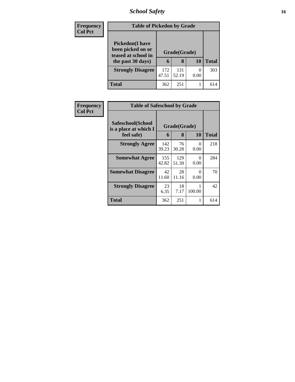# *School Safety* **16**

| <b>Frequency</b> | <b>Table of Pickedon by Grade</b>                                                        |              |                   |           |              |
|------------------|------------------------------------------------------------------------------------------|--------------|-------------------|-----------|--------------|
| <b>Col Pct</b>   | <b>Pickedon</b> (I have<br>been picked on or<br>teased at school in<br>the past 30 days) | 6            | Grade(Grade)<br>8 | <b>10</b> | <b>Total</b> |
|                  | <b>Strongly Disagree</b>                                                                 | 172<br>47.51 | 131<br>52.19      | 0<br>0.00 | 303          |
|                  | <b>Total</b>                                                                             | 362          | 251               |           | 614          |

| <b>Frequency</b> | <b>Table of Safeschool by Grade</b>        |              |              |           |              |  |  |  |  |
|------------------|--------------------------------------------|--------------|--------------|-----------|--------------|--|--|--|--|
| <b>Col Pct</b>   | Safeschool(School<br>is a place at which I | Grade(Grade) |              |           |              |  |  |  |  |
|                  | feel safe)                                 | 6            | 8            | 10        | <b>Total</b> |  |  |  |  |
|                  | <b>Strongly Agree</b>                      | 142<br>39.23 | 76<br>30.28  | 0<br>0.00 | 218          |  |  |  |  |
|                  | <b>Somewhat Agree</b>                      | 155<br>42.82 | 129<br>51.39 | 0<br>0.00 | 284          |  |  |  |  |
|                  | <b>Somewhat Disagree</b>                   | 42<br>11.60  | 28<br>11.16  | 0<br>0.00 | 70           |  |  |  |  |
|                  | <b>Strongly Disagree</b>                   | 23<br>6.35   | 18<br>7.17   | 100.00    | 42           |  |  |  |  |
|                  | <b>Total</b>                               | 362          | 251          |           | 614          |  |  |  |  |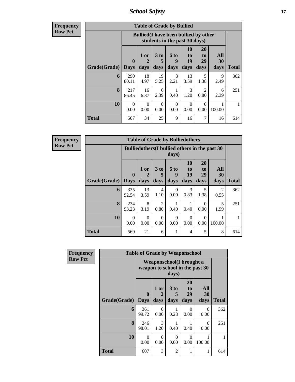*School Safety* **17**

**Frequency Row Pct**

| <b>Table of Grade by Bullied</b> |                            |                                                                               |                              |                   |                        |                        |                   |              |  |  |
|----------------------------------|----------------------------|-------------------------------------------------------------------------------|------------------------------|-------------------|------------------------|------------------------|-------------------|--------------|--|--|
|                                  |                            | <b>Bullied</b> (I have been bullied by other<br>students in the past 30 days) |                              |                   |                        |                        |                   |              |  |  |
| Grade(Grade)                     | $\mathbf 0$<br><b>Days</b> | 1 or<br>2<br>days                                                             | 3 <sub>to</sub><br>5<br>days | 6 to<br>9<br>days | 10<br>to<br>19<br>days | 20<br>to<br>29<br>days | All<br>30<br>days | <b>Total</b> |  |  |
| 6                                | 290<br>80.11               | 18<br>4.97                                                                    | 19<br>5.25                   | 8<br>2.21         | 13<br>3.59             | 5<br>1.38              | 9<br>2.49         | 362          |  |  |
| 8                                | 217<br>86.45               | 16<br>6.37                                                                    | 6<br>2.39                    | 0.40              | 3<br>1.20              | $\mathfrak{D}$<br>0.80 | 6<br>2.39         | 251          |  |  |
| 10                               | $\Omega$<br>0.00           | $\Omega$<br>0.00                                                              | $\Omega$<br>0.00             | 0<br>0.00         | $\Omega$<br>0.00       | 0<br>0.00              | 100.00            |              |  |  |
| <b>Total</b>                     | 507                        | 34                                                                            | 25                           | 9                 | 16                     | 7                      | 16                | 614          |  |  |

| <b>Table of Grade by Bulliedothers</b> |                        |                                                         |                        |                          |                               |                        |                          |              |  |  |
|----------------------------------------|------------------------|---------------------------------------------------------|------------------------|--------------------------|-------------------------------|------------------------|--------------------------|--------------|--|--|
|                                        |                        | Bulliedothers (I bullied others in the past 30<br>days) |                        |                          |                               |                        |                          |              |  |  |
| Grade(Grade)                           | $\mathbf{0}$<br>  Days | 1 or<br>2<br>days                                       | 3 to<br>days           | <b>6 to</b><br>9<br>days | <b>10</b><br>to<br>19<br>days | 20<br>to<br>29<br>days | All<br><b>30</b><br>days | <b>Total</b> |  |  |
| 6                                      | 335<br>92.54           | 13<br>3.59                                              | $\overline{4}$<br>1.10 | $\Omega$<br>0.00         | 3<br>0.83                     | 5<br>1.38              | 2<br>0.55                | 362          |  |  |
| 8                                      | 234<br>93.23           | 8<br>3.19                                               | $\mathfrak{D}$<br>0.80 | 0.40                     | 0.40                          | 0<br>0.00              | 5<br>1.99                | 251          |  |  |
| 10                                     | $\Omega$<br>0.00       | $\Omega$<br>0.00                                        | $\Omega$<br>0.00       | $\Omega$<br>0.00         | $\Omega$<br>0.00              | 0<br>0.00              | 100.00                   |              |  |  |
| <b>Total</b>                           | 569                    | 21                                                      | 6                      | 1                        | 4                             | 5                      | 8                        | 614          |  |  |

| Frequency      |              | <b>Table of Grade by Weaponschool</b> |                   |                              |                                  |                                 |              |  |  |  |
|----------------|--------------|---------------------------------------|-------------------|------------------------------|----------------------------------|---------------------------------|--------------|--|--|--|
| <b>Row Pct</b> |              |                                       |                   | days)                        | <b>Weaponschool</b> (I brought a | weapon to school in the past 30 |              |  |  |  |
|                | Grade(Grade) | $\mathbf 0$<br><b>Days</b>            | 1 or<br>2<br>days | 3 <sub>to</sub><br>5<br>days | 20<br>to<br>29<br>days           | All<br>30<br>days               | <b>Total</b> |  |  |  |
|                | 6            | 361<br>99.72                          | 0<br>0.00         | 0.28                         | 0<br>0.00                        | 0<br>0.00                       | 362          |  |  |  |
|                | 8            | 246<br>98.01                          | 3<br>1.20         | 0.40                         | 0.40                             | 0<br>0.00                       | 251          |  |  |  |
|                | 10           | $\Omega$<br>0.00                      | $\Omega$<br>0.00  | $\Omega$<br>0.00             | $\Omega$<br>0.00                 | 100.00                          |              |  |  |  |
|                | <b>Total</b> | 607                                   | 3                 | $\overline{2}$               |                                  |                                 | 614          |  |  |  |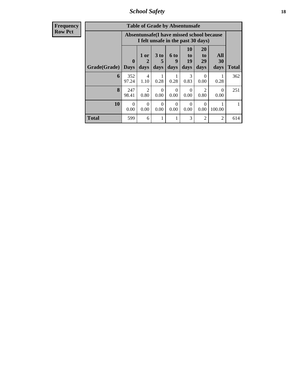*School Safety* **18**

| Frequency<br>Row Pct |
|----------------------|
|                      |

| <b>Table of Grade by Absentunsafe</b> |                  |                                                                                 |                              |                   |                               |                               |                   |       |  |  |
|---------------------------------------|------------------|---------------------------------------------------------------------------------|------------------------------|-------------------|-------------------------------|-------------------------------|-------------------|-------|--|--|
|                                       |                  | Absentunsafe(I have missed school because<br>I felt unsafe in the past 30 days) |                              |                   |                               |                               |                   |       |  |  |
| Grade(Grade)                          | 0<br><b>Days</b> | 1 or<br>2<br>days                                                               | 3 <sub>to</sub><br>5<br>days | 6 to<br>9<br>days | <b>10</b><br>to<br>19<br>days | <b>20</b><br>to<br>29<br>days | All<br>30<br>days | Total |  |  |
| 6                                     | 352<br>97.24     | 4<br>1.10                                                                       | 0.28                         | 0.28              | 3<br>0.83                     | 0.00                          | 0.28              | 362   |  |  |
| 8                                     | 247<br>98.41     | 2<br>0.80                                                                       | $\Omega$<br>0.00             | 0<br>0.00         | $\Omega$<br>0.00              | $\mathfrak{D}$<br>0.80        | 0<br>0.00         | 251   |  |  |
| 10                                    | 0<br>0.00        | $\Omega$<br>0.00                                                                | $\Omega$<br>0.00             | 0<br>0.00         | $\Omega$<br>0.00              | 0.00                          | 100.00            |       |  |  |
| <b>Total</b>                          | 599              | 6                                                                               | 1                            |                   | 3                             | $\overline{c}$                | $\overline{c}$    | 614   |  |  |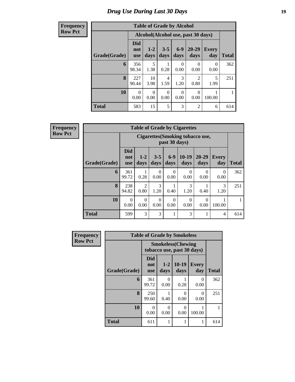### *Drug Use During Last 30 Days* **19**

#### **Frequency Row Pct**

| <b>Table of Grade by Alcohol</b> |                                                                                                                                                  |                  |                        |                       |                                    |           |     |  |  |  |  |
|----------------------------------|--------------------------------------------------------------------------------------------------------------------------------------------------|------------------|------------------------|-----------------------|------------------------------------|-----------|-----|--|--|--|--|
|                                  |                                                                                                                                                  |                  |                        |                       | Alcohol(Alcohol use, past 30 days) |           |     |  |  |  |  |
| Grade(Grade)                     | <b>Did</b><br>$6 - 9$<br>20-29<br>$1 - 2$<br>$3 - 5$<br><b>Every</b><br>not<br>days<br>days<br>day<br><b>Total</b><br>days<br>days<br><b>use</b> |                  |                        |                       |                                    |           |     |  |  |  |  |
| 6                                | 356<br>98.34                                                                                                                                     | 5<br>1.38        | 0.28                   | 0<br>0.00             | 0<br>0.00                          | 0<br>0.00 | 362 |  |  |  |  |
| 8                                | 227<br>90.44                                                                                                                                     | 10<br>3.98       | $\overline{4}$<br>1.59 | $\mathcal{R}$<br>1.20 | $\mathfrak{D}$<br>0.80             | 5<br>1.99 | 251 |  |  |  |  |
| 10                               | 0<br>0.00                                                                                                                                        | $\Omega$<br>0.00 | $\Omega$<br>0.00       | 0<br>0.00             | 0<br>0.00                          | 100.00    | 1   |  |  |  |  |
| <b>Total</b>                     | 583                                                                                                                                              | 15               | 5                      | 3                     | 2                                  | 6         | 614 |  |  |  |  |

| <b>Table of Grade by Cigarettes</b> |                          |                                                          |                  |                  |                  |                  |                     |              |  |  |  |
|-------------------------------------|--------------------------|----------------------------------------------------------|------------------|------------------|------------------|------------------|---------------------|--------------|--|--|--|
|                                     |                          | <b>Cigarettes</b> (Smoking tobacco use,<br>past 30 days) |                  |                  |                  |                  |                     |              |  |  |  |
| Grade(Grade)                        | Did<br>not<br><b>use</b> | $1 - 2$<br>days                                          | $3 - 5$<br>days  | $6-9$<br>days    | $10-19$<br>days  | 20-29<br>days    | <b>Every</b><br>day | <b>Total</b> |  |  |  |
| 6                                   | 361<br>99.72             | 0.28                                                     | $\Omega$<br>0.00 | $\Omega$<br>0.00 | $\theta$<br>0.00 | 0<br>0.00        | $\Omega$<br>0.00    | 362          |  |  |  |
| 8                                   | 238<br>94.82             | $\mathfrak{D}$<br>0.80                                   | 3<br>1.20        | 0.40             | 3<br>1.20        | 0.40             | 3<br>1.20           | 251          |  |  |  |
| 10                                  | $\Omega$<br>0.00         | 0<br>0.00                                                | $\Omega$<br>0.00 | $\Omega$<br>0.00 | $\theta$<br>0.00 | $\Omega$<br>0.00 | 100.00              |              |  |  |  |
| <b>Total</b>                        | 599                      | 3                                                        | 3                | 1                | 3                |                  | $\overline{4}$      | 614          |  |  |  |

| Frequency      | <b>Table of Grade by Smokeless</b> |                                 |                                                         |                 |                     |              |  |  |  |
|----------------|------------------------------------|---------------------------------|---------------------------------------------------------|-----------------|---------------------|--------------|--|--|--|
| <b>Row Pct</b> |                                    |                                 | <b>Smokeless</b> (Chewing<br>tobacco use, past 30 days) |                 |                     |              |  |  |  |
|                | Grade(Grade)                       | <b>Did</b><br>not<br><b>use</b> | $1-2$<br>days                                           | $10-19$<br>days | <b>Every</b><br>day | <b>Total</b> |  |  |  |
|                | 6                                  | 361<br>99.72                    | 0<br>0.00                                               | 0.28            | 0<br>0.00           | 362          |  |  |  |
|                | 8                                  | 250<br>99.60                    | 0.40                                                    | ∩<br>0.00       | $\Omega$<br>0.00    | 251          |  |  |  |
|                | 10                                 | $\Omega$<br>0.00                | 0<br>0.00                                               | 0<br>0.00       | 100.00              |              |  |  |  |
|                | <b>Total</b>                       | 611                             |                                                         | 1               |                     | 614          |  |  |  |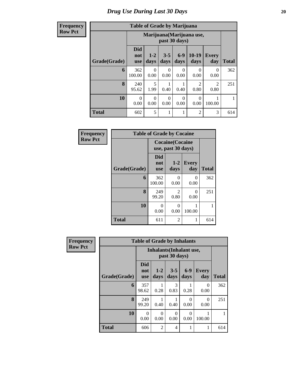| <b>Table of Grade by Marijuana</b> |                          |                                            |                 |                 |                                     |                        |              |  |  |  |
|------------------------------------|--------------------------|--------------------------------------------|-----------------|-----------------|-------------------------------------|------------------------|--------------|--|--|--|
|                                    |                          | Marijuana (Marijuana use,<br>past 30 days) |                 |                 |                                     |                        |              |  |  |  |
| Grade(Grade)                       | <b>Did</b><br>not<br>use | $1 - 2$<br>days                            | $3 - 5$<br>days | $6 - 9$<br>days | $10-19$<br>days                     | <b>Every</b><br>day    | <b>Total</b> |  |  |  |
| 6                                  | 362<br>100.00            | $\theta$<br>0.00                           | 0<br>0.00       | 0<br>0.00       | 0<br>0.00                           | 0<br>0.00              | 362          |  |  |  |
| 8                                  | 240<br>95.62             | 5<br>1.99                                  | 0.40            | 0.40            | $\mathcal{D}_{\mathcal{L}}$<br>0.80 | $\mathfrak{D}$<br>0.80 | 251          |  |  |  |
| 10                                 | 0<br>0.00                | $\theta$<br>0.00                           | 0<br>0.00       | 0<br>0.00       | 0<br>0.00                           | 100.00                 |              |  |  |  |
| <b>Total</b>                       | 602                      | 5                                          | 1               |                 | 2                                   | 3                      | 614          |  |  |  |

| Frequency      | <b>Table of Grade by Cocaine</b> |                          |                                               |                     |              |  |  |  |  |
|----------------|----------------------------------|--------------------------|-----------------------------------------------|---------------------|--------------|--|--|--|--|
| <b>Row Pct</b> |                                  |                          | <b>Cocaine</b> (Cocaine<br>use, past 30 days) |                     |              |  |  |  |  |
|                | Grade(Grade)                     | Did<br>not<br><b>use</b> | $1 - 2$<br>days                               | <b>Every</b><br>day | <b>Total</b> |  |  |  |  |
|                | 6                                | 362<br>100.00            | 0<br>0.00                                     | 0<br>0.00           | 362          |  |  |  |  |
|                | 8                                | 249<br>99.20             | $\mathfrak{D}$<br>0.80                        | 0<br>0.00           | 251          |  |  |  |  |
|                | 10                               | 0<br>0.00                | $\Omega$<br>0.00                              | 100.00              |              |  |  |  |  |
|                | <b>Total</b>                     | 611                      | 2                                             | 1                   | 614          |  |  |  |  |

| <b>Frequency</b> |              | <b>Table of Grade by Inhalants</b> |                                                  |                  |                  |                     |              |  |  |
|------------------|--------------|------------------------------------|--------------------------------------------------|------------------|------------------|---------------------|--------------|--|--|
| <b>Row Pct</b>   |              |                                    | <b>Inhalants</b> (Inhalant use,<br>past 30 days) |                  |                  |                     |              |  |  |
|                  | Grade(Grade) | <b>Did</b><br>not<br><b>use</b>    | $1 - 2$<br>days                                  | $3 - 5$<br>days  | $6 - 9$<br>days  | <b>Every</b><br>day | <b>Total</b> |  |  |
|                  | 6            | 357<br>98.62                       | 1<br>0.28                                        | 3<br>0.83        | 0.28             | $\Omega$<br>0.00    | 362          |  |  |
|                  | 8            | 249<br>99.20                       | 0.40                                             | 0.40             | 0<br>0.00        | $\Omega$<br>0.00    | 251          |  |  |
|                  | 10           | $\Omega$<br>0.00                   | $\Omega$<br>0.00                                 | $\Omega$<br>0.00 | $\Omega$<br>0.00 | 100.00              |              |  |  |
|                  | <b>Total</b> | 606                                | 2                                                | 4                |                  |                     | 614          |  |  |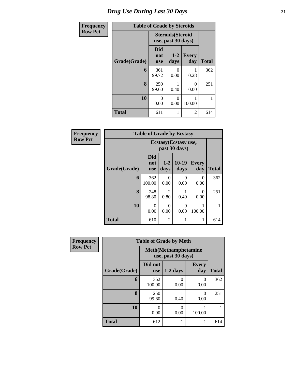| <b>Frequency</b> | <b>Table of Grade by Steroids</b> |                                 |                                                |                     |              |  |  |  |
|------------------|-----------------------------------|---------------------------------|------------------------------------------------|---------------------|--------------|--|--|--|
| <b>Row Pct</b>   |                                   |                                 | <b>Steroids</b> (Steroid<br>use, past 30 days) |                     |              |  |  |  |
|                  | Grade(Grade)                      | <b>Did</b><br>not<br><b>use</b> | $1 - 2$<br>days                                | <b>Every</b><br>day | <b>Total</b> |  |  |  |
|                  | 6                                 | 361<br>99.72                    | ∩<br>0.00                                      | 0.28                | 362          |  |  |  |
|                  | 8                                 | 250<br>99.60                    | 0.40                                           | $\Omega$<br>0.00    | 251          |  |  |  |
|                  | 10                                | 0<br>0.00                       | 100.00                                         | 1                   |              |  |  |  |
|                  | <b>Total</b>                      | 611                             | 1                                              | $\overline{2}$      | 614          |  |  |  |

| <b>Frequency</b> | <b>Table of Grade by Ecstasy</b> |                          |                        |                                        |                     |              |  |
|------------------|----------------------------------|--------------------------|------------------------|----------------------------------------|---------------------|--------------|--|
| <b>Row Pct</b>   |                                  |                          |                        | Ecstasy (Ecstasy use,<br>past 30 days) |                     |              |  |
|                  | Grade(Grade)                     | Did<br>not<br><b>use</b> | $1 - 2$<br>days        | $10-19$<br>days                        | <b>Every</b><br>day | <b>Total</b> |  |
|                  | 6                                | 362<br>100.00            | 0<br>0.00              | 0<br>0.00                              | $\theta$<br>0.00    | 362          |  |
|                  | 8                                | 248<br>98.80             | $\mathfrak{D}$<br>0.80 | 0.40                                   | $\Omega$<br>0.00    | 251          |  |
|                  | 10                               | 0<br>0.00                | $\Omega$<br>0.00       | $\Omega$<br>0.00                       | 100.00              |              |  |
|                  | <b>Total</b>                     | 610                      | $\overline{2}$         | 1                                      |                     | 614          |  |

| <b>Frequency</b> | <b>Table of Grade by Meth</b> |                                                    |                  |                     |              |  |  |  |
|------------------|-------------------------------|----------------------------------------------------|------------------|---------------------|--------------|--|--|--|
| <b>Row Pct</b>   |                               | <b>Meth</b> (Methamphetamine<br>use, past 30 days) |                  |                     |              |  |  |  |
|                  | Grade(Grade)                  | Did not<br><b>use</b>                              | $1-2$ days       | <b>Every</b><br>day | <b>Total</b> |  |  |  |
|                  | 6                             | 362<br>100.00                                      | $\Omega$<br>0.00 | $\theta$<br>0.00    | 362          |  |  |  |
|                  | 8                             | 250<br>99.60                                       | 0.40             | 0<br>0.00           | 251          |  |  |  |
|                  | 10                            | 0<br>0.00                                          | 0<br>0.00        | 100.00              |              |  |  |  |
|                  | <b>Total</b>                  | 612                                                | 1                |                     | 614          |  |  |  |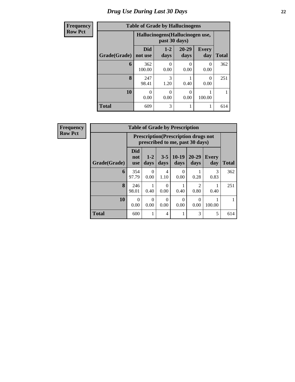| <b>Frequency</b> |              | <b>Table of Grade by Hallucinogens</b> |                                                   |                   |                     |              |  |
|------------------|--------------|----------------------------------------|---------------------------------------------------|-------------------|---------------------|--------------|--|
| <b>Row Pct</b>   |              |                                        | Hallucinogens (Hallucinogen use,<br>past 30 days) |                   |                     |              |  |
|                  | Grade(Grade) | <b>Did</b><br>not use                  | $1-2$<br>days                                     | $20 - 29$<br>days | <b>Every</b><br>day | <b>Total</b> |  |
|                  | 6            | 362<br>100.00                          | 0<br>0.00                                         | 0<br>0.00         | 0<br>0.00           | 362          |  |
|                  | 8            | 247<br>98.41                           | 3<br>1.20                                         | 0.40              | 0<br>0.00           | 251          |  |
|                  | 10           | $\Omega$<br>0.00                       | 0<br>0.00                                         | $\Omega$<br>0.00  | 100.00              |              |  |
|                  | <b>Total</b> | 609                                    | 3                                                 |                   |                     | 614          |  |

| <b>Frequency</b> |  |
|------------------|--|
| <b>Row Pct</b>   |  |

| <b>Table of Grade by Prescription</b> |                                                                                |                           |                 |                  |                        |                     |              |  |
|---------------------------------------|--------------------------------------------------------------------------------|---------------------------|-----------------|------------------|------------------------|---------------------|--------------|--|
|                                       | <b>Prescription</b> (Prescription drugs not<br>prescribed to me, past 30 days) |                           |                 |                  |                        |                     |              |  |
| Grade(Grade)                          | Did<br>not<br>use                                                              | $1 - 2$<br>days           | $3 - 5$<br>days | $10-19$<br>days  | $20 - 29$<br>days      | <b>Every</b><br>day | <b>Total</b> |  |
| 6                                     | 354<br>97.79                                                                   | $\mathbf{\Omega}$<br>0.00 | 4<br>1.10       | 0<br>0.00        | 0.28                   | 3<br>0.83           | 362          |  |
| 8                                     | 246<br>98.01                                                                   | 0.40                      | 0<br>0.00       | 0.40             | $\mathfrak{D}$<br>0.80 | 0.40                | 251          |  |
| 10                                    | 0<br>0.00                                                                      | $\mathbf{\Omega}$<br>0.00 | 0<br>0.00       | $\theta$<br>0.00 | $\theta$<br>0.00       | 100.00              |              |  |
| <b>Total</b>                          | 600                                                                            |                           | $\overline{4}$  |                  | 3                      | 5                   | 614          |  |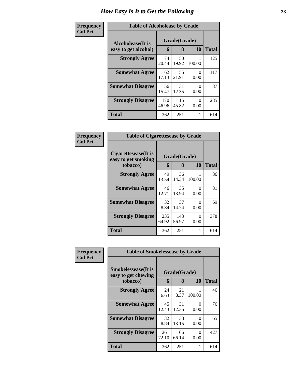| <b>Frequency</b>                                            | <b>Table of Alcoholease by Grade</b> |              |                   |           |              |
|-------------------------------------------------------------|--------------------------------------|--------------|-------------------|-----------|--------------|
| <b>Col Pct</b><br>Alcoholease(It is<br>easy to get alcohol) |                                      | 6            | Grade(Grade)<br>8 | 10        | <b>Total</b> |
|                                                             | <b>Strongly Agree</b>                | 74<br>20.44  | 50<br>19.92       | 100.00    | 125          |
|                                                             | <b>Somewhat Agree</b>                | 62<br>17.13  | 55<br>21.91       | 0<br>0.00 | 117          |
|                                                             | <b>Somewhat Disagree</b>             | 56<br>15.47  | 31<br>12.35       | 0<br>0.00 | 87           |
|                                                             | <b>Strongly Disagree</b>             | 170<br>46.96 | 115<br>45.82      | 0<br>0.00 | 285          |
|                                                             | <b>Total</b>                         | 362          | 251               | 1         | 614          |

| Frequency      | <b>Table of Cigarettesease by Grade</b>                 |              |                   |                           |              |
|----------------|---------------------------------------------------------|--------------|-------------------|---------------------------|--------------|
| <b>Col Pct</b> | Cigarettesease(It is<br>easy to get smoking<br>tobacco) | 6            | Grade(Grade)<br>8 | 10                        | <b>Total</b> |
|                | <b>Strongly Agree</b>                                   | 49<br>13.54  | 36<br>14.34       | 100.00                    | 86           |
|                | <b>Somewhat Agree</b>                                   | 46<br>12.71  | 35<br>13.94       | 0<br>0.00                 | 81           |
|                | <b>Somewhat Disagree</b>                                | 32<br>8.84   | 37<br>14.74       | $\mathbf{\Omega}$<br>0.00 | 69           |
|                | <b>Strongly Disagree</b>                                | 235<br>64.92 | 143<br>56.97      | 0<br>0.00                 | 378          |
|                | <b>Total</b>                                            | 362          | 251               |                           | 614          |

| Frequency      | <b>Table of Smokelessease by Grade</b>                         |              |                   |           |              |
|----------------|----------------------------------------------------------------|--------------|-------------------|-----------|--------------|
| <b>Col Pct</b> | <b>Smokelessease</b> (It is<br>easy to get chewing<br>tobacco) | 6            | Grade(Grade)<br>8 | 10        | <b>Total</b> |
|                | <b>Strongly Agree</b>                                          | 24<br>6.63   | 21<br>8.37        | 100.00    | 46           |
|                | <b>Somewhat Agree</b>                                          | 45<br>12.43  | 31<br>12.35       | 0<br>0.00 | 76           |
|                | <b>Somewhat Disagree</b>                                       | 32<br>8.84   | 33<br>13.15       | 0<br>0.00 | 65           |
|                | <b>Strongly Disagree</b>                                       | 261<br>72.10 | 166<br>66.14      | 0<br>0.00 | 427          |
|                | Total                                                          | 362          | 251               | 1         | 614          |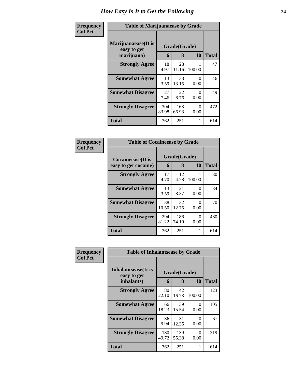| Frequency      | <b>Table of Marijuanaease by Grade</b>           |              |                   |           |              |
|----------------|--------------------------------------------------|--------------|-------------------|-----------|--------------|
| <b>Col Pct</b> | Marijuanaease(It is<br>easy to get<br>marijuana) | 6            | Grade(Grade)<br>8 | 10        | <b>Total</b> |
|                | <b>Strongly Agree</b>                            | 18<br>4.97   | 28<br>11.16       | 100.00    | 47           |
|                | <b>Somewhat Agree</b>                            | 13<br>3.59   | 33<br>13.15       | 0<br>0.00 | 46           |
|                | <b>Somewhat Disagree</b>                         | 27<br>7.46   | 22<br>8.76        | 0<br>0.00 | 49           |
|                | <b>Strongly Disagree</b>                         | 304<br>83.98 | 168<br>66.93      | 0<br>0.00 | 472          |
|                | <b>Total</b>                                     | 362          | 251               | 1         | 614          |

| Frequency      |                                                   | <b>Table of Cocaineease by Grade</b> |                   |                           |              |  |
|----------------|---------------------------------------------------|--------------------------------------|-------------------|---------------------------|--------------|--|
| <b>Col Pct</b> | <b>Cocaineease</b> (It is<br>easy to get cocaine) | 6                                    | Grade(Grade)<br>8 | <b>10</b>                 | <b>Total</b> |  |
|                | <b>Strongly Agree</b>                             | 17<br>4.70                           | 12<br>4.78        | 100.00                    | 30           |  |
|                | <b>Somewhat Agree</b>                             | 13<br>3.59                           | 21<br>8.37        | ∩<br>0.00                 | 34           |  |
|                | <b>Somewhat Disagree</b>                          | 38<br>10.50                          | 32<br>12.75       | $\mathbf{\Omega}$<br>0.00 | 70           |  |
|                | <b>Strongly Disagree</b>                          | 294<br>81.22                         | 186<br>74.10      | 0<br>0.00                 | 480          |  |
|                | <b>Total</b>                                      | 362                                  | 251               | 1                         | 614          |  |

| Frequency      | <b>Table of Inhalantsease by Grade</b> |              |              |                  |              |
|----------------|----------------------------------------|--------------|--------------|------------------|--------------|
| <b>Col Pct</b> | Inhalantsease(It is<br>easy to get     | Grade(Grade) |              |                  |              |
|                | inhalants)                             | 6            | 8            | 10               | <b>Total</b> |
|                | <b>Strongly Agree</b>                  | 80<br>22.10  | 42<br>16.73  | 100.00           | 123          |
|                | <b>Somewhat Agree</b>                  | 66<br>18.23  | 39<br>15.54  | 0<br>0.00        | 105          |
|                | <b>Somewhat Disagree</b>               | 36<br>9.94   | 31<br>12.35  | $\theta$<br>0.00 | 67           |
|                | <b>Strongly Disagree</b>               | 180<br>49.72 | 139<br>55.38 | 0<br>0.00        | 319          |
|                | <b>Total</b>                           | 362          | 251          | 1                | 614          |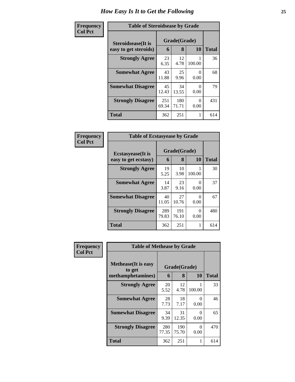| Frequency      |                            | <b>Table of Steroidsease by Grade</b> |              |           |              |  |  |  |  |
|----------------|----------------------------|---------------------------------------|--------------|-----------|--------------|--|--|--|--|
| <b>Col Pct</b> | <b>Steroidsease</b> (It is | Grade(Grade)                          |              |           |              |  |  |  |  |
|                | easy to get steroids)      | 6                                     | 8            | <b>10</b> | <b>Total</b> |  |  |  |  |
|                | <b>Strongly Agree</b>      | 23<br>6.35                            | 12<br>4.78   | 100.00    | 36           |  |  |  |  |
|                | <b>Somewhat Agree</b>      | 43<br>11.88                           | 25<br>9.96   | 0<br>0.00 | 68           |  |  |  |  |
|                | <b>Somewhat Disagree</b>   | 45<br>12.43                           | 34<br>13.55  | 0<br>0.00 | 79           |  |  |  |  |
|                | <b>Strongly Disagree</b>   | 251<br>69.34                          | 180<br>71.71 | 0<br>0.00 | 431          |  |  |  |  |
|                | <b>Total</b>               | 362                                   | 251          | 1         | 614          |  |  |  |  |

| Frequency      | <b>Table of Ecstasyease by Grade</b>              |                   |              |           |     |  |  |  |
|----------------|---------------------------------------------------|-------------------|--------------|-----------|-----|--|--|--|
| <b>Col Pct</b> | <b>Ecstasyease</b> (It is<br>easy to get ecstasy) | Grade(Grade)<br>6 | <b>Total</b> |           |     |  |  |  |
|                | <b>Strongly Agree</b>                             | 19<br>5.25        | 10<br>3.98   | 100.00    | 30  |  |  |  |
|                | <b>Somewhat Agree</b>                             | 14<br>3.87        | 23<br>9.16   | 0<br>0.00 | 37  |  |  |  |
|                | <b>Somewhat Disagree</b>                          | 40<br>11.05       | 27<br>10.76  | 0<br>0.00 | 67  |  |  |  |
|                | <b>Strongly Disagree</b>                          | 289<br>79.83      | 191<br>76.10 | 0<br>0.00 | 480 |  |  |  |
|                | <b>Total</b>                                      | 362               | 251          |           | 614 |  |  |  |

| Frequency      |                                                            | <b>Table of Methease by Grade</b> |                   |           |              |  |  |  |  |  |
|----------------|------------------------------------------------------------|-----------------------------------|-------------------|-----------|--------------|--|--|--|--|--|
| <b>Col Pct</b> | <b>Methease</b> (It is easy<br>to get<br>methamphetamines) | 6                                 | Grade(Grade)<br>8 | 10        | <b>Total</b> |  |  |  |  |  |
|                | <b>Strongly Agree</b>                                      | 20<br>5.52                        | 12<br>4.78        | 100.00    | 33           |  |  |  |  |  |
|                | <b>Somewhat Agree</b>                                      | 28<br>7.73                        | 18<br>7.17        | 0<br>0.00 | 46           |  |  |  |  |  |
|                | <b>Somewhat Disagree</b>                                   | 34<br>9.39                        | 31<br>12.35       | 0<br>0.00 | 65           |  |  |  |  |  |
|                | <b>Strongly Disagree</b>                                   | 280<br>77.35                      | 190<br>75.70      | 0<br>0.00 | 470          |  |  |  |  |  |
|                | <b>Total</b>                                               | 362                               | 251               | 1         | 614          |  |  |  |  |  |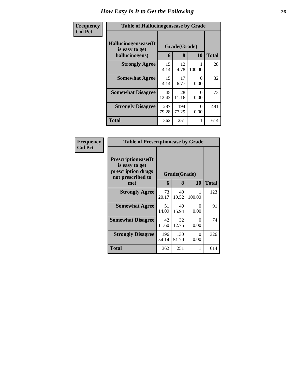| Frequency      | <b>Table of Hallucinogensease by Grade</b>               |              |                   |                  |              |  |  |  |  |
|----------------|----------------------------------------------------------|--------------|-------------------|------------------|--------------|--|--|--|--|
| <b>Col Pct</b> | Hallucinogensease(It<br>is easy to get<br>hallucinogens) | 6            | Grade(Grade)<br>8 | 10               | <b>Total</b> |  |  |  |  |
|                | <b>Strongly Agree</b>                                    | 15<br>4.14   | 12<br>4.78        | 100.00           | 28           |  |  |  |  |
|                | <b>Somewhat Agree</b>                                    | 15<br>4.14   | 17<br>6.77        | $\Omega$<br>0.00 | 32           |  |  |  |  |
|                | <b>Somewhat Disagree</b>                                 | 45<br>12.43  | 28<br>11.16       | 0<br>0.00        | 73           |  |  |  |  |
|                | <b>Strongly Disagree</b>                                 | 287<br>79.28 | 194<br>77.29      | $\Omega$<br>0.00 | 481          |  |  |  |  |
|                | <b>Total</b>                                             | 362          | 251               | 1                | 614          |  |  |  |  |

| Frequency      | <b>Table of Prescriptionease by Grade</b>                                                |              |              |                  |              |
|----------------|------------------------------------------------------------------------------------------|--------------|--------------|------------------|--------------|
| <b>Col Pct</b> | <b>Prescriptionease</b> (It<br>is easy to get<br>prescription drugs<br>not prescribed to | Grade(Grade) |              |                  |              |
|                | me)                                                                                      | 6            | 8            | <b>10</b>        | <b>Total</b> |
|                | <b>Strongly Agree</b>                                                                    | 73<br>20.17  | 49<br>19.52  | 100.00           | 123          |
|                | <b>Somewhat Agree</b>                                                                    | 51<br>14.09  | 40<br>15.94  | 0<br>0.00        | 91           |
|                | <b>Somewhat Disagree</b>                                                                 | 42<br>11.60  | 32<br>12.75  | $\Omega$<br>0.00 | 74           |
|                | <b>Strongly Disagree</b>                                                                 | 196<br>54.14 | 130<br>51.79 | 0<br>0.00        | 326          |
|                | Total                                                                                    | 362          | 251          | 1                | 614          |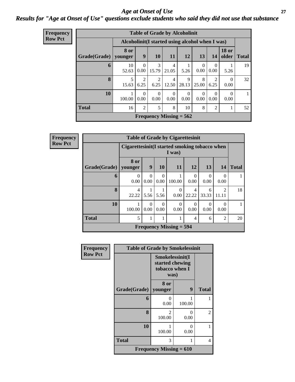#### *Age at Onset of Use* **27** *Results for "Age at Onset of Use" questions exclude students who said they did not use that substance*

| <b>Frequency</b> | <b>Table of Grade by Alcoholinit</b> |                                                  |                        |                        |                         |                           |            |                  |                       |              |
|------------------|--------------------------------------|--------------------------------------------------|------------------------|------------------------|-------------------------|---------------------------|------------|------------------|-----------------------|--------------|
| <b>Row Pct</b>   |                                      | Alcoholinit (I started using alcohol when I was) |                        |                        |                         |                           |            |                  |                       |              |
|                  | Grade(Grade)   younger               | 8 or                                             | 9                      | 10                     | 11                      | <b>12</b>                 | 13         | 14               | <b>18 or</b><br>older | <b>Total</b> |
|                  | 6                                    | 10<br>52.63                                      | $\Omega$<br>0.00       | $\mathcal{R}$<br>15.79 | $\overline{4}$<br>21.05 | 5.26                      | 0<br>0.00  | $\Omega$<br>0.00 | 5.26                  | 19           |
|                  | 8                                    | 15.63                                            | $\overline{2}$<br>6.25 | 2<br>6.25              | $\overline{4}$<br>12.50 | 9<br>28.13                | 8<br>25.00 | 2<br>6.25        | 0<br>0.00             | 32           |
|                  | 10                                   | 100.00                                           | $\Omega$<br>0.00       | $\Omega$<br>0.00       | $\Omega$<br>0.00        | $\theta$<br>0.00          | 0.00       | 0<br>0.00        | $\Omega$<br>0.00      | 1            |
|                  | <b>Total</b>                         | 16                                               | $\overline{2}$         | 5                      | 8                       | 10                        | 8          | $\overline{2}$   |                       | 52           |
|                  |                                      |                                                  |                        |                        |                         | Frequency Missing $= 562$ |            |                  |                       |              |

**Frequency Row Pct**

| <b>Table of Grade by Cigarettesinit</b> |                         |                                                         |                  |                                |            |            |                         |    |  |  |
|-----------------------------------------|-------------------------|---------------------------------------------------------|------------------|--------------------------------|------------|------------|-------------------------|----|--|--|
|                                         |                         | Cigarettesinit(I started smoking tobacco when<br>I was) |                  |                                |            |            |                         |    |  |  |
| Grade(Grade)   younger                  | 8 or                    | 9<br>10<br>12<br>13<br><b>11</b><br><b>Total</b><br>14  |                  |                                |            |            |                         |    |  |  |
| 6                                       | 0<br>0.00               | 0<br>0.00                                               | $\Omega$<br>0.00 | 100.00                         | 0<br>0.00  | 0.00       | 0<br>0.00               |    |  |  |
| 8                                       | $\overline{4}$<br>22.22 | 5.56                                                    | 5.56             | 0<br>0.00                      | 4<br>22.22 | 6<br>33.33 | $\mathfrak{D}$<br>11.11 | 18 |  |  |
| 10                                      | 100.00                  | 0<br>0.00                                               | $\Omega$<br>0.00 | 0<br>0.00                      | 0<br>0.00  | 0.00       | 0<br>0.00               |    |  |  |
| <b>Total</b>                            | 5                       | 1                                                       | 1                | 1                              | 4          | 6          | $\overline{2}$          | 20 |  |  |
|                                         |                         |                                                         |                  | <b>Frequency Missing = 594</b> |            |            |                         |    |  |  |

| <b>Frequency</b> | <b>Table of Grade by Smokelessinit</b> |                           |                                                              |               |  |  |
|------------------|----------------------------------------|---------------------------|--------------------------------------------------------------|---------------|--|--|
| <b>Row Pct</b>   |                                        |                           | Smokelessinit(I<br>started chewing<br>tobacco when I<br>was) |               |  |  |
|                  | Grade(Grade)   younger                 | 8 or                      | 9                                                            | <b>Total</b>  |  |  |
|                  | 6                                      | 0<br>0.00                 | 100.00                                                       |               |  |  |
|                  | 8                                      | $\mathfrak{D}$<br>100.00  | 0<br>0.00                                                    | $\mathcal{L}$ |  |  |
|                  | 10                                     | 100.00                    | 0<br>0.00                                                    |               |  |  |
|                  | <b>Total</b><br>3<br>1                 |                           |                                                              |               |  |  |
|                  |                                        | Frequency Missing $= 610$ |                                                              |               |  |  |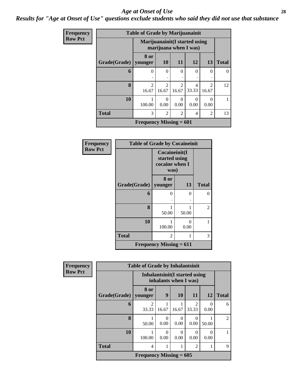#### *Age at Onset of Use* **28**

#### *Results for "Age at Onset of Use" questions exclude students who said they did not use that substance*

| Frequency      | <b>Table of Grade by Marijuanainit</b> |                                |                                      |                         |                       |                                      |              |  |  |
|----------------|----------------------------------------|--------------------------------|--------------------------------------|-------------------------|-----------------------|--------------------------------------|--------------|--|--|
| <b>Row Pct</b> |                                        | Marijuanainit (I started using |                                      |                         | marijuana when I was) |                                      |              |  |  |
|                | Grade(Grade)                           | 8 or<br>younger                | <b>10</b>                            | <b>11</b>               | 12                    | 13                                   | <b>Total</b> |  |  |
|                | 6                                      | $\Omega$                       | $\Omega$                             | $\theta$                | $\Omega$              | 0                                    | $\Omega$     |  |  |
|                | 8                                      | $\overline{2}$<br>16.67        | $\mathcal{D}_{\mathcal{L}}$<br>16.67 | $\mathfrak{D}$<br>16.67 | 4<br>33.33            | $\mathcal{D}_{\mathcal{L}}$<br>16.67 | 12           |  |  |
|                | 10                                     | 100.00                         | $\theta$<br>0.00                     | 0<br>0.00               | $\Omega$<br>0.00      | 0<br>0.00                            |              |  |  |
|                | <b>Total</b>                           | 3                              | $\mathfrak{D}$                       | $\mathfrak{D}$          | 4                     | $\overline{2}$                       | 13           |  |  |
|                |                                        | Frequency Missing $= 601$      |                                      |                         |                       |                                      |              |  |  |

| <b>Frequency</b> | <b>Table of Grade by Cocaineinit</b> |                                                          |           |              |  |  |  |  |
|------------------|--------------------------------------|----------------------------------------------------------|-----------|--------------|--|--|--|--|
| <b>Row Pct</b>   |                                      | Cocaineinit(I<br>started using<br>cocaine when I<br>was) |           |              |  |  |  |  |
|                  | Grade(Grade)   younger               | 8 or                                                     | 13        | <b>Total</b> |  |  |  |  |
|                  | 6                                    | 0                                                        | 0         | 0            |  |  |  |  |
|                  | 8                                    | 50.00                                                    | 50.00     | 2            |  |  |  |  |
|                  | 10                                   | 100.00                                                   | 0<br>0.00 |              |  |  |  |  |
|                  | <b>Total</b>                         | $\overline{c}$                                           | 3         |              |  |  |  |  |
|                  |                                      | Frequency Missing $= 611$                                |           |              |  |  |  |  |

| Frequency      | <b>Table of Grade by Inhalantsinit</b> |                           |                                                         |                  |                        |           |                |  |  |
|----------------|----------------------------------------|---------------------------|---------------------------------------------------------|------------------|------------------------|-----------|----------------|--|--|
| <b>Row Pct</b> |                                        |                           | Inhalantsinit (I started using<br>inhalants when I was) |                  |                        |           |                |  |  |
|                | Grade(Grade)                           | 8 or<br>younger           | 9                                                       | 10               | 11                     | <b>12</b> | <b>Total</b>   |  |  |
|                | 6                                      | $\mathfrak{D}$<br>33.33   | 16.67                                                   | 16.67            | $\mathcal{D}$<br>33.33 | 0<br>0.00 | 6              |  |  |
|                | 8                                      | 50.00                     | $\Omega$<br>0.00                                        | $\Omega$<br>0.00 | 0.00                   | 50.00     | $\overline{2}$ |  |  |
|                | 10                                     | 1<br>100.00               | 0<br>0.00                                               | $\Omega$<br>0.00 | $\Omega$<br>0.00       | 0<br>0.00 | 1              |  |  |
|                | <b>Total</b>                           | 4                         |                                                         |                  | $\overline{c}$         |           | 9              |  |  |
|                |                                        | Frequency Missing $= 605$ |                                                         |                  |                        |           |                |  |  |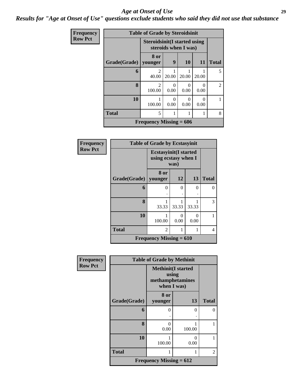#### *Age at Onset of Use* **29**

#### *Results for "Age at Onset of Use" questions exclude students who said they did not use that substance*

| Frequency      |              | <b>Table of Grade by Steroidsinit</b>       |                                                             |                           |           |                |  |  |  |
|----------------|--------------|---------------------------------------------|-------------------------------------------------------------|---------------------------|-----------|----------------|--|--|--|
| <b>Row Pct</b> |              |                                             | <b>Steroidsinit(I started using</b><br>steroids when I was) |                           |           |                |  |  |  |
|                | Grade(Grade) | 8 or<br>younger                             | 9                                                           | 10                        | <b>11</b> | <b>Total</b>   |  |  |  |
|                | 6            | $\mathfrak{D}$<br>40.00                     | 20.00                                                       | 20.00                     | 20.00     | 5              |  |  |  |
|                | 8            | $\overline{2}$<br>100.00                    | 0<br>0.00                                                   | $\mathbf{\Omega}$<br>0.00 | 0<br>0.00 | $\overline{2}$ |  |  |  |
|                | 10           | 100.00                                      | $\mathbf{0}$<br>0.00                                        | $\Omega$<br>0.00          | 0<br>0.00 |                |  |  |  |
|                | <b>Total</b> | 5                                           | 1                                                           |                           |           | 8              |  |  |  |
|                |              | <b>Frequency Missing = <math>606</math></b> |                                                             |                           |           |                |  |  |  |

| Frequency      |              | <b>Table of Grade by Ecstasyinit</b>                         |       |                      |              |
|----------------|--------------|--------------------------------------------------------------|-------|----------------------|--------------|
| <b>Row Pct</b> |              | <b>Ecstasyinit(I started</b><br>using ecstasy when I<br>was) |       |                      |              |
|                | Grade(Grade) | 8 or<br>younger                                              | 12    | 13                   | <b>Total</b> |
|                | 6            | 0                                                            | 0     | $\Omega$             | 0            |
|                | 8            | 33.33                                                        | 33.33 | 33.33                | 3            |
|                | 10           | 100.00                                                       | 0.00  | $\mathbf{0}$<br>0.00 |              |
|                | <b>Total</b> | 2                                                            |       |                      | 4            |
|                |              | Frequency Missing $= 610$                                    |       |                      |              |

| <b>Frequency</b> | <b>Table of Grade by Methinit</b> |                                                                       |           |                |  |
|------------------|-----------------------------------|-----------------------------------------------------------------------|-----------|----------------|--|
| <b>Row Pct</b>   |                                   | <b>Methinit(I started</b><br>using<br>methamphetamines<br>when I was) |           |                |  |
|                  | Grade(Grade)                      | 8 or<br>younger                                                       | 13        | <b>Total</b>   |  |
|                  | 6                                 | 0                                                                     | 0         | 0              |  |
|                  | 8                                 | 0<br>0.00                                                             | 100.00    |                |  |
|                  | 10                                | 100.00                                                                | 0<br>0.00 |                |  |
|                  | <b>Total</b>                      | 1                                                                     | 1         | $\overline{2}$ |  |
|                  |                                   | Frequency Missing $= 612$                                             |           |                |  |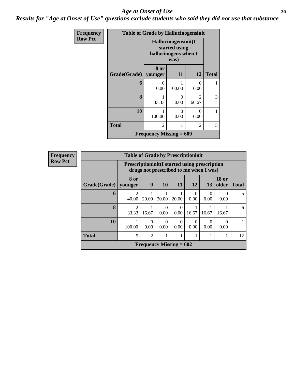#### Age at Onset of Use **30**

*Results for "Age at Onset of Use" questions exclude students who said they did not use that substance*

| Frequency      | <b>Table of Grade by Hallucinogensinit</b> |                                                              |           |                         |              |  |
|----------------|--------------------------------------------|--------------------------------------------------------------|-----------|-------------------------|--------------|--|
| <b>Row Pct</b> |                                            | Hallucinogensinit(I<br>started using<br>hallucinogens when I |           |                         |              |  |
|                | Grade(Grade)                               | 8 or<br>younger                                              | 11        | 12                      | <b>Total</b> |  |
|                | 6                                          | 0<br>0.00                                                    | 100.00    | 0<br>0.00               |              |  |
|                | 8                                          | 33.33                                                        | 0<br>0.00 | $\mathfrak{D}$<br>66.67 | 3            |  |
|                | 10                                         | 100.00                                                       | 0<br>0.00 | 0<br>0.00               | 1            |  |
|                | <b>Total</b>                               | $\overline{2}$                                               | 1         | $\overline{c}$          | 5            |  |
|                |                                            | <b>Frequency Missing = <math>609</math></b>                  |           |                         |              |  |

| Frequency      | <b>Table of Grade by Prescriptioninit</b> |                         |                                                                                                 |                           |                  |                  |                  |                       |              |
|----------------|-------------------------------------------|-------------------------|-------------------------------------------------------------------------------------------------|---------------------------|------------------|------------------|------------------|-----------------------|--------------|
| <b>Row Pct</b> |                                           |                         | <b>Prescriptioninit (I started using prescription</b><br>drugs not prescribed to me when I was) |                           |                  |                  |                  |                       |              |
|                | Grade(Grade)                              | 8 or<br>younger         | 9                                                                                               | 10                        | 11               | 12               | 13               | <b>18 or</b><br>older | <b>Total</b> |
|                | 6                                         | $\mathfrak{D}$<br>40.00 | 20.00                                                                                           | 20.00                     | 20.00            | 0<br>0.00        | $\theta$<br>0.00 | $\Omega$<br>0.00      | 5            |
|                | 8                                         | $\mathfrak{D}$<br>33.33 | 16.67                                                                                           | 0<br>0.00                 | 0<br>0.00        | 16.67            | 16.67            | 16.67                 | 6            |
|                | 10                                        | 100.00                  | 0<br>0.00                                                                                       | $\Omega$<br>0.00          | $\theta$<br>0.00 | $\Omega$<br>0.00 | 0<br>0.00        | $\Omega$<br>0.00      |              |
|                | <b>Total</b>                              | 5                       | $\overline{2}$                                                                                  |                           |                  |                  |                  |                       | 12           |
|                |                                           |                         |                                                                                                 | Frequency Missing $= 602$ |                  |                  |                  |                       |              |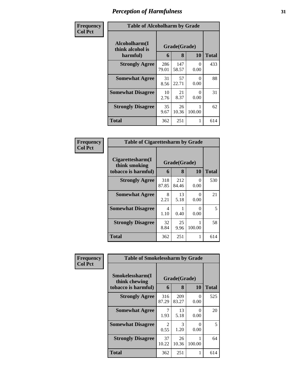| Frequency      | <b>Table of Alcoholharm by Grade</b>          |              |                   |                  |              |  |
|----------------|-----------------------------------------------|--------------|-------------------|------------------|--------------|--|
| <b>Col Pct</b> | Alcoholharm(I<br>think alcohol is<br>harmful) | 6            | Grade(Grade)<br>8 | 10               | <b>Total</b> |  |
|                | <b>Strongly Agree</b>                         | 286<br>79.01 | 147<br>58.57      | 0<br>0.00        | 433          |  |
|                | <b>Somewhat Agree</b>                         | 31<br>8.56   | 57<br>22.71       | $\Omega$<br>0.00 | 88           |  |
|                | <b>Somewhat Disagree</b>                      | 10<br>2.76   | 21<br>8.37        | 0<br>0.00        | 31           |  |
|                | <b>Strongly Disagree</b>                      | 35<br>9.67   | 26<br>10.36       | 100.00           | 62           |  |
|                | <b>Total</b>                                  | 362          | 251               |                  | 614          |  |

| Frequency<br>Col Pct |  |
|----------------------|--|

| <b>Table of Cigarettesharm by Grade</b>                  |                   |              |           |     |  |  |  |
|----------------------------------------------------------|-------------------|--------------|-----------|-----|--|--|--|
| Cigarettesharm(I<br>think smoking<br>tobacco is harmful) | Grade(Grade)<br>6 | Total        |           |     |  |  |  |
| <b>Strongly Agree</b>                                    | 318<br>87.85      | 212<br>84.46 | 0<br>0.00 | 530 |  |  |  |
| <b>Somewhat Agree</b>                                    | 8<br>2.21         | 13<br>5.18   | 0<br>0.00 | 21  |  |  |  |
| <b>Somewhat Disagree</b>                                 | 4<br>1.10         | 0.40         | 0<br>0.00 | 5   |  |  |  |
| <b>Strongly Disagree</b>                                 | 32<br>8.84        | 25<br>9.96   | 100.00    | 58  |  |  |  |
| <b>Total</b>                                             | 362               | 251          | 1         | 614 |  |  |  |

| Frequency      | <b>Table of Smokelessharm by Grade</b> |                        |              |           |              |  |  |
|----------------|----------------------------------------|------------------------|--------------|-----------|--------------|--|--|
| <b>Col Pct</b> | Smokelessharm(I<br>think chewing       | Grade(Grade)           |              |           |              |  |  |
|                | tobacco is harmful)                    | 6                      | 8            | <b>10</b> | <b>Total</b> |  |  |
|                | <b>Strongly Agree</b>                  | 316<br>87.29           | 209<br>83.27 | 0<br>0.00 | 525          |  |  |
|                | <b>Somewhat Agree</b>                  | 7<br>1.93              | 13<br>5.18   | 0<br>0.00 | 20           |  |  |
|                | <b>Somewhat Disagree</b>               | $\mathfrak{D}$<br>0.55 | 3<br>1.20    | ∩<br>0.00 | 5            |  |  |
|                | <b>Strongly Disagree</b>               | 37<br>10.22            | 26<br>10.36  | 100.00    | 64           |  |  |
|                | <b>Total</b>                           | 362                    | 251          | 1         | 614          |  |  |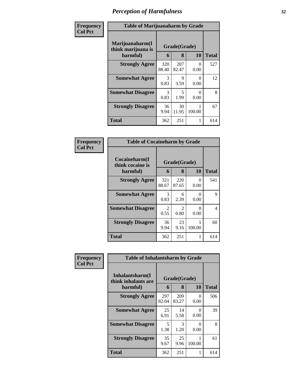| Frequency      | <b>Table of Marijuanaharm by Grade</b>                |                       |                                  |           |              |
|----------------|-------------------------------------------------------|-----------------------|----------------------------------|-----------|--------------|
| <b>Col Pct</b> | Marijuanaharm(I<br>Grade(Grade)<br>think marijuana is |                       |                                  |           |              |
|                | harmful)                                              | 6                     | 8                                | 10        | <b>Total</b> |
|                | <b>Strongly Agree</b>                                 | 320<br>88.40          | 207<br>82.47                     | 0<br>0.00 | 527          |
|                | <b>Somewhat Agree</b>                                 | $\mathcal{R}$<br>0.83 | 9<br>3.59                        | 0<br>0.00 | 12           |
|                | <b>Somewhat Disagree</b>                              | $\mathcal{F}$<br>0.83 | $\overline{\phantom{1}}$<br>1.99 | 0<br>0.00 | 8            |
|                | <b>Strongly Disagree</b>                              | 36<br>9.94            | 30<br>11.95                      | 100.00    | 67           |
|                | <b>Total</b>                                          | 362                   | 251                              | 1         | 614          |

| Frequency<br>Col Pct |
|----------------------|
|                      |

| <b>Table of Cocaineharm by Grade</b>          |                   |              |                  |     |  |  |  |  |
|-----------------------------------------------|-------------------|--------------|------------------|-----|--|--|--|--|
| Cocaineharm(I<br>think cocaine is<br>harmful) | Grade(Grade)<br>6 | <b>Total</b> |                  |     |  |  |  |  |
| <b>Strongly Agree</b>                         | 321<br>88.67      | 220<br>87.65 | $\Omega$<br>0.00 | 541 |  |  |  |  |
| <b>Somewhat Agree</b>                         | 3<br>0.83         | 6<br>2.39    | 0<br>0.00        | 9   |  |  |  |  |
| <b>Somewhat Disagree</b>                      | 2<br>0.55         | 2<br>0.80    | 0<br>0.00        | 4   |  |  |  |  |
| <b>Strongly Disagree</b>                      | 36<br>9.94        | 23<br>9.16   | 100.00           | 60  |  |  |  |  |
| <b>Total</b>                                  | 362               | 251          | 1                | 614 |  |  |  |  |

| Frequency      | <b>Table of Inhalantsharm by Grade</b>  |              |              |           |              |  |  |
|----------------|-----------------------------------------|--------------|--------------|-----------|--------------|--|--|
| <b>Col Pct</b> | Inhalantsharm(I)<br>think inhalants are | Grade(Grade) |              |           |              |  |  |
|                | harmful)                                | 6            | 8            | 10        | <b>Total</b> |  |  |
|                | <b>Strongly Agree</b>                   | 297<br>82.04 | 209<br>83.27 | 0<br>0.00 | 506          |  |  |
|                | <b>Somewhat Agree</b>                   | 25<br>6.91   | 14<br>5.58   | 0<br>0.00 | 39           |  |  |
|                | <b>Somewhat Disagree</b>                | 5<br>1.38    | 3<br>1.20    | 0<br>0.00 | 8            |  |  |
|                | <b>Strongly Disagree</b>                | 35<br>9.67   | 25<br>9.96   | 100.00    | 61           |  |  |
|                | <b>Total</b>                            | 362          | 251          | 1         | 614          |  |  |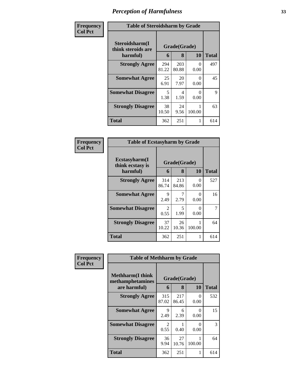| Frequency      | <b>Table of Steroidsharm by Grade</b>            |              |                   |           |              |
|----------------|--------------------------------------------------|--------------|-------------------|-----------|--------------|
| <b>Col Pct</b> | Steroidsharm(I<br>think steroids are<br>harmful) | 6            | Grade(Grade)<br>8 | <b>10</b> | <b>Total</b> |
|                | <b>Strongly Agree</b>                            | 294<br>81.22 | 203<br>80.88      | 0<br>0.00 | 497          |
|                | <b>Somewhat Agree</b>                            | 25<br>6.91   | 20<br>7.97        | 0<br>0.00 | 45           |
|                | <b>Somewhat Disagree</b>                         | 5<br>1.38    | 4<br>1.59         | 0<br>0.00 | 9            |
|                | <b>Strongly Disagree</b>                         | 38<br>10.50  | 24<br>9.56        | 100.00    | 63           |
|                | <b>Total</b>                                     | 362          | 251               | 1         | 614          |

| Frequency |  |
|-----------|--|
| Col Pct   |  |

| <b>Table of Ecstasyharm by Grade</b>          |                   |              |           |     |  |  |
|-----------------------------------------------|-------------------|--------------|-----------|-----|--|--|
| Ecstasyharm(I<br>think ecstasy is<br>harmful) | Grade(Grade)<br>6 | <b>Total</b> |           |     |  |  |
| <b>Strongly Agree</b>                         | 314<br>86.74      | 213<br>84.86 | 0<br>0.00 | 527 |  |  |
| <b>Somewhat Agree</b>                         | 9<br>2.49         | 7<br>2.79    | ∩<br>0.00 | 16  |  |  |
| <b>Somewhat Disagree</b>                      | 2<br>0.55         | 5<br>1.99    | 0<br>0.00 |     |  |  |
| <b>Strongly Disagree</b>                      | 37<br>10.22       | 26<br>10.36  | 100.00    | 64  |  |  |
| <b>Total</b>                                  | 362               | 251          | 1         | 614 |  |  |

| Frequency      | <b>Table of Methharm by Grade</b>            |                        |              |           |              |  |  |  |
|----------------|----------------------------------------------|------------------------|--------------|-----------|--------------|--|--|--|
| <b>Col Pct</b> | <b>Methharm</b> (I think<br>methamphetamines |                        | Grade(Grade) |           |              |  |  |  |
|                | are harmful)                                 | 6                      | 8            | 10        | <b>Total</b> |  |  |  |
|                | <b>Strongly Agree</b>                        | 315<br>87.02           | 217<br>86.45 | 0<br>0.00 | 532          |  |  |  |
|                | <b>Somewhat Agree</b>                        | 9<br>2.49              | 6<br>2.39    | 0<br>0.00 | 15           |  |  |  |
|                | <b>Somewhat Disagree</b>                     | $\mathfrak{D}$<br>0.55 | 0.40         | 0<br>0.00 | 3            |  |  |  |
|                | <b>Strongly Disagree</b>                     | 36<br>9.94             | 27<br>10.76  | 100.00    | 64           |  |  |  |
|                | <b>Total</b>                                 | 362                    | 251          | 1         | 614          |  |  |  |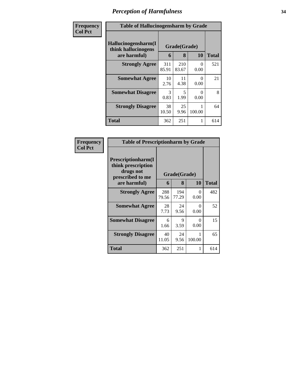| Frequency      | <b>Table of Hallucinogensharm by Grade</b>                 |              |                   |                  |              |
|----------------|------------------------------------------------------------|--------------|-------------------|------------------|--------------|
| <b>Col Pct</b> | Hallucinogensharm(I<br>think hallucinogens<br>are harmful) | 6            | Grade(Grade)<br>8 | 10               | <b>Total</b> |
|                | <b>Strongly Agree</b>                                      | 311<br>85.91 | 210<br>83.67      | $\Omega$<br>0.00 | 521          |
|                | <b>Somewhat Agree</b>                                      | 10<br>2.76   | 11<br>4.38        | 0<br>0.00        | 21           |
|                | <b>Somewhat Disagree</b>                                   | 3<br>0.83    | 5<br>1.99         | $\Omega$<br>0.00 | 8            |
|                | <b>Strongly Disagree</b>                                   | 38<br>10.50  | 25<br>9.96        | 100.00           | 64           |
|                | <b>Total</b>                                               | 362          | 251               |                  | 614          |

| Frequency      | <b>Table of Prescriptionharm by Grade</b>                                                 |              |                   |             |              |
|----------------|-------------------------------------------------------------------------------------------|--------------|-------------------|-------------|--------------|
| <b>Col Pct</b> | Prescriptionharm(I<br>think prescription<br>drugs not<br>prescribed to me<br>are harmful) | 6            | Grade(Grade)<br>8 | 10          | <b>Total</b> |
|                | <b>Strongly Agree</b>                                                                     | 288<br>79.56 | 194<br>77.29      | 0<br>0.00   | 482          |
|                | <b>Somewhat Agree</b>                                                                     | 28<br>7.73   | 24<br>9.56        | 0<br>0.00   | 52           |
|                | <b>Somewhat Disagree</b>                                                                  | 6<br>1.66    | 9<br>3.59         | 0<br>0.00   | 15           |
|                | <b>Strongly Disagree</b>                                                                  | 40<br>11.05  | 24<br>9.56        | 1<br>100.00 | 65           |
|                | Total                                                                                     | 362          | 251               | 1           | 614          |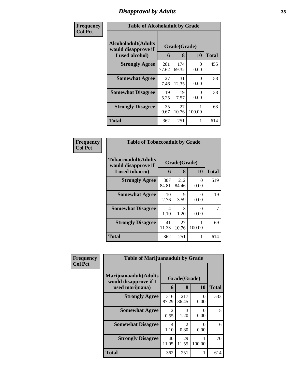### *Disapproval by Adults* **35**

| Frequency      | <b>Table of Alcoholadult by Grade</b>                                 |              |                   |                      |              |  |
|----------------|-----------------------------------------------------------------------|--------------|-------------------|----------------------|--------------|--|
| <b>Col Pct</b> | <b>Alcoholadult</b> (Adults<br>would disapprove if<br>I used alcohol) | 6            | Grade(Grade)<br>8 | 10                   | <b>Total</b> |  |
|                | <b>Strongly Agree</b>                                                 | 281<br>77.62 | 174<br>69.32      | $\theta$<br>0.00     | 455          |  |
|                | <b>Somewhat Agree</b>                                                 | 27<br>7.46   | 31<br>12.35       | 0<br>0.00            | 58           |  |
|                | <b>Somewhat Disagree</b>                                              | 19<br>5.25   | 19<br>7.57        | $\mathbf{0}$<br>0.00 | 38           |  |
|                | <b>Strongly Disagree</b>                                              | 35<br>9.67   | 27<br>10.76       | 100.00               | 63           |  |
|                | <b>Total</b>                                                          | 362          | 251               | 1                    | 614          |  |

| Frequency      | <b>Table of Tobaccoadult by Grade</b>                                 |              |                   |           |              |
|----------------|-----------------------------------------------------------------------|--------------|-------------------|-----------|--------------|
| <b>Col Pct</b> | <b>Tobaccoadult</b> (Adults<br>would disapprove if<br>I used tobacco) | 6            | Grade(Grade)<br>8 | 10        | <b>Total</b> |
|                | <b>Strongly Agree</b>                                                 | 307<br>84.81 | 212<br>84.46      | 0<br>0.00 | 519          |
|                | <b>Somewhat Agree</b>                                                 | 10<br>2.76   | 9<br>3.59         | 0<br>0.00 | 19           |
|                | <b>Somewhat Disagree</b>                                              | 4<br>1.10    | 3<br>1.20         | 0<br>0.00 | 7            |
|                | <b>Strongly Disagree</b>                                              | 41<br>11.33  | 27<br>10.76       | 100.00    | 69           |
|                | <b>Total</b>                                                          | 362          | 251               | 1         | 614          |

| Frequency      | <b>Table of Marijuanaadult by Grade</b>        |                        |                        |                  |              |
|----------------|------------------------------------------------|------------------------|------------------------|------------------|--------------|
| <b>Col Pct</b> | Marijuanaadult(Adults<br>would disapprove if I |                        | Grade(Grade)           |                  |              |
|                | used marijuana)                                | 6                      | 8                      | 10               | <b>Total</b> |
|                | <b>Strongly Agree</b>                          | 316<br>87.29           | 217<br>86.45           | $\theta$<br>0.00 | 533          |
|                | <b>Somewhat Agree</b>                          | 2<br>0.55              | 3<br>1.20              | $\Omega$<br>0.00 | 5            |
|                | <b>Somewhat Disagree</b>                       | $\overline{4}$<br>1.10 | $\mathfrak{D}$<br>0.80 | $\Omega$<br>0.00 | 6            |
|                | <b>Strongly Disagree</b>                       | 40<br>11.05            | 29<br>11.55            | 100.00           | 70           |
|                | <b>Total</b>                                   | 362                    | 251                    |                  | 614          |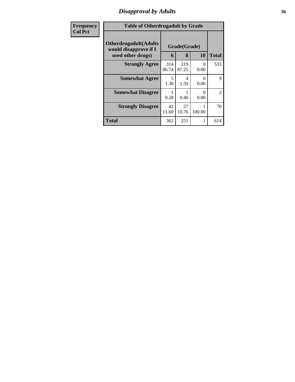### *Disapproval by Adults* **36**

| Frequency      | <b>Table of Otherdrugadult by Grade</b>                                     |              |                   |                       |                |
|----------------|-----------------------------------------------------------------------------|--------------|-------------------|-----------------------|----------------|
| <b>Col Pct</b> | <b>Otherdrugadult</b> (Adults<br>would disapprove if I<br>used other drugs) | 6            | Grade(Grade)<br>8 | 10                    | <b>Total</b>   |
|                | <b>Strongly Agree</b>                                                       | 314<br>86.74 | 219<br>87.25      | 0<br>0.00             | 533            |
|                | <b>Somewhat Agree</b>                                                       | 5<br>1.38    | 1.59              | 0.00                  | 9              |
|                | <b>Somewhat Disagree</b>                                                    | 0.28         | 0.40              | $\mathcal{O}$<br>0.00 | $\overline{2}$ |
|                | <b>Strongly Disagree</b>                                                    | 42<br>11.60  | 27<br>10.76       | 100.00                | 70             |
|                | <b>Total</b>                                                                | 362          | 251               | 1                     | 614            |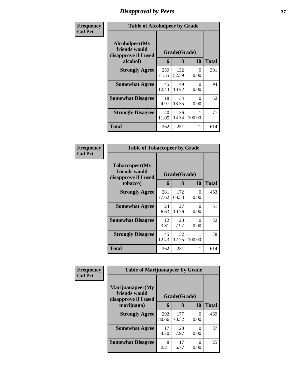## *Disapproval by Peers* **37**

| Frequency      | <b>Table of Alcoholpeer by Grade</b>                    |              |              |           |              |  |  |  |
|----------------|---------------------------------------------------------|--------------|--------------|-----------|--------------|--|--|--|
| <b>Col Pct</b> | Alcoholpeer(My<br>friends would<br>disapprove if I used | Grade(Grade) |              |           |              |  |  |  |
|                | alcohol)                                                | 6            | 8            | 10        | <b>Total</b> |  |  |  |
|                | <b>Strongly Agree</b>                                   | 259<br>71.55 | 132<br>52.59 | 0<br>0.00 | 391          |  |  |  |
|                | <b>Somewhat Agree</b>                                   | 45<br>12.43  | 49<br>19.52  | 0<br>0.00 | 94           |  |  |  |
|                | <b>Somewhat Disagree</b>                                | 18<br>4.97   | 34<br>13.55  | 0<br>0.00 | 52           |  |  |  |
|                | <b>Strongly Disagree</b>                                | 40<br>11.05  | 36<br>14.34  | 100.00    | 77           |  |  |  |
|                | <b>Total</b>                                            | 362          | 251          | 1         | 614          |  |  |  |

| Frequency      | <b>Table of Tobaccopeer by Grade</b>                                |              |                   |             |              |  |  |
|----------------|---------------------------------------------------------------------|--------------|-------------------|-------------|--------------|--|--|
| <b>Col Pct</b> | Tobaccopeer(My<br>friends would<br>disapprove if I used<br>tobacco) | 6            | Grade(Grade)<br>8 | 10          | <b>Total</b> |  |  |
|                | <b>Strongly Agree</b>                                               | 281<br>77.62 | 172<br>68.53      | 0<br>0.00   | 453          |  |  |
|                | <b>Somewhat Agree</b>                                               | 24<br>6.63   | 27<br>10.76       | ∩<br>0.00   | 51           |  |  |
|                | <b>Somewhat Disagree</b>                                            | 12<br>3.31   | 20<br>7.97        | 0<br>0.00   | 32           |  |  |
|                | <b>Strongly Disagree</b>                                            | 45<br>12.43  | 32<br>12.75       | 1<br>100.00 | 78           |  |  |
|                | Total                                                               | 362          | 251               | 1           | 614          |  |  |

| Frequency      |                                                           | <b>Table of Marijuanapeer by Grade</b> |              |           |              |  |
|----------------|-----------------------------------------------------------|----------------------------------------|--------------|-----------|--------------|--|
| <b>Col Pct</b> | Marijuanapeer(My<br>friends would<br>disapprove if I used | Grade(Grade)                           |              |           |              |  |
|                | marijuana)                                                | 6                                      | 8            | 10        | <b>Total</b> |  |
|                | <b>Strongly Agree</b>                                     | 292<br>80.66                           | 177<br>70.52 | 0<br>0.00 | 469          |  |
|                | <b>Somewhat Agree</b>                                     | 17<br>4.70                             | 20<br>7.97   | 0.00      | 37           |  |
|                | <b>Somewhat Disagree</b>                                  | 8<br>2.21                              | 17<br>6.77   | 0.00      | 25           |  |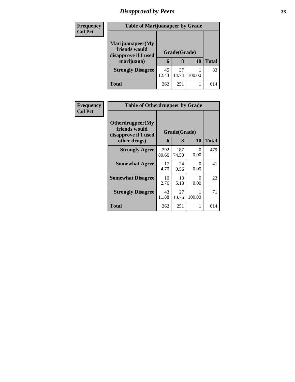## *Disapproval by Peers* **38**

| <b>Frequency</b> | <b>Table of Marijuanapeer by Grade</b>                                  |             |                   |        |              |  |  |  |
|------------------|-------------------------------------------------------------------------|-------------|-------------------|--------|--------------|--|--|--|
| <b>Col Pct</b>   | Marijuanapeer(My<br>friends would<br>disapprove if I used<br>marijuana) | 6           | Grade(Grade)<br>8 | 10     | <b>Total</b> |  |  |  |
|                  | <b>Strongly Disagree</b>                                                | 45<br>12.43 | 37<br>14.74       | 100.00 | 83           |  |  |  |
|                  | Total                                                                   | 362         | 251               |        | 614          |  |  |  |

| <b>Frequency</b> | <b>Table of Otherdrugpeer by Grade</b>                                    |              |                   |                      |       |
|------------------|---------------------------------------------------------------------------|--------------|-------------------|----------------------|-------|
| <b>Col Pct</b>   | Otherdrugpeer(My<br>friends would<br>disapprove if I used<br>other drugs) | 6            | Grade(Grade)<br>8 | 10                   | Total |
|                  | <b>Strongly Agree</b>                                                     | 292<br>80.66 | 187<br>74.50      | $\mathbf{0}$<br>0.00 | 479   |
|                  | <b>Somewhat Agree</b>                                                     | 17<br>4.70   | 24<br>9.56        | 0<br>0.00            | 41    |
|                  | <b>Somewhat Disagree</b>                                                  | 10<br>2.76   | 13<br>5.18        | $\Omega$<br>0.00     | 23    |
|                  | <b>Strongly Disagree</b>                                                  | 43<br>11.88  | 27<br>10.76       | 100.00               | 71    |
|                  | Total                                                                     | 362          | 251               |                      | 614   |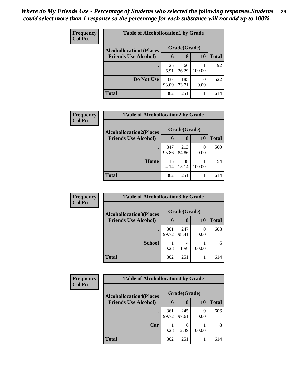| Frequency      | <b>Table of Alcohollocation1 by Grade</b> |              |              |           |              |  |  |  |
|----------------|-------------------------------------------|--------------|--------------|-----------|--------------|--|--|--|
| <b>Col Pct</b> | <b>Alcohollocation1(Places</b>            |              | Grade(Grade) |           |              |  |  |  |
|                | <b>Friends Use Alcohol)</b>               | 6            | 8            | 10        | <b>Total</b> |  |  |  |
|                |                                           | 25<br>6.91   | 66<br>26.29  | 100.00    | 92           |  |  |  |
|                | Do Not Use                                | 337<br>93.09 | 185<br>73.71 | 0<br>0.00 | 522          |  |  |  |
|                | <b>Total</b>                              | 362          | 251          |           | 614          |  |  |  |

| Frequency      | <b>Table of Alcohollocation2 by Grade</b> |              |              |           |       |  |  |  |
|----------------|-------------------------------------------|--------------|--------------|-----------|-------|--|--|--|
| <b>Col Pct</b> | <b>Alcohollocation2(Places</b>            |              | Grade(Grade) |           |       |  |  |  |
|                | <b>Friends Use Alcohol)</b>               | 6            | 8            | <b>10</b> | Total |  |  |  |
|                |                                           | 347<br>95.86 | 213<br>84.86 | 0.00      | 560   |  |  |  |
|                | Home                                      | 15<br>4.14   | 38<br>15.14  | 100.00    | 54    |  |  |  |
|                | <b>Total</b>                              | 362          | 251          |           | 614   |  |  |  |

| Frequency<br><b>Col Pct</b> | <b>Table of Alcohollocation 3 by Grade</b> |              |              |        |              |  |
|-----------------------------|--------------------------------------------|--------------|--------------|--------|--------------|--|
|                             | <b>Alcohollocation3(Places</b>             |              | Grade(Grade) |        |              |  |
|                             | <b>Friends Use Alcohol)</b>                | 6            | 8            | 10     | <b>Total</b> |  |
|                             |                                            | 361<br>99.72 | 247<br>98.41 | 0.00   | 608          |  |
|                             | <b>School</b>                              | 0.28         | 4<br>1.59    | 100.00 | 6            |  |
|                             | <b>Total</b>                               | 362          | 251          |        | 614          |  |

| Frequency      | <b>Table of Alcohollocation4 by Grade</b> |              |              |        |              |  |
|----------------|-------------------------------------------|--------------|--------------|--------|--------------|--|
| <b>Col Pct</b> | <b>Alcohollocation4(Places</b>            |              | Grade(Grade) |        |              |  |
|                | <b>Friends Use Alcohol)</b>               | 6            | 8            | 10     | <b>Total</b> |  |
|                |                                           | 361<br>99.72 | 245<br>97.61 | 0.00   | 606          |  |
|                | Car                                       | 0.28         | 6<br>2.39    | 100.00 | 8            |  |
|                | <b>Total</b>                              | 362          | 251          |        | 614          |  |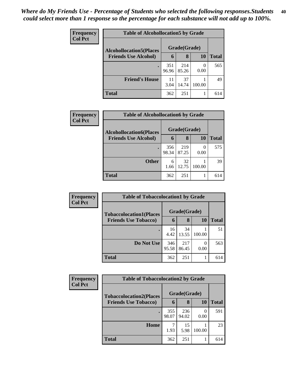| <b>Frequency</b><br><b>Col Pct</b> | <b>Table of Alcohollocation5 by Grade</b> |              |              |        |              |  |
|------------------------------------|-------------------------------------------|--------------|--------------|--------|--------------|--|
|                                    | <b>Alcohollocation5</b> (Places           |              | Grade(Grade) |        |              |  |
|                                    | <b>Friends Use Alcohol)</b>               | 6            | 8            | 10     | <b>Total</b> |  |
|                                    |                                           | 351<br>96.96 | 214<br>85.26 | 0.00   | 565          |  |
|                                    | <b>Friend's House</b>                     | 11<br>3.04   | 37<br>14.74  | 100.00 | 49           |  |
|                                    | <b>Total</b>                              | 362          | 251          |        | 614          |  |

| Frequency      | <b>Table of Alcohollocation6 by Grade</b> |       |              |           |              |
|----------------|-------------------------------------------|-------|--------------|-----------|--------------|
| <b>Col Pct</b> | <b>Alcohollocation6(Places</b>            |       | Grade(Grade) |           |              |
|                | <b>Friends Use Alcohol)</b>               | 6     | 8            | <b>10</b> | <b>Total</b> |
|                |                                           | 356   | 219          |           | 575          |
|                |                                           | 98.34 | 87.25        | 0.00      |              |
|                | <b>Other</b>                              | 6     | 32           |           | 39           |
|                |                                           | 1.66  | 12.75        | 100.00    |              |
|                | <b>Total</b>                              | 362   | 251          |           | 614          |

| Frequency      | <b>Table of Tobaccolocation1 by Grade</b> |              |              |        |       |  |
|----------------|-------------------------------------------|--------------|--------------|--------|-------|--|
| <b>Col Pct</b> | <b>Tobaccolocation1(Places</b>            | Grade(Grade) |              |        |       |  |
|                | <b>Friends Use Tobacco)</b>               | 6            | 8            | 10     | Total |  |
|                |                                           | 16<br>4.42   | 34<br>13.55  | 100.00 | 51    |  |
|                | Do Not Use                                | 346<br>95.58 | 217<br>86.45 | 0.00   | 563   |  |
|                | <b>Total</b>                              | 362          | 251          |        | 614   |  |

| Frequency<br><b>Col Pct</b> | <b>Table of Tobaccolocation2 by Grade</b> |              |              |        |              |  |  |  |
|-----------------------------|-------------------------------------------|--------------|--------------|--------|--------------|--|--|--|
|                             | <b>Tobaccolocation2(Places</b>            |              | Grade(Grade) |        |              |  |  |  |
|                             | <b>Friends Use Tobacco)</b>               | 6            | 8            | 10     | <b>Total</b> |  |  |  |
|                             |                                           | 355<br>98.07 | 236<br>94.02 | 0.00   | 591          |  |  |  |
|                             | Home                                      | 1.93         | 15<br>5.98   | 100.00 | 23           |  |  |  |
|                             | Total                                     | 362          | 251          |        | 614          |  |  |  |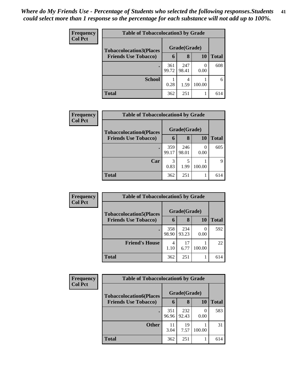| <b>Frequency</b> | <b>Table of Tobaccolocation 3 by Grade</b>                    |              |              |        |              |  |
|------------------|---------------------------------------------------------------|--------------|--------------|--------|--------------|--|
| <b>Col Pct</b>   | <b>Tobaccolocation3(Places</b><br><b>Friends Use Tobacco)</b> |              | Grade(Grade) |        |              |  |
|                  |                                                               | 6            | 8            | 10     | <b>Total</b> |  |
|                  |                                                               | 361<br>99.72 | 247<br>98.41 | 0.00   | 608          |  |
|                  | <b>School</b>                                                 | 0.28         | 4<br>1.59    | 100.00 | 6            |  |
|                  | <b>Total</b>                                                  | 362          | 251          |        | 614          |  |

| Frequency      | <b>Table of Tobaccolocation4 by Grade</b> |       |              |        |              |  |  |  |
|----------------|-------------------------------------------|-------|--------------|--------|--------------|--|--|--|
| <b>Col Pct</b> | <b>Tobaccolocation4(Places</b>            |       | Grade(Grade) |        |              |  |  |  |
|                | <b>Friends Use Tobacco)</b>               | 6     | 8            | 10     | <b>Total</b> |  |  |  |
|                | $\bullet$                                 | 359   | 246          |        | 605          |  |  |  |
|                |                                           | 99.17 | 98.01        | 0.00   |              |  |  |  |
|                | Car                                       | 3     |              |        | Q            |  |  |  |
|                |                                           | 0.83  | 1.99         | 100.00 |              |  |  |  |
|                | <b>Total</b>                              | 362   | 251          |        | 614          |  |  |  |

| <b>Frequency</b> | <b>Table of Tobaccolocation5 by Grade</b>                     |              |              |        |              |  |
|------------------|---------------------------------------------------------------|--------------|--------------|--------|--------------|--|
| <b>Col Pct</b>   | <b>Tobaccolocation5(Places</b><br><b>Friends Use Tobacco)</b> |              | Grade(Grade) |        |              |  |
|                  |                                                               | 6            | 8            | 10     | <b>Total</b> |  |
|                  |                                                               | 358<br>98.90 | 234<br>93.23 | 0.00   | 592          |  |
|                  | <b>Friend's House</b>                                         | 4<br>1.10    | 17<br>6.77   | 100.00 | 22           |  |
|                  | <b>Total</b>                                                  | 362          | 251          |        | 614          |  |

| <b>Frequency</b> | <b>Table of Tobaccolocation6 by Grade</b>                     |              |              |        |       |
|------------------|---------------------------------------------------------------|--------------|--------------|--------|-------|
| <b>Col Pct</b>   | <b>Tobaccolocation6(Places</b><br><b>Friends Use Tobacco)</b> |              | Grade(Grade) |        |       |
|                  |                                                               | 6            | 8            | 10     | Total |
|                  |                                                               | 351<br>96.96 | 232<br>92.43 | 0.00   | 583   |
|                  | <b>Other</b>                                                  | 11<br>3.04   | 19<br>7.57   | 100.00 | 31    |
|                  | Total                                                         | 362          | 251          |        | 614   |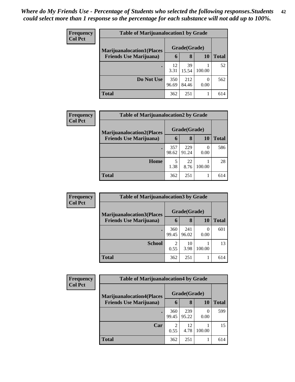| Frequency      | <b>Table of Marijuanalocation1 by Grade</b> |              |              |        |              |  |  |  |  |
|----------------|---------------------------------------------|--------------|--------------|--------|--------------|--|--|--|--|
| <b>Col Pct</b> | <b>Marijuanalocation1(Places</b>            |              | Grade(Grade) |        |              |  |  |  |  |
|                | <b>Friends Use Marijuana</b> )              | 6            | 8            | 10     | <b>Total</b> |  |  |  |  |
|                |                                             | 12<br>3.31   | 39<br>15.54  | 100.00 | 52           |  |  |  |  |
|                | Do Not Use                                  | 350<br>96.69 | 212<br>84.46 | 0.00   | 562          |  |  |  |  |
|                | <b>Total</b>                                | 362          | 251          |        | 614          |  |  |  |  |

| <b>Frequency</b> | <b>Table of Marijuanalocation2 by Grade</b>                        |              |              |        |              |  |  |
|------------------|--------------------------------------------------------------------|--------------|--------------|--------|--------------|--|--|
| <b>Col Pct</b>   | <b>Marijuanalocation2(Places</b><br><b>Friends Use Marijuana</b> ) |              | Grade(Grade) |        |              |  |  |
|                  |                                                                    | 6            | 8            | 10     | <b>Total</b> |  |  |
|                  |                                                                    | 357<br>98.62 | 229<br>91.24 | 0.00   | 586          |  |  |
|                  | Home                                                               | 5<br>1.38    | 22<br>8.76   | 100.00 | 28           |  |  |
|                  | <b>Total</b>                                                       | 362          | 251          |        | 614          |  |  |

| Frequency                      | <b>Table of Marijuanalocation3 by Grade</b> |              |              |           |     |  |  |
|--------------------------------|---------------------------------------------|--------------|--------------|-----------|-----|--|--|
| <b>Col Pct</b>                 | <b>Marijuanalocation3</b> (Places           |              | Grade(Grade) |           |     |  |  |
| <b>Friends Use Marijuana</b> ) | 6                                           | 8            | 10           | Total     |     |  |  |
|                                |                                             | 360<br>99.45 | 241<br>96.02 | 0<br>0.00 | 601 |  |  |
|                                | <b>School</b>                               | 2<br>0.55    | 10<br>3.98   | 100.00    | 13  |  |  |
|                                | <b>Total</b>                                | 362          | 251          |           | 614 |  |  |

| <b>Frequency</b> | <b>Table of Marijuanalocation4 by Grade</b> |                        |              |        |       |  |  |
|------------------|---------------------------------------------|------------------------|--------------|--------|-------|--|--|
| <b>Col Pct</b>   | <b>Marijuanalocation4(Places</b>            | Grade(Grade)           |              |        |       |  |  |
|                  | <b>Friends Use Marijuana</b> )              | 6                      | 8            | 10     | Total |  |  |
|                  |                                             | 360<br>99.45           | 239<br>95.22 | 0.00   | 599   |  |  |
|                  | Car                                         | $\overline{c}$<br>0.55 | 12<br>4.78   | 100.00 | 15    |  |  |
|                  | Total                                       | 362                    | 251          |        | 614   |  |  |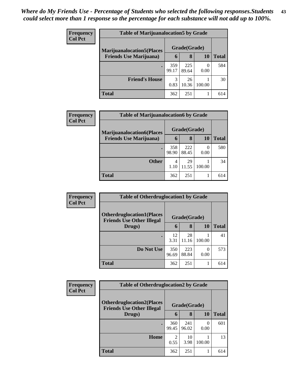| <b>Frequency</b> | <b>Table of Marijuanalocation5 by Grade</b> |              |              |        |       |  |  |
|------------------|---------------------------------------------|--------------|--------------|--------|-------|--|--|
| <b>Col Pct</b>   | <b>Marijuanalocation5</b> (Places           |              | Grade(Grade) |        |       |  |  |
|                  | <b>Friends Use Marijuana</b> )              | 6            | 8            | 10     | Total |  |  |
|                  |                                             | 359<br>99.17 | 225<br>89.64 | 0.00   | 584   |  |  |
|                  | <b>Friend's House</b>                       | 3<br>0.83    | 26<br>10.36  | 100.00 | 30    |  |  |
|                  | Total                                       | 362          | 251          |        | 614   |  |  |

| Frequency      | <b>Table of Marijuanalocation6 by Grade</b> |              |              |           |              |  |  |  |
|----------------|---------------------------------------------|--------------|--------------|-----------|--------------|--|--|--|
| <b>Col Pct</b> | <b>Marijuanalocation6(Places</b>            |              | Grade(Grade) |           |              |  |  |  |
|                | <b>Friends Use Marijuana</b> )              | 6            | 8            | 10        | <b>Total</b> |  |  |  |
|                |                                             | 358<br>98.90 | 222<br>88.45 | 0<br>0.00 | 580          |  |  |  |
|                | <b>Other</b>                                | 4<br>1.10    | 29<br>11.55  | 100.00    | 34           |  |  |  |
|                | <b>Total</b>                                | 362          | 251          |           | 614          |  |  |  |

| <b>Frequency</b> | <b>Table of Otherdruglocation1 by Grade</b>                          |              |              |        |       |  |
|------------------|----------------------------------------------------------------------|--------------|--------------|--------|-------|--|
| <b>Col Pct</b>   | <b>Otherdruglocation1(Places</b><br><b>Friends Use Other Illegal</b> |              | Grade(Grade) |        |       |  |
|                  | Drugs)                                                               | 6            | 8            | 10     | Total |  |
|                  | $\bullet$                                                            | 12<br>3.31   | 28<br>11.16  | 100.00 | 41    |  |
|                  | Do Not Use                                                           | 350<br>96.69 | 223<br>88.84 | 0.00   | 573   |  |
|                  | <b>Total</b>                                                         | 362          | 251          |        | 614   |  |

| <b>Frequency</b> | <b>Table of Otherdruglocation2 by Grade</b>                          |              |              |        |              |
|------------------|----------------------------------------------------------------------|--------------|--------------|--------|--------------|
| <b>Col Pct</b>   | <b>Otherdruglocation2(Places</b><br><b>Friends Use Other Illegal</b> |              | Grade(Grade) |        |              |
|                  | Drugs)                                                               | 6            | 8            | 10     | <b>Total</b> |
|                  |                                                                      | 360<br>99.45 | 241<br>96.02 | 0.00   | 601          |
|                  | <b>Home</b>                                                          | 2<br>0.55    | 10<br>3.98   | 100.00 | 13           |
|                  | <b>Total</b>                                                         | 362          | 251          |        | 614          |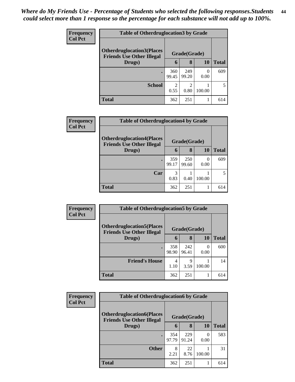| <b>Frequency</b> | <b>Table of Otherdruglocation3 by Grade</b>                                           |                       |                        |                  |              |  |
|------------------|---------------------------------------------------------------------------------------|-----------------------|------------------------|------------------|--------------|--|
| <b>Col Pct</b>   | <b>Otherdruglocation3(Places)</b><br>Grade(Grade)<br><b>Friends Use Other Illegal</b> |                       |                        |                  |              |  |
|                  | Drugs)                                                                                | 6                     | 8                      | 10               | <b>Total</b> |  |
|                  | $\bullet$                                                                             | 360<br>99.45          | 249<br>99.20           | $\Omega$<br>0.00 | 609          |  |
|                  | <b>School</b>                                                                         | $\mathcal{D}$<br>0.55 | $\mathfrak{D}$<br>0.80 | 100.00           |              |  |
|                  | <b>Total</b>                                                                          | 362                   | 251                    |                  | 614          |  |

| <b>Frequency</b><br><b>Col Pct</b> | <b>Table of Otherdruglocation4 by Grade</b>                           |              |              |                  |              |  |  |
|------------------------------------|-----------------------------------------------------------------------|--------------|--------------|------------------|--------------|--|--|
|                                    | <b>Otherdruglocation4(Places)</b><br><b>Friends Use Other Illegal</b> |              | Grade(Grade) |                  |              |  |  |
|                                    | Drugs)                                                                | $\mathbf b$  | 8            | 10               | <b>Total</b> |  |  |
|                                    |                                                                       | 359<br>99.17 | 250<br>99.60 | $\Omega$<br>0.00 | 609          |  |  |
|                                    | Car                                                                   | 3<br>0.83    | 0.40         | 100.00           | 5            |  |  |
|                                    | <b>Total</b>                                                          | 362          | 251          |                  | 614          |  |  |

| <b>Frequency</b> | <b>Table of Otherdruglocation5 by Grade</b>                          |              |              |        |              |
|------------------|----------------------------------------------------------------------|--------------|--------------|--------|--------------|
| <b>Col Pct</b>   | <b>Otherdruglocation5(Places</b><br><b>Friends Use Other Illegal</b> |              | Grade(Grade) |        |              |
|                  | Drugs)                                                               | 6            | 8            | 10     | <b>Total</b> |
|                  |                                                                      | 358<br>98.90 | 242<br>96.41 | 0.00   | 600          |
|                  | <b>Friend's House</b>                                                | 4<br>1.10    | Q<br>3.59    | 100.00 | 14           |
|                  | <b>Total</b>                                                         | 362          | 251          |        | 614          |

| <b>Frequency</b> | <b>Table of Otherdruglocation6 by Grade</b>                          |              |              |                  |              |  |
|------------------|----------------------------------------------------------------------|--------------|--------------|------------------|--------------|--|
| <b>Col Pct</b>   | <b>Otherdruglocation6(Places</b><br><b>Friends Use Other Illegal</b> |              | Grade(Grade) |                  |              |  |
|                  | Drugs)                                                               | 6            | 8            | 10               | <b>Total</b> |  |
|                  |                                                                      | 354<br>97.79 | 229<br>91.24 | $\Omega$<br>0.00 | 583          |  |
|                  | <b>Other</b>                                                         | 8<br>2.21    | 22<br>8.76   | 100.00           | 31           |  |
|                  | <b>Total</b>                                                         | 362          | 251          |                  | 614          |  |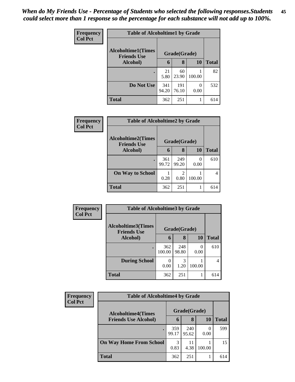| <b>Frequency</b> | <b>Table of Alcoholtime1 by Grade</b>           |              |              |           |              |
|------------------|-------------------------------------------------|--------------|--------------|-----------|--------------|
| <b>Col Pct</b>   | <b>Alcoholtime1(Times</b><br><b>Friends Use</b> |              | Grade(Grade) |           |              |
|                  | Alcohol)                                        | 6            | 8            | 10        | <b>Total</b> |
|                  | ٠                                               | 21<br>5.80   | 60<br>23.90  | 100.00    | 82           |
|                  | Do Not Use                                      | 341<br>94.20 | 191<br>76.10 | 0<br>0.00 | 532          |
|                  | <b>Total</b>                                    | 362          | 251          |           | 614          |

| Frequency      | <b>Table of Alcoholtime2 by Grade</b>           |              |              |                  |              |
|----------------|-------------------------------------------------|--------------|--------------|------------------|--------------|
| <b>Col Pct</b> | <b>Alcoholtime2(Times</b><br><b>Friends Use</b> | Grade(Grade) |              |                  |              |
|                | Alcohol)                                        | 6            | 8            | 10               | <b>Total</b> |
|                | $\bullet$                                       | 361<br>99.72 | 249<br>99.20 | $\Omega$<br>0.00 | 610          |
|                | <b>On Way to School</b>                         | 0.28         | 0.80         | 100.00           |              |
|                | <b>Total</b>                                    | 362          | 251          |                  | 614          |

| Frequency      | <b>Table of Alcoholtime3 by Grade</b>    |               |              |           |                |  |
|----------------|------------------------------------------|---------------|--------------|-----------|----------------|--|
| <b>Col Pct</b> | Alcoholtime3(Times<br><b>Friends Use</b> |               | Grade(Grade) |           |                |  |
|                | Alcohol)                                 | 6             | 8            | 10        | <b>Total</b>   |  |
|                |                                          | 362<br>100.00 | 248<br>98.80 | 0<br>0.00 | 610            |  |
|                | <b>During School</b>                     | 0<br>0.00     | 3<br>1.20    | 100.00    | $\overline{4}$ |  |
|                | <b>Total</b>                             | 362           | 251          | 1         | 614            |  |

| Frequency<br><b>Col Pct</b> | <b>Table of Alcoholtime4 by Grade</b> |              |              |        |       |  |  |
|-----------------------------|---------------------------------------|--------------|--------------|--------|-------|--|--|
|                             | <b>Alcoholtime4(Times</b>             |              | Grade(Grade) |        |       |  |  |
|                             | <b>Friends Use Alcohol)</b>           | 6            | 8            | 10     | Total |  |  |
|                             |                                       | 359<br>99.17 | 240<br>95.62 | 0.00   | 599   |  |  |
|                             | <b>On Way Home From School</b>        | 3<br>0.83    | 11<br>4.38   | 100.00 | 15    |  |  |
|                             | <b>Total</b>                          | 362          | 251          |        | 614   |  |  |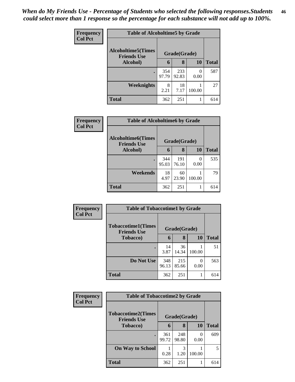| Frequency<br><b>Col Pct</b> | <b>Table of Alcoholtime5 by Grade</b>           |              |              |           |              |  |
|-----------------------------|-------------------------------------------------|--------------|--------------|-----------|--------------|--|
|                             | <b>Alcoholtime5(Times</b><br><b>Friends Use</b> |              | Grade(Grade) |           |              |  |
|                             | <b>Alcohol</b> )                                | 6            | 8            | 10        | <b>Total</b> |  |
|                             |                                                 | 354<br>97.79 | 233<br>92.83 | 0<br>0.00 | 587          |  |
|                             | <b>Weeknights</b>                               | 8<br>2.21    | 18<br>7.17   | 100.00    | 27           |  |
|                             | <b>Total</b>                                    | 362          | 251          | 1         | 614          |  |

| Frequency<br><b>Col Pct</b> |                                                 | <b>Table of Alcoholtime6 by Grade</b> |              |                  |              |  |  |
|-----------------------------|-------------------------------------------------|---------------------------------------|--------------|------------------|--------------|--|--|
|                             | <b>Alcoholtime6(Times</b><br><b>Friends Use</b> | Grade(Grade)                          |              |                  |              |  |  |
|                             | Alcohol)                                        | 6                                     | 8            | 10               | <b>Total</b> |  |  |
|                             | $\bullet$                                       | 344<br>95.03                          | 191<br>76.10 | $\Omega$<br>0.00 | 535          |  |  |
|                             | Weekends                                        | 18<br>4.97                            | 60<br>23.90  | 100.00           | 79           |  |  |
|                             | <b>Total</b>                                    | 362                                   | 251          |                  | 614          |  |  |

| <b>Frequency</b> | <b>Table of Tobaccotime1 by Grade</b>                           |              |              |           |              |  |
|------------------|-----------------------------------------------------------------|--------------|--------------|-----------|--------------|--|
| <b>Col Pct</b>   | <b>Tobaccotime1(Times</b><br>Grade(Grade)<br><b>Friends Use</b> |              |              |           |              |  |
|                  | <b>Tobacco</b> )                                                | 6            | 8            | <b>10</b> | <b>Total</b> |  |
|                  |                                                                 | 14<br>3.87   | 36<br>14.34  | 100.00    | 51           |  |
|                  | Do Not Use                                                      | 348<br>96.13 | 215<br>85.66 | 0<br>0.00 | 563          |  |
|                  | <b>Total</b>                                                    | 362          | 251          |           | 614          |  |

| Frequency<br><b>Col Pct</b> | <b>Table of Tobaccotime2 by Grade</b>           |              |              |        |              |  |
|-----------------------------|-------------------------------------------------|--------------|--------------|--------|--------------|--|
|                             | <b>Tobaccotime2(Times</b><br><b>Friends Use</b> |              | Grade(Grade) |        |              |  |
|                             | <b>Tobacco</b> )                                | 6            | 8            | 10     | <b>Total</b> |  |
|                             |                                                 | 361<br>99.72 | 248<br>98.80 | 0.00   | 609          |  |
|                             | <b>On Way to School</b>                         | 0.28         | 1.20         | 100.00 | 5            |  |
|                             | <b>Total</b>                                    | 362          | 251          |        | 614          |  |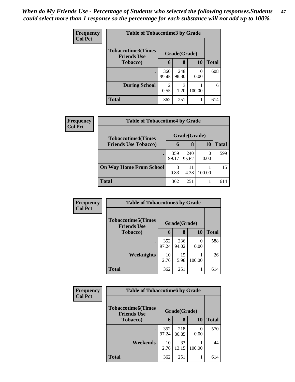| Frequency<br><b>Col Pct</b> | <b>Table of Tobaccotime3 by Grade</b>           |                        |              |           |              |  |
|-----------------------------|-------------------------------------------------|------------------------|--------------|-----------|--------------|--|
|                             | <b>Tobaccotime3(Times</b><br><b>Friends Use</b> |                        | Grade(Grade) |           |              |  |
|                             | <b>Tobacco</b> )                                | 6                      | 8            | 10        | <b>Total</b> |  |
|                             | $\bullet$                                       | 360<br>99.45           | 248<br>98.80 | 0<br>0.00 | 608          |  |
|                             | <b>During School</b>                            | $\mathfrak{D}$<br>0.55 | 3<br>1.20    | 100.00    | 6            |  |
|                             | <b>Total</b>                                    | 362                    | 251          |           | 614          |  |

| Frequency<br><b>Col Pct</b> | <b>Table of Tobaccotime4 by Grade</b> |              |              |              |     |  |
|-----------------------------|---------------------------------------|--------------|--------------|--------------|-----|--|
|                             | <b>Tobaccotime4(Times</b>             |              | Grade(Grade) |              |     |  |
| <b>Friends Use Tobacco)</b> | 6                                     | 8            | 10           | <b>Total</b> |     |  |
|                             |                                       | 359<br>99.17 | 240<br>95.62 | 0.00         | 599 |  |
|                             | <b>On Way Home From School</b>        | 3<br>0.83    | 11<br>4.38   | 100.00       | 15  |  |
|                             | <b>Total</b>                          | 362          | 251          |              | 614 |  |

| Frequency      | <b>Table of Tobaccotime5 by Grade</b>            |              |              |        |              |  |
|----------------|--------------------------------------------------|--------------|--------------|--------|--------------|--|
| <b>Col Pct</b> | <b>Tobaccotime5</b> (Times<br><b>Friends Use</b> |              | Grade(Grade) |        |              |  |
|                | <b>Tobacco</b> )                                 | 6            | 8            | 10     | <b>Total</b> |  |
|                | ٠                                                | 352<br>97.24 | 236<br>94.02 | 0.00   | 588          |  |
|                | Weeknights                                       | 10<br>2.76   | 15<br>5.98   | 100.00 | 26           |  |
|                | <b>Total</b>                                     | 362          | 251          | 1      | 614          |  |

| <b>Frequency</b> | <b>Table of Tobaccotime6 by Grade</b>           |              |              |        |              |  |
|------------------|-------------------------------------------------|--------------|--------------|--------|--------------|--|
| <b>Col Pct</b>   | <b>Tobaccotime6(Times</b><br><b>Friends Use</b> |              | Grade(Grade) |        |              |  |
|                  | <b>Tobacco</b> )                                | 6            | 8            | 10     | <b>Total</b> |  |
|                  | $\bullet$                                       | 352<br>97.24 | 218<br>86.85 | 0.00   | 570          |  |
|                  | Weekends                                        | 10<br>2.76   | 33<br>13.15  | 100.00 | 44           |  |
|                  | <b>Total</b>                                    | 362          | 251          |        | 614          |  |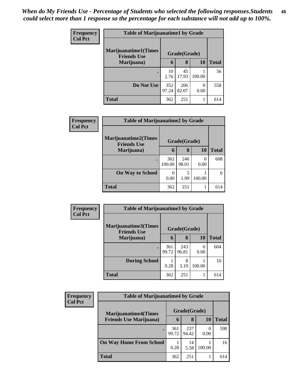| <b>Frequency</b> | <b>Table of Marijuanatime1 by Grade</b>            |              |              |           |              |
|------------------|----------------------------------------------------|--------------|--------------|-----------|--------------|
| <b>Col Pct</b>   | <b>Marijuanatime1</b> (Times<br><b>Friends Use</b> |              | Grade(Grade) |           |              |
|                  | Marijuana)                                         | 6            | 8            | 10        | <b>Total</b> |
|                  | ٠                                                  | 10<br>2.76   | 45<br>17.93  | 100.00    | 56           |
|                  | Do Not Use                                         | 352<br>97.24 | 206<br>82.07 | 0<br>0.00 | 558          |
|                  | <b>Total</b>                                       | 362          | 251          |           | 614          |

| Frequency      | <b>Table of Marijuanatime2 by Grade</b>    |               |              |                  |              |
|----------------|--------------------------------------------|---------------|--------------|------------------|--------------|
| <b>Col Pct</b> | Marijuanatime2(Times<br><b>Friends Use</b> |               | Grade(Grade) |                  |              |
|                | Marijuana)                                 | 6             | 8            | 10               | <b>Total</b> |
|                |                                            | 362<br>100.00 | 246<br>98.01 | $\Omega$<br>0.00 | 608          |
|                | <b>On Way to School</b>                    | 0<br>0.00     | 5<br>1.99    | 100.00           | 6            |
|                | <b>Total</b>                               | 362           | 251          |                  | 614          |

| Frequency<br><b>Col Pct</b> | <b>Table of Marijuanatime3 by Grade</b>    |              |              |                  |              |
|-----------------------------|--------------------------------------------|--------------|--------------|------------------|--------------|
|                             | Marijuanatime3(Times<br><b>Friends Use</b> |              | Grade(Grade) |                  |              |
|                             | Marijuana)                                 | 6            | 8            | 10               | <b>Total</b> |
|                             |                                            | 361<br>99.72 | 243<br>96.81 | $\left($<br>0.00 | 604          |
|                             | <b>During School</b>                       | 0.28         | 8<br>3.19    | 100.00           | 10           |
|                             | <b>Total</b>                               | 362          | 251          |                  | 614          |

| Frequency      | <b>Table of Marijuanatime4 by Grade</b>                        |              |              |        |              |  |
|----------------|----------------------------------------------------------------|--------------|--------------|--------|--------------|--|
| <b>Col Pct</b> | <b>Marijuanatime4</b> (Times<br><b>Friends Use Marijuana</b> ) |              | Grade(Grade) |        |              |  |
|                |                                                                | 6            | 8            | 10     | <b>Total</b> |  |
|                |                                                                | 361<br>99.72 | 237<br>94.42 | 0.00   | 598          |  |
|                | <b>On Way Home From School</b>                                 | 0.28         | 14<br>5.58   | 100.00 | 16           |  |
|                | <b>Total</b>                                                   | 362          | 251          |        | 614          |  |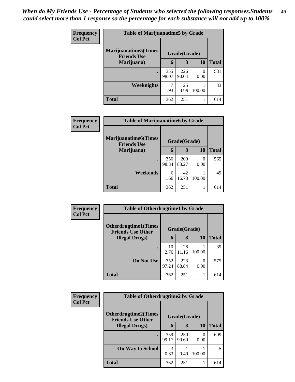| <b>Frequency</b> | <b>Table of Marijuanatime5 by Grade</b>            |              |              |        |              |
|------------------|----------------------------------------------------|--------------|--------------|--------|--------------|
| <b>Col Pct</b>   | <b>Marijuanatime5</b> (Times<br><b>Friends Use</b> |              | Grade(Grade) |        |              |
|                  | Marijuana)                                         | 6            | 8            | 10     | <b>Total</b> |
|                  |                                                    | 355<br>98.07 | 226<br>90.04 | 0.00   | 581          |
|                  | Weeknights                                         | 1.93         | 25<br>9.96   | 100.00 | 33           |
|                  | <b>Total</b>                                       | 362          | 251          |        | 614          |

| Frequency      | <b>Table of Marijuanatime6 by Grade</b>            |              |              |        |              |
|----------------|----------------------------------------------------|--------------|--------------|--------|--------------|
| <b>Col Pct</b> | <b>Marijuanatime6</b> (Times<br><b>Friends Use</b> |              | Grade(Grade) |        |              |
|                | Marijuana)                                         | 6            | 8            | 10     | <b>Total</b> |
|                | ٠                                                  | 356<br>98.34 | 209<br>83.27 | 0.00   | 565          |
|                | Weekends                                           | 6<br>1.66    | 42<br>16.73  | 100.00 | 49           |
|                | <b>Total</b>                                       | 362          | 251          |        | 614          |

| Frequency<br><b>Col Pct</b> | <b>Table of Otherdrugtime1 by Grade</b>                  |              |              |           |              |
|-----------------------------|----------------------------------------------------------|--------------|--------------|-----------|--------------|
|                             | <b>Otherdrugtime1</b> (Times<br><b>Friends Use Other</b> |              | Grade(Grade) |           |              |
|                             | <b>Illegal Drugs</b> )                                   | 6            | 8            | 10        | <b>Total</b> |
|                             |                                                          | 10<br>2.76   | 28<br>11.16  | 100.00    | 39           |
|                             | Do Not Use                                               | 352<br>97.24 | 223<br>88.84 | 0<br>0.00 | 575          |
|                             | <b>Total</b>                                             | 362          | 251          |           | 614          |

| <b>Frequency</b> | <b>Table of Otherdrugtime2 by Grade</b>                 |              |              |           |              |  |
|------------------|---------------------------------------------------------|--------------|--------------|-----------|--------------|--|
| <b>Col Pct</b>   | <b>Otherdrugtime2(Times</b><br><b>Friends Use Other</b> | Grade(Grade) |              |           |              |  |
|                  | <b>Illegal Drugs</b> )                                  | 6            | 8            | 10        | <b>Total</b> |  |
|                  |                                                         | 359<br>99.17 | 250<br>99.60 | 0<br>0.00 | 609          |  |
|                  | <b>On Way to School</b>                                 | 3<br>0.83    | 0.40         | 100.00    | 5            |  |
|                  | <b>Total</b>                                            | 362          | 251          |           | 614          |  |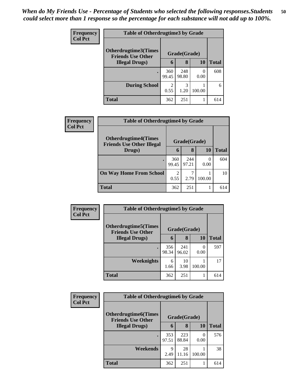| <b>Frequency</b> | <b>Table of Otherdrugtime3 by Grade</b>                          |                        |              |           |              |  |
|------------------|------------------------------------------------------------------|------------------------|--------------|-----------|--------------|--|
| <b>Col Pct</b>   | Otherdrugtime3(Times<br>Grade(Grade)<br><b>Friends Use Other</b> |                        |              |           |              |  |
|                  | <b>Illegal Drugs</b> )                                           | 6                      | 8            | 10        | <b>Total</b> |  |
|                  |                                                                  | 360<br>99.45           | 248<br>98.80 | 0<br>0.00 | 608          |  |
|                  | <b>During School</b>                                             | $\mathfrak{D}$<br>0.55 | 3<br>1.20    | 100.00    | 6            |  |
|                  | <b>Total</b>                                                     | 362                    | 251          |           | 614          |  |

| <b>Frequency</b> | <b>Table of Otherdrugtime4 by Grade</b>                         |                                     |              |                  |              |  |
|------------------|-----------------------------------------------------------------|-------------------------------------|--------------|------------------|--------------|--|
| <b>Col Pct</b>   | <b>Otherdrugtime4(Times</b><br><b>Friends Use Other Illegal</b> |                                     | Grade(Grade) |                  |              |  |
|                  | Drugs)                                                          | 6                                   | 8            | 10               | <b>Total</b> |  |
|                  |                                                                 | 360<br>99.45                        | 244<br>97.21 | $\theta$<br>0.00 | 604          |  |
|                  | <b>On Way Home From School</b>                                  | $\mathcal{D}_{\mathcal{L}}$<br>0.55 | 7<br>2.79    | 100.00           | 10           |  |
|                  | <b>Total</b>                                                    | 362                                 | 251          |                  | 614          |  |

| <b>Frequency</b><br><b>Col Pct</b> | <b>Table of Otherdrugtime5 by Grade</b>                  |              |              |           |              |  |  |
|------------------------------------|----------------------------------------------------------|--------------|--------------|-----------|--------------|--|--|
|                                    | <b>Otherdrugtime5</b> (Times<br><b>Friends Use Other</b> |              | Grade(Grade) |           |              |  |  |
|                                    | <b>Illegal Drugs</b> )                                   | 6            | 8            | 10        | <b>Total</b> |  |  |
|                                    |                                                          | 356<br>98.34 | 241<br>96.02 | 0<br>0.00 | 597          |  |  |
|                                    | Weeknights                                               | 6<br>1.66    | 10<br>3.98   | 100.00    | 17           |  |  |
|                                    | <b>Total</b>                                             | 362          | 251          |           | 614          |  |  |

| <b>Frequency</b> | <b>Table of Otherdrugtime6 by Grade</b>                  |              |              |                  |              |  |
|------------------|----------------------------------------------------------|--------------|--------------|------------------|--------------|--|
| <b>Col Pct</b>   | <b>Otherdrugtime6</b> (Times<br><b>Friends Use Other</b> |              | Grade(Grade) |                  |              |  |
|                  | <b>Illegal Drugs</b> )                                   | 6            | 8            | <b>10</b>        | <b>Total</b> |  |
|                  |                                                          | 353<br>97.51 | 223<br>88.84 | $\left($<br>0.00 | 576          |  |
|                  | Weekends                                                 | 9<br>2.49    | 28<br>11.16  | 100.00           | 38           |  |
|                  | <b>Total</b>                                             | 362          | 251          |                  | 614          |  |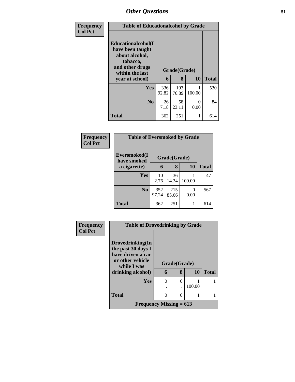| Frequency      | <b>Table of Educationalcohol by Grade</b>                                                                  |              |              |           |              |  |
|----------------|------------------------------------------------------------------------------------------------------------|--------------|--------------|-----------|--------------|--|
| <b>Col Pct</b> | Educationalcohol(I<br>have been taught<br>about alcohol,<br>tobacco,<br>and other drugs<br>within the last |              | Grade(Grade) |           |              |  |
|                | year at school)                                                                                            | 6            | 8            | <b>10</b> | <b>Total</b> |  |
|                | Yes                                                                                                        | 336<br>92.82 | 193<br>76.89 | 100.00    | 530          |  |
|                | N <sub>0</sub>                                                                                             | 26<br>7.18   | 58<br>23.11  | 0<br>0.00 | 84           |  |
|                | <b>Total</b>                                                                                               | 362          | 251          | 1         | 614          |  |

| Frequency      | <b>Table of Eversmoked by Grade</b> |              |              |           |              |  |  |  |
|----------------|-------------------------------------|--------------|--------------|-----------|--------------|--|--|--|
| <b>Col Pct</b> | Eversmoked(I<br>have smoked         |              | Grade(Grade) |           |              |  |  |  |
|                | a cigarette)                        | 6            | 8            | 10        | <b>Total</b> |  |  |  |
|                | <b>Yes</b>                          | 10<br>2.76   | 36<br>14.34  | 100.00    | 47           |  |  |  |
|                | N <sub>o</sub>                      | 352<br>97.24 | 215<br>85.66 | 0<br>0.00 | 567          |  |  |  |
|                | <b>Total</b>                        | 362          | 251          | 1         | 614          |  |  |  |

| <b>Frequency</b> | <b>Table of Drovedrinking by Grade</b> |          |              |        |              |  |
|------------------|----------------------------------------|----------|--------------|--------|--------------|--|
| <b>Col Pct</b>   |                                        |          |              |        |              |  |
|                  | Drovedrinking(In<br>the past 30 days I |          |              |        |              |  |
|                  | have driven a car                      |          |              |        |              |  |
|                  | or other vehicle<br>while I was        |          | Grade(Grade) |        |              |  |
|                  | drinking alcohol)                      | 6        | 8            | 10     | <b>Total</b> |  |
|                  | Yes                                    | $\Omega$ | 0            |        |              |  |
|                  |                                        |          |              | 100.00 |              |  |
|                  | <b>Total</b>                           | 0        | $\mathbf{0}$ |        |              |  |
|                  | Frequency Missing $= 613$              |          |              |        |              |  |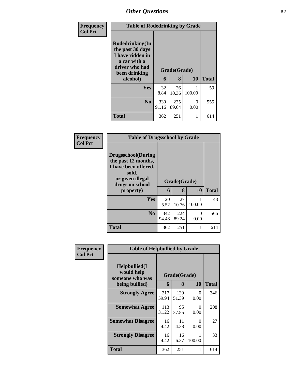| Frequency      | <b>Table of Rodedrinking by Grade</b>                                                                                  |              |                   |           |              |  |  |
|----------------|------------------------------------------------------------------------------------------------------------------------|--------------|-------------------|-----------|--------------|--|--|
| <b>Col Pct</b> | Rodedrinking(In<br>the past 30 days<br>I have ridden in<br>a car with a<br>driver who had<br>been drinking<br>alcohol) | 6            | Grade(Grade)<br>8 | 10        | <b>Total</b> |  |  |
|                | <b>Yes</b>                                                                                                             | 32<br>8.84   | 26<br>10.36       | 100.00    | 59           |  |  |
|                | N <sub>0</sub>                                                                                                         | 330<br>91.16 | 225<br>89.64      | 0<br>0.00 | 555          |  |  |
|                | <b>Total</b>                                                                                                           | 362          | 251               |           | 614          |  |  |

| <b>Frequency</b> | <b>Table of Drugsschool by Grade</b>                                                                                                   |              |                   |           |              |  |  |  |
|------------------|----------------------------------------------------------------------------------------------------------------------------------------|--------------|-------------------|-----------|--------------|--|--|--|
| <b>Col Pct</b>   | <b>Drugsschool</b> (During<br>the past 12 months,<br>I have been offered,<br>sold,<br>or given illegal<br>drugs on school<br>property) | 6            | Grade(Grade)<br>8 | 10        | <b>Total</b> |  |  |  |
|                  | Yes                                                                                                                                    | 20<br>5.52   | 27<br>10.76       | 100.00    | 48           |  |  |  |
|                  | N <sub>0</sub>                                                                                                                         | 342<br>94.48 | 224<br>89.24      | 0<br>0.00 | 566          |  |  |  |
|                  | <b>Total</b>                                                                                                                           | 362          | 251               |           | 614          |  |  |  |

| <b>Frequency</b> | <b>Table of Helpbullied by Grade</b>                             |                   |              |             |     |
|------------------|------------------------------------------------------------------|-------------------|--------------|-------------|-----|
| <b>Col Pct</b>   | Helpbullied(I<br>would help<br>someone who was<br>being bullied) | Grade(Grade)<br>6 | <b>Total</b> |             |     |
|                  |                                                                  |                   | 8            | 10          |     |
|                  | <b>Strongly Agree</b>                                            | 217<br>59.94      | 129<br>51.39 | 0<br>0.00   | 346 |
|                  | <b>Somewhat Agree</b>                                            | 113<br>31.22      | 95<br>37.85  | 0<br>0.00   | 208 |
|                  | <b>Somewhat Disagree</b>                                         | 16<br>4.42        | 11<br>4.38   | 0<br>0.00   | 27  |
|                  | <b>Strongly Disagree</b>                                         | 16<br>4.42        | 16<br>6.37   | 1<br>100.00 | 33  |
|                  | Total                                                            | 362               | 251          | 1           | 614 |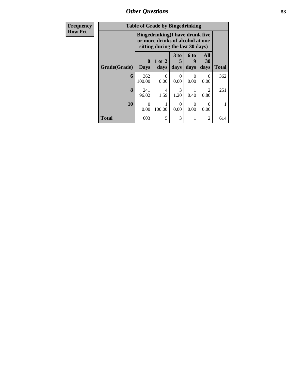| <b>Frequency</b> | <b>Table of Grade by Bingedrinking</b> |                             |                                                                                                                 |                   |                              |                   |              |
|------------------|----------------------------------------|-----------------------------|-----------------------------------------------------------------------------------------------------------------|-------------------|------------------------------|-------------------|--------------|
| <b>Row Pct</b>   |                                        |                             | <b>Bingedrinking</b> (I have drunk five<br>or more drinks of alcohol at one<br>sitting during the last 30 days) |                   |                              |                   |              |
|                  | Grade(Grade)                           | $\mathbf{0}$<br><b>Days</b> | 1 or 2<br>days                                                                                                  | 3 to<br>5<br>days | 6 <sub>to</sub><br>9<br>days | All<br>30<br>days | <b>Total</b> |
|                  | 6                                      | 362<br>100.00               | 0<br>0.00                                                                                                       | 0<br>0.00         | $\Omega$<br>0.00             | 0<br>0.00         | 362          |
|                  | 8                                      | 241<br>96.02                | 4<br>1.59                                                                                                       | 3<br>1.20         | 0.40                         | 2<br>0.80         | 251          |
|                  | 10                                     | $\Omega$<br>0.00            | 100.00                                                                                                          | $\Omega$<br>0.00  | $\Omega$<br>0.00             | $\Omega$<br>0.00  | 1            |
|                  | <b>Total</b>                           | 603                         | 5                                                                                                               | 3                 |                              | 2                 | 614          |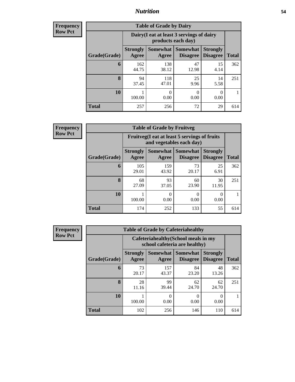#### *Nutrition* **54**

**Frequency Row Pct**

| <b>Table of Grade by Dairy</b> |                          |                                                                 |                                    |                                    |              |  |
|--------------------------------|--------------------------|-----------------------------------------------------------------|------------------------------------|------------------------------------|--------------|--|
|                                |                          | Dairy (I eat at least 3 servings of dairy<br>products each day) |                                    |                                    |              |  |
| Grade(Grade)                   | <b>Strongly</b><br>Agree | <b>Somewhat</b><br>Agree                                        | <b>Somewhat</b><br><b>Disagree</b> | <b>Strongly</b><br><b>Disagree</b> | <b>Total</b> |  |
| 6                              | 162<br>44.75             | 138<br>38.12                                                    | 47<br>12.98                        | 15<br>4.14                         | 362          |  |
| 8                              | 94<br>37.45              | 118<br>47.01                                                    | 25<br>9.96                         | 14<br>5.58                         | 251          |  |
| 10                             | 100.00                   | 0<br>0.00                                                       | 0<br>0.00                          | $\Omega$<br>0.00                   | 1            |  |
| <b>Total</b>                   | 257                      | 256                                                             | 72                                 | 29                                 | 614          |  |

**Frequency Row Pct**

| $\overline{I}$ | <b>Table of Grade by Fruitveg</b> |                          |                                                                          |                                        |                                    |              |  |  |
|----------------|-----------------------------------|--------------------------|--------------------------------------------------------------------------|----------------------------------------|------------------------------------|--------------|--|--|
|                |                                   |                          | Fruitveg(I eat at least 5 servings of fruits<br>and vegetables each day) |                                        |                                    |              |  |  |
|                | Grade(Grade)                      | <b>Strongly</b><br>Agree | Agree                                                                    | Somewhat   Somewhat<br><b>Disagree</b> | <b>Strongly</b><br><b>Disagree</b> | <b>Total</b> |  |  |
|                | 6                                 | 105<br>29.01             | 159<br>43.92                                                             | 73<br>20.17                            | 25<br>6.91                         | 362          |  |  |
|                | 8                                 | 68<br>27.09              | 93<br>37.05                                                              | 60<br>23.90                            | 30<br>11.95                        | 251          |  |  |
|                | 10                                | 100.00                   | 0<br>0.00                                                                | 0<br>0.00                              | 0.00                               |              |  |  |
|                | <b>Total</b>                      | 174                      | 252                                                                      | 133                                    | 55                                 | 614          |  |  |

| <b>Frequency</b> |
|------------------|
| <b>Row Pct</b>   |

| <b>Table of Grade by Cafeteriahealthy</b> |                          |                                                                       |                                    |                                    |              |  |
|-------------------------------------------|--------------------------|-----------------------------------------------------------------------|------------------------------------|------------------------------------|--------------|--|
|                                           |                          | Cafeteriahealthy (School meals in my<br>school cafeteria are healthy) |                                    |                                    |              |  |
| Grade(Grade)                              | <b>Strongly</b><br>Agree | <b>Somewhat</b><br>Agree                                              | <b>Somewhat</b><br><b>Disagree</b> | <b>Strongly</b><br><b>Disagree</b> | <b>Total</b> |  |
| 6                                         | 73<br>20.17              | 157<br>43.37                                                          | 84<br>23.20                        | 48<br>13.26                        | 362          |  |
| 8                                         | 28<br>11.16              | 99<br>39.44                                                           | 62<br>24.70                        | 62<br>24.70                        | 251          |  |
| 10                                        | 100.00                   | $\Omega$<br>0.00                                                      | 0<br>0.00                          | 0<br>0.00                          |              |  |
| <b>Total</b>                              | 102                      | 256                                                                   | 146                                | 110                                | 614          |  |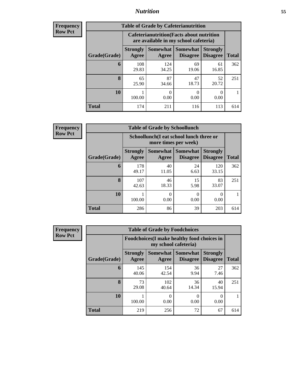### *Nutrition* **55**

| Frequency |
|-----------|
| Row Pct   |

| <b>Table of Grade by Cafeterianutrition</b> |                          |                                                                                           |                                    |                                    |              |  |
|---------------------------------------------|--------------------------|-------------------------------------------------------------------------------------------|------------------------------------|------------------------------------|--------------|--|
|                                             |                          | <b>Cafeterianutrition</b> (Facts about nutrition<br>are available in my school cafeteria) |                                    |                                    |              |  |
| Grade(Grade)                                | <b>Strongly</b><br>Agree | Somewhat  <br>Agree                                                                       | <b>Somewhat</b><br><b>Disagree</b> | <b>Strongly</b><br><b>Disagree</b> | <b>Total</b> |  |
| 6                                           | 108<br>29.83             | 124<br>34.25                                                                              | 69<br>19.06                        | 61<br>16.85                        | 362          |  |
| 8                                           | 65<br>25.90              | 87<br>34.66                                                                               | 47<br>18.73                        | 52<br>20.72                        | 251          |  |
| 10                                          | 100.00                   | 0<br>0.00                                                                                 | 0<br>0.00                          | 0.00                               |              |  |
| <b>Total</b>                                | 174                      | 211                                                                                       | 116                                | 113                                | 614          |  |

**Frequency Row Pct**

| <b>Table of Grade by Schoollunch</b> |                                                                 |                          |                             |                                    |              |  |
|--------------------------------------|-----------------------------------------------------------------|--------------------------|-----------------------------|------------------------------------|--------------|--|
|                                      | Schoollunch(I eat school lunch three or<br>more times per week) |                          |                             |                                    |              |  |
| Grade(Grade)                         | <b>Strongly</b><br>Agree                                        | <b>Somewhat</b><br>Agree | <b>Somewhat</b><br>Disagree | <b>Strongly</b><br><b>Disagree</b> | <b>Total</b> |  |
| 6                                    | 178<br>49.17                                                    | 40<br>11.05              | 24<br>6.63                  | 120<br>33.15                       | 362          |  |
| 8                                    | 107<br>42.63                                                    | 46<br>18.33              | 15<br>5.98                  | 83<br>33.07                        | 251          |  |
| 10                                   | 100.00                                                          | 0<br>0.00                | 0<br>0.00                   | 0.00                               |              |  |
| <b>Total</b>                         | 286                                                             | 86                       | 39                          | 203                                | 614          |  |

**Frequency Row Pct**

| <b>Table of Grade by Foodchoices</b> |                                 |                                                                            |                                    |                                    |              |  |  |
|--------------------------------------|---------------------------------|----------------------------------------------------------------------------|------------------------------------|------------------------------------|--------------|--|--|
|                                      |                                 | <b>Foodchoices</b> (I make healthy food choices in<br>my school cafeteria) |                                    |                                    |              |  |  |
| Grade(Grade)                         | <b>Strongly</b><br><b>Agree</b> | <b>Somewhat</b><br>Agree                                                   | <b>Somewhat</b><br><b>Disagree</b> | <b>Strongly</b><br><b>Disagree</b> | <b>Total</b> |  |  |
| 6                                    | 145<br>40.06                    | 154<br>42.54                                                               | 36<br>9.94                         | 27<br>7.46                         | 362          |  |  |
| 8                                    | 73<br>29.08                     | 102<br>40.64                                                               | 36<br>14.34                        | 40<br>15.94                        | 251          |  |  |
| 10                                   | 100.00                          | $\Omega$<br>0.00                                                           | 0<br>0.00                          | 0<br>0.00                          |              |  |  |
| <b>Total</b>                         | 219                             | 256                                                                        | 72                                 | 67                                 | 614          |  |  |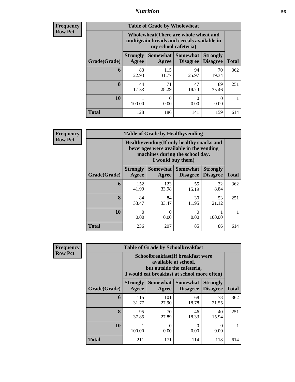### *Nutrition* **56**

| Frequency |
|-----------|
| Row Pct   |

| <b>Table of Grade by Wholewheat</b> |                                                                                                             |                          |                                    |                                    |              |  |
|-------------------------------------|-------------------------------------------------------------------------------------------------------------|--------------------------|------------------------------------|------------------------------------|--------------|--|
|                                     | Wholewheat (There are whole wheat and<br>multigrain breads and cereals available in<br>my school cafeteria) |                          |                                    |                                    |              |  |
| Grade(Grade)                        | <b>Strongly</b><br>Agree                                                                                    | <b>Somewhat</b><br>Agree | <b>Somewhat</b><br><b>Disagree</b> | <b>Strongly</b><br><b>Disagree</b> | <b>Total</b> |  |
| 6                                   | 83<br>22.93                                                                                                 | 115<br>31.77             | 94<br>25.97                        | 70<br>19.34                        | 362          |  |
| 8                                   | 44<br>17.53                                                                                                 | 71<br>28.29              | 47<br>18.73                        | 89<br>35.46                        | 251          |  |
| 10                                  | 100.00                                                                                                      | 0<br>0.00                | 0<br>0.00                          | 0<br>0.00                          |              |  |
| <b>Total</b>                        | 128                                                                                                         | 186                      | 141                                | 159                                | 614          |  |

**Frequency Row Pct**

| $\overline{7}$ | <b>Table of Grade by Healthyvending</b>                                                                                                       |                          |                          |                             |                                    |              |  |  |
|----------------|-----------------------------------------------------------------------------------------------------------------------------------------------|--------------------------|--------------------------|-----------------------------|------------------------------------|--------------|--|--|
|                | Healthyvending (If only healthy snacks and<br>beverages were available in the vending<br>machines during the school day,<br>I would buy them) |                          |                          |                             |                                    |              |  |  |
|                | Grade(Grade)                                                                                                                                  | <b>Strongly</b><br>Agree | <b>Somewhat</b><br>Agree | Somewhat<br><b>Disagree</b> | <b>Strongly</b><br><b>Disagree</b> | <b>Total</b> |  |  |
|                | 6                                                                                                                                             | 152<br>41.99             | 123<br>33.98             | 55<br>15.19                 | 32<br>8.84                         | 362          |  |  |
|                | 8                                                                                                                                             | 84<br>33.47              | 84<br>33.47              | 30<br>11.95                 | 53<br>21.12                        | 251          |  |  |
|                | 10                                                                                                                                            | 0.00                     | 0<br>0.00                | 0<br>0.00                   | 100.00                             |              |  |  |
|                | <b>Total</b>                                                                                                                                  | 236                      | 207                      | 85                          | 86                                 | 614          |  |  |

**Frequency Row Pct**

| <b>Table of Grade by Schoolbreakfast</b> |                          |                                                                                                                                         |                                          |                                    |              |  |  |
|------------------------------------------|--------------------------|-----------------------------------------------------------------------------------------------------------------------------------------|------------------------------------------|------------------------------------|--------------|--|--|
|                                          |                          | Schoolbreakfast (If breakfast were<br>available at school,<br>but outside the cafeteria,<br>I would eat breakfast at school more often) |                                          |                                    |              |  |  |
| Grade(Grade)                             | <b>Strongly</b><br>Agree | Agree                                                                                                                                   | Somewhat   Somewhat  <br><b>Disagree</b> | <b>Strongly</b><br><b>Disagree</b> | <b>Total</b> |  |  |
| 6                                        | 115<br>31.77             | 101<br>27.90                                                                                                                            | 68<br>18.78                              | 78<br>21.55                        | 362          |  |  |
| 8                                        | 95<br>37.85              | 70<br>27.89                                                                                                                             | 46<br>18.33                              | 40<br>15.94                        | 251          |  |  |
| 10                                       | 100.00                   | $\Omega$<br>0.00                                                                                                                        | 0<br>0.00                                | 0<br>0.00                          |              |  |  |
| Total                                    | 211                      | 171                                                                                                                                     | 114                                      | 118                                | 614          |  |  |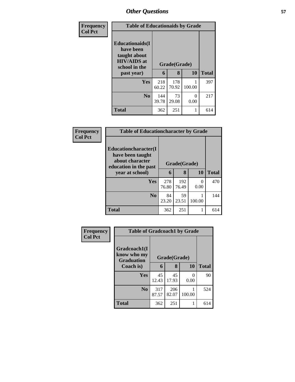| Frequency      | <b>Table of Educationaids by Grade</b>                                                                    |              |                   |           |              |
|----------------|-----------------------------------------------------------------------------------------------------------|--------------|-------------------|-----------|--------------|
| <b>Col Pct</b> | <b>Educationaids</b> (I<br>have been<br>taught about<br><b>HIV/AIDS</b> at<br>school in the<br>past year) | 6            | Grade(Grade)<br>8 | 10        | <b>Total</b> |
|                | <b>Yes</b>                                                                                                | 218<br>60.22 | 178<br>70.92      | 100.00    | 397          |
|                | N <sub>0</sub>                                                                                            | 144<br>39.78 | 73<br>29.08       | 0<br>0.00 | 217          |
|                | <b>Total</b>                                                                                              | 362          | 251               |           | 614          |

| Frequency      | <b>Table of Educationcharacter by Grade</b>                                          |              |              |                  |              |  |  |
|----------------|--------------------------------------------------------------------------------------|--------------|--------------|------------------|--------------|--|--|
| <b>Col Pct</b> | Educationcharacter(I<br>have been taught<br>about character<br>education in the past | Grade(Grade) |              |                  |              |  |  |
|                | year at school)                                                                      | 6            | 8            | 10               | <b>Total</b> |  |  |
|                | Yes                                                                                  | 278<br>76.80 | 192<br>76.49 | $\Omega$<br>0.00 | 470          |  |  |
|                | N <sub>0</sub>                                                                       | 84<br>23.20  | 59<br>23.51  | 100.00           | 144          |  |  |
|                | <b>Total</b>                                                                         | 362          | 251          |                  | 614          |  |  |

| Frequency      |                                                  | <b>Table of Gradcoach1 by Grade</b> |              |           |              |  |  |
|----------------|--------------------------------------------------|-------------------------------------|--------------|-----------|--------------|--|--|
| <b>Col Pct</b> | Gradcoach1(I<br>know who my<br><b>Graduation</b> |                                     | Grade(Grade) |           |              |  |  |
|                | Coach is)                                        | 6                                   | 8            | 10        | <b>Total</b> |  |  |
|                | Yes                                              | 45<br>12.43                         | 45<br>17.93  | 0<br>0.00 | 90           |  |  |
|                | N <sub>0</sub>                                   | 317<br>87.57                        | 206<br>82.07 | 100.00    | 524          |  |  |
|                | <b>Total</b>                                     | 362                                 | 251          |           | 614          |  |  |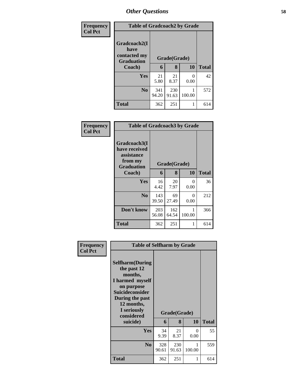| <b>Frequency</b> | <b>Table of Gradcoach2 by Grade</b>                       |              |              |                       |              |
|------------------|-----------------------------------------------------------|--------------|--------------|-----------------------|--------------|
| <b>Col Pct</b>   | Gradcoach2(I<br>have<br>contacted my<br><b>Graduation</b> | Grade(Grade) |              |                       |              |
|                  | Coach)                                                    | 6            | 8            | 10                    | <b>Total</b> |
|                  | Yes                                                       | 21<br>5.80   | 21<br>8.37   | $\mathcal{O}$<br>0.00 | 42           |
|                  | N <sub>0</sub>                                            | 341<br>94.20 | 230<br>91.63 | 100.00                | 572          |
|                  | Total                                                     | 362          | 251          |                       | 614          |

| <b>Frequency</b><br><b>Col Pct</b> | <b>Table of Gradcoach3 by Grade</b>                                         |              |              |           |              |
|------------------------------------|-----------------------------------------------------------------------------|--------------|--------------|-----------|--------------|
|                                    | Gradcoach3(I<br>have received<br>assistance<br>from my<br><b>Graduation</b> |              | Grade(Grade) |           |              |
|                                    | Coach)                                                                      | 6            | 8            | 10        | <b>Total</b> |
|                                    | Yes                                                                         | 16<br>4.42   | 20<br>7.97   | 0<br>0.00 | 36           |
|                                    | N <sub>0</sub>                                                              | 143<br>39.50 | 69<br>27.49  | 0<br>0.00 | 212          |
|                                    | Don't know                                                                  | 203<br>56.08 | 162<br>64.54 | 100.00    | 366          |
|                                    | <b>Total</b>                                                                | 362          | 251          |           | 614          |

| Frequency      | <b>Table of Selfharm by Grade</b>                                                                                                                                          |              |              |             |              |  |
|----------------|----------------------------------------------------------------------------------------------------------------------------------------------------------------------------|--------------|--------------|-------------|--------------|--|
| <b>Col Pct</b> | <b>Selfharm</b> (During<br>the past 12<br>months,<br>I harmed myself<br>on purpose<br><b>Suicideconsider</b><br>During the past<br>12 months,<br>I seriously<br>considered |              | Grade(Grade) |             |              |  |
|                | suicide)                                                                                                                                                                   | 6            | 8            | 10          | <b>Total</b> |  |
|                | Yes                                                                                                                                                                        | 34<br>9.39   | 21<br>8.37   | 0<br>0.00   | 55           |  |
|                | N <sub>0</sub>                                                                                                                                                             | 328<br>90.61 | 230<br>91.63 | 1<br>100.00 | 559          |  |
|                | Total                                                                                                                                                                      | 362          | 251          | 1           | 614          |  |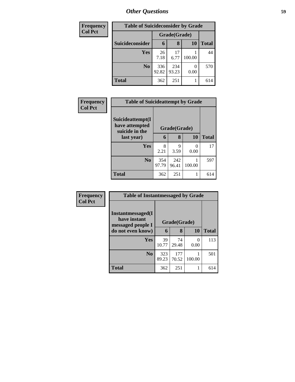| <b>Frequency</b> | <b>Table of Suicideconsider by Grade</b> |              |              |           |              |
|------------------|------------------------------------------|--------------|--------------|-----------|--------------|
| <b>Col Pct</b>   |                                          | Grade(Grade) |              |           |              |
|                  | Suicideconsider                          | 6            | 8            | <b>10</b> | <b>Total</b> |
|                  | <b>Yes</b>                               | 26<br>7.18   | 17<br>6.77   | 100.00    | 44           |
|                  | N <sub>0</sub>                           | 336<br>92.82 | 234<br>93.23 | 0.00      | 570          |
|                  | <b>Total</b>                             | 362          | 251          |           | 614          |

| Frequency      | <b>Table of Suicideattempt by Grade</b>              |              |              |        |              |
|----------------|------------------------------------------------------|--------------|--------------|--------|--------------|
| <b>Col Pct</b> | Suicideattempt(I<br>have attempted<br>suicide in the |              | Grade(Grade) |        |              |
|                | last year)                                           | 6            | 8            | 10     | <b>Total</b> |
|                | Yes                                                  | 8<br>2.21    | 9<br>3.59    | 0.00   | 17           |
|                | N <sub>0</sub>                                       | 354<br>97.79 | 242<br>96.41 | 100.00 | 597          |
|                | <b>Total</b>                                         | 362          | 251          | 1      | 614          |

| Frequency      | <b>Table of Instantmessaged by Grade</b>               |              |              |           |              |  |
|----------------|--------------------------------------------------------|--------------|--------------|-----------|--------------|--|
| <b>Col Pct</b> | Instantmessaged(I<br>have instant<br>messaged people I | Grade(Grade) |              |           |              |  |
|                | do not even know)                                      | 6            | 8            | 10        | <b>Total</b> |  |
|                | Yes                                                    | 39<br>10.77  | 74<br>29.48  | 0<br>0.00 | 113          |  |
|                | N <sub>0</sub>                                         | 323<br>89.23 | 177<br>70.52 | 100.00    | 501          |  |
|                | <b>Total</b>                                           | 362          | 251          |           | 614          |  |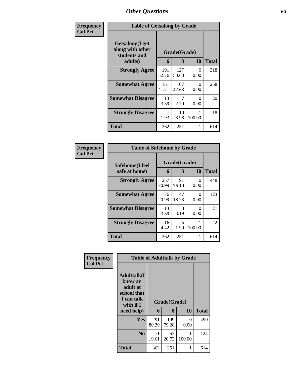| Frequency      | <b>Table of Getsalong by Grade</b>                  |              |              |           |              |
|----------------|-----------------------------------------------------|--------------|--------------|-----------|--------------|
| <b>Col Pct</b> | Getsalong(I get<br>along with other<br>students and |              | Grade(Grade) |           |              |
|                | adults)                                             |              | 8            | <b>10</b> | <b>Total</b> |
|                | <b>Strongly Agree</b>                               | 191<br>52.76 | 127<br>50.60 | 0<br>0.00 | 318          |
|                | <b>Somewhat Agree</b>                               | 151<br>41.71 | 107<br>42.63 | 0<br>0.00 | 258          |
|                | <b>Somewhat Disagree</b>                            | 13<br>3.59   | 7<br>2.79    | 0<br>0.00 | 20           |
|                | <b>Strongly Disagree</b>                            | 7<br>1.93    | 10<br>3.98   | 100.00    | 18           |
|                | Total                                               | 362          | 251          | 1         | 614          |

| Frequency      | <b>Table of Safehome by Grade</b> |              |                   |                           |              |
|----------------|-----------------------------------|--------------|-------------------|---------------------------|--------------|
| <b>Col Pct</b> | Safehome(I feel<br>safe at home)  | 6            | Grade(Grade)<br>8 | 10                        | <b>Total</b> |
|                | <b>Strongly Agree</b>             | 257<br>70.99 | 191<br>76.10      | 0<br>0.00                 | 448          |
|                | <b>Somewhat Agree</b>             | 76<br>20.99  | 47<br>18.73       | $\mathbf{\Omega}$<br>0.00 | 123          |
|                | <b>Somewhat Disagree</b>          | 13<br>3.59   | 8<br>3.19         | 0<br>0.00                 | 21           |
|                | <b>Strongly Disagree</b>          | 16<br>4.42   | 5<br>1.99         | 100.00                    | 22           |
|                | <b>Total</b>                      | 362          | 251               |                           | 614          |

| Frequency      | <b>Table of Adulttalk by Grade</b>                                                                |              |                   |           |              |  |  |  |
|----------------|---------------------------------------------------------------------------------------------------|--------------|-------------------|-----------|--------------|--|--|--|
| <b>Col Pct</b> | <b>Adulttalk(I</b><br>know an<br>adult at<br>school that<br>I can talk<br>with if I<br>need help) | 6            | Grade(Grade)<br>8 | 10        | <b>Total</b> |  |  |  |
|                | <b>Yes</b>                                                                                        | 291<br>80.39 | 199<br>79.28      | 0<br>0.00 | 490          |  |  |  |
|                | N <sub>0</sub>                                                                                    | 71<br>19.61  | 52<br>20.72       | 100.00    | 124          |  |  |  |
|                | <b>Total</b>                                                                                      | 362          | 251               |           | 614          |  |  |  |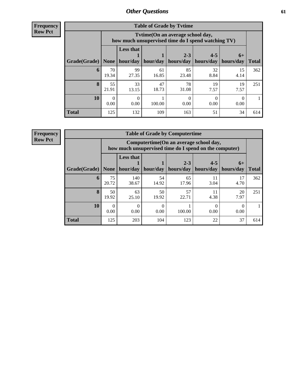**Frequency Row Pct**

| <b>Table of Grade by Tytime</b> |                          |                                                                                        |             |                      |                      |                   |              |
|---------------------------------|--------------------------|----------------------------------------------------------------------------------------|-------------|----------------------|----------------------|-------------------|--------------|
|                                 |                          | Tvtime(On an average school day,<br>how much unsupervised time do I spend watching TV) |             |                      |                      |                   |              |
| Grade(Grade)                    | None                     | <b>Less that</b><br>hour/day                                                           | hour/day    | $2 - 3$<br>hours/day | $4 - 5$<br>hours/day | $6+$<br>hours/day | <b>Total</b> |
| 6                               | 70<br>19.34              | 99<br>27.35                                                                            | 61<br>16.85 | 85<br>23.48          | 32<br>8.84           | 15<br>4.14        | 362          |
| 8                               | 55<br>21.91              | 33<br>13.15                                                                            | 47<br>18.73 | 78<br>31.08          | 19<br>7.57           | 19<br>7.57        | 251          |
| 10                              | $\left( \right)$<br>0.00 | $\Omega$<br>0.00                                                                       | 100.00      | 0.00                 | 0.00                 | 0.00              |              |
| <b>Total</b>                    | 125                      | 132                                                                                    | 109         | 163                  | 51                   | 34                | 614          |

**Frequency**

**Row Pct**

| <b>Table of Grade by Computertime</b> |             |                                                                                                   |                  |                      |                      |                   |              |
|---------------------------------------|-------------|---------------------------------------------------------------------------------------------------|------------------|----------------------|----------------------|-------------------|--------------|
|                                       |             | Computertime (On an average school day,<br>how much unsupervised time do I spend on the computer) |                  |                      |                      |                   |              |
| Grade(Grade)                          | None $ $    | <b>Less that</b><br>hour/day                                                                      | hour/day         | $2 - 3$<br>hours/day | $4 - 5$<br>hours/day | $6+$<br>hours/day | <b>Total</b> |
| 6                                     | 75<br>20.72 | 140<br>38.67                                                                                      | 54<br>14.92      | 65<br>17.96          | 11<br>3.04           | 17<br>4.70        | 362          |
| 8                                     | 50<br>19.92 | 63<br>25.10                                                                                       | 50<br>19.92      | 57<br>22.71          | 11<br>4.38           | 20<br>7.97        | 251          |
| 10                                    | 0.00        | 0.00                                                                                              | $\left($<br>0.00 | 100.00               | 0.00                 | 0.00              |              |
| <b>Total</b>                          | 125         | 203                                                                                               | 104              | 123                  | 22                   | 37                | 614          |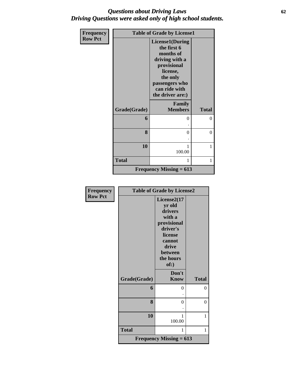### *Questions about Driving Laws* **62** *Driving Questions were asked only of high school students.*

| Frequency      | <b>Table of Grade by License1</b> |                                                                                                                                                                    |                |  |
|----------------|-----------------------------------|--------------------------------------------------------------------------------------------------------------------------------------------------------------------|----------------|--|
| <b>Row Pct</b> |                                   | <b>License1(During</b><br>the first 6<br>months of<br>driving with a<br>provisional<br>license,<br>the only<br>passengers who<br>can ride with<br>the driver are:) |                |  |
|                | Grade(Grade)                      | Family<br><b>Members</b>                                                                                                                                           | <b>Total</b>   |  |
|                | 6                                 | 0                                                                                                                                                                  | $\theta$       |  |
|                | 8                                 | $\Omega$                                                                                                                                                           | $\overline{0}$ |  |
|                | 10                                | 100.00                                                                                                                                                             | 1              |  |
|                | <b>Total</b>                      | 1                                                                                                                                                                  | 1              |  |
|                |                                   | Frequency Missing $= 613$                                                                                                                                          |                |  |

| Frequency      | <b>Table of Grade by License2</b> |                                                                                                                                     |              |  |
|----------------|-----------------------------------|-------------------------------------------------------------------------------------------------------------------------------------|--------------|--|
| <b>Row Pct</b> |                                   | License2(17<br>yr old<br>drivers<br>with a<br>provisional<br>driver's<br>license<br>cannot<br>drive<br>between<br>the hours<br>of:) |              |  |
|                | Grade(Grade)                      | Don't<br><b>Know</b>                                                                                                                | <b>Total</b> |  |
|                | 6                                 | 0                                                                                                                                   | $\theta$     |  |
|                | 8                                 | 0                                                                                                                                   | 0            |  |
|                | 10                                | 1<br>100.00                                                                                                                         | 1            |  |
|                | <b>Total</b>                      | 1                                                                                                                                   | 1            |  |
|                |                                   | <b>Frequency Missing = 613</b>                                                                                                      |              |  |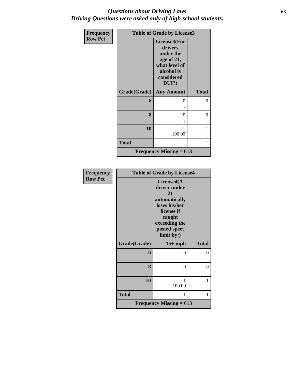### *Questions about Driving Laws* **63** *Driving Questions were asked only of high school students.*

| <b>Frequency</b> | <b>Table of Grade by License3</b> |                                                                                                             |              |  |
|------------------|-----------------------------------|-------------------------------------------------------------------------------------------------------------|--------------|--|
| <b>Row Pct</b>   |                                   | License3(For<br>drivers<br>under the<br>age of 21,<br>what level of<br>alcohol is<br>considered<br>$DUI$ ?) |              |  |
|                  | Grade(Grade)                      | <b>Any Amount</b>                                                                                           | <b>Total</b> |  |
|                  | 6                                 | 0                                                                                                           | 0            |  |
|                  | 8                                 | $\Omega$                                                                                                    | 0            |  |
|                  | 10                                | 100.00                                                                                                      | 1            |  |
|                  | <b>Total</b>                      | 1                                                                                                           | 1            |  |
|                  |                                   | <b>Frequency Missing = 613</b>                                                                              |              |  |

| Frequency      |              | <b>Table of Grade by License4</b>                                                                                                         |              |
|----------------|--------------|-------------------------------------------------------------------------------------------------------------------------------------------|--------------|
| <b>Row Pct</b> |              | License4(A<br>driver under<br>21<br>automatically<br>loses his/her<br>license if<br>caught<br>exceeding the<br>posted speet<br>limit by:) |              |
|                | Grade(Grade) | $15+mph$                                                                                                                                  | <b>Total</b> |
|                | 6            | 0                                                                                                                                         | 0            |
|                |              |                                                                                                                                           |              |
|                | 8            | 0                                                                                                                                         | 0            |
|                |              |                                                                                                                                           |              |
|                | 10           | 1                                                                                                                                         | 1            |
|                |              | 100.00                                                                                                                                    |              |
|                | <b>Total</b> | 1                                                                                                                                         | 1            |
|                |              | <b>Frequency Missing = 613</b>                                                                                                            |              |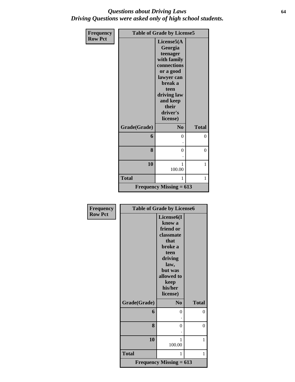#### *Questions about Driving Laws* **64** *Driving Questions were asked only of high school students.*

| <b>Frequency</b> | <b>Table of Grade by License5</b> |                                                                                                                                                                           |              |  |
|------------------|-----------------------------------|---------------------------------------------------------------------------------------------------------------------------------------------------------------------------|--------------|--|
| <b>Row Pct</b>   |                                   | License5(A<br>Georgia<br>teenager<br>with family<br>connections<br>or a good<br>lawyer can<br>break a<br>teen<br>driving law<br>and keep<br>their<br>driver's<br>license) |              |  |
|                  | Grade(Grade)                      | N <sub>0</sub>                                                                                                                                                            | <b>Total</b> |  |
|                  | 6                                 | $\theta$                                                                                                                                                                  | 0            |  |
|                  | 8                                 | $\theta$                                                                                                                                                                  | $\theta$     |  |
|                  | 10                                | 1<br>100.00                                                                                                                                                               | 1            |  |
|                  | <b>Total</b>                      | 1                                                                                                                                                                         | 1            |  |
|                  |                                   | <b>Frequency Missing = 613</b>                                                                                                                                            |              |  |

| <b>Frequency</b> | <b>Table of Grade by License6</b> |                                                                                                                                            |                |  |
|------------------|-----------------------------------|--------------------------------------------------------------------------------------------------------------------------------------------|----------------|--|
| <b>Row Pct</b>   |                                   | License <sub>6</sub> (I<br>know a<br>friend or<br>classmate<br>that<br>broke a<br>teen<br>driving<br>law,<br>but was<br>allowed to<br>keep |                |  |
|                  |                                   | his/her<br>license)                                                                                                                        |                |  |
|                  | Grade(Grade)                      | N <sub>0</sub>                                                                                                                             | <b>Total</b>   |  |
|                  | 6                                 | 0                                                                                                                                          | $\overline{0}$ |  |
|                  | 8                                 | $\overline{0}$                                                                                                                             | $\overline{0}$ |  |
|                  | 10                                | 1<br>100.00                                                                                                                                | 1              |  |
|                  | <b>Total</b>                      | 1                                                                                                                                          | 1              |  |
|                  |                                   | <b>Frequency Missing = 613</b>                                                                                                             |                |  |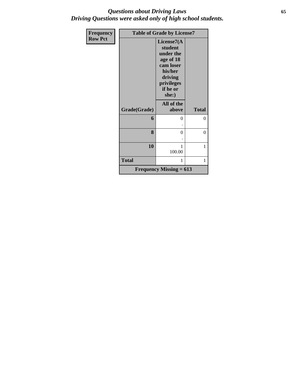### *Questions about Driving Laws* **65** *Driving Questions were asked only of high school students.*

| <b>Frequency</b> |              | <b>Table of Grade by License7</b>                                                                                     |              |
|------------------|--------------|-----------------------------------------------------------------------------------------------------------------------|--------------|
| <b>Row Pct</b>   |              | License7(A<br>student<br>under the<br>age of 18<br>cam loser<br>his/her<br>driving<br>privileges<br>if he or<br>she:) |              |
|                  | Grade(Grade) | All of the<br>above                                                                                                   | <b>Total</b> |
|                  | 6            | 0                                                                                                                     | $\theta$     |
|                  | 8            | $\theta$                                                                                                              | 0            |
|                  | 10           | 1<br>100.00                                                                                                           | 1            |
|                  | <b>Total</b> | 1                                                                                                                     | 1            |
|                  |              | Frequency Missing $= 613$                                                                                             |              |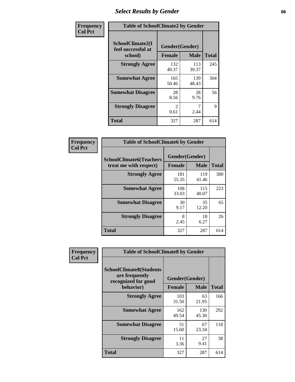## *Select Results by Gender* **66**

| Frequency      | <b>Table of SchoolClimate2 by Gender</b>          |                                 |              |              |  |
|----------------|---------------------------------------------------|---------------------------------|--------------|--------------|--|
| <b>Col Pct</b> | SchoolClimate2(I<br>feel successful at<br>school) | Gender(Gender)<br><b>Female</b> | <b>Male</b>  | <b>Total</b> |  |
|                | <b>Strongly Agree</b>                             | 132<br>40.37                    | 113<br>39.37 | 245          |  |
|                | <b>Somewhat Agree</b>                             | 165<br>50.46                    | 139<br>48.43 | 304          |  |
|                | <b>Somewhat Disagree</b>                          | 28<br>8.56                      | 28<br>9.76   | 56           |  |
|                | <b>Strongly Disagree</b>                          | $\mathcal{L}$<br>0.61           | 7<br>2.44    | 9            |  |
|                | <b>Total</b>                                      | 327                             | 287          | 614          |  |

| Frequency      | <b>Table of SchoolClimate6 by Gender</b>                 |                                 |              |              |  |
|----------------|----------------------------------------------------------|---------------------------------|--------------|--------------|--|
| <b>Col Pct</b> | <b>SchoolClimate6(Teachers</b><br>treat me with respect) | Gender(Gender)<br><b>Female</b> | <b>Male</b>  | <b>Total</b> |  |
|                | <b>Strongly Agree</b>                                    | 181<br>55.35                    | 119<br>41.46 | 300          |  |
|                | <b>Somewhat Agree</b>                                    | 108<br>33.03                    | 115<br>40.07 | 223          |  |
|                | <b>Somewhat Disagree</b>                                 | 30<br>9.17                      | 35<br>12.20  | 65           |  |
|                | <b>Strongly Disagree</b>                                 | 8<br>2.45                       | 18<br>6.27   | 26           |  |
|                | <b>Total</b>                                             | 327                             | 287          | 614          |  |

| <b>Frequency</b> | <b>Table of SchoolClimate8 by Gender</b>                                             |               |                               |              |
|------------------|--------------------------------------------------------------------------------------|---------------|-------------------------------|--------------|
| <b>Col Pct</b>   | <b>SchoolClimate8(Students</b><br>are frequently<br>recognized for good<br>behavior) | <b>Female</b> | Gender(Gender)<br><b>Male</b> | <b>Total</b> |
|                  | <b>Strongly Agree</b>                                                                | 103<br>31.50  | 63<br>21.95                   | 166          |
|                  | <b>Somewhat Agree</b>                                                                | 162<br>49.54  | 130<br>45.30                  | 292          |
|                  | <b>Somewhat Disagree</b>                                                             | 51<br>15.60   | 67<br>23.34                   | 118          |
|                  | <b>Strongly Disagree</b>                                                             | 11<br>3.36    | 27<br>9.41                    | 38           |
|                  | Total                                                                                | 327           | 287                           | 614          |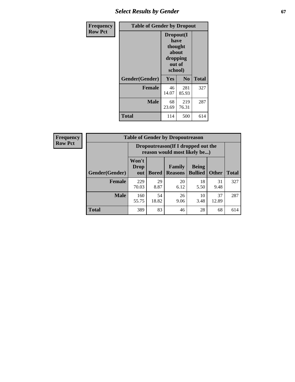## **Select Results by Gender 67**

| Frequency      | <b>Table of Gender by Dropout</b> |                                                                        |                |              |
|----------------|-----------------------------------|------------------------------------------------------------------------|----------------|--------------|
| <b>Row Pct</b> |                                   | Dropout(I<br>have<br>thought<br>about<br>dropping<br>out of<br>school) |                |              |
|                | Gender(Gender)                    | Yes                                                                    | N <sub>0</sub> | <b>Total</b> |
|                | <b>Female</b>                     | 46<br>14.07                                                            | 281<br>85.93   | 327          |
|                | <b>Male</b>                       | 68<br>23.69                                                            | 219<br>76.31   | 287          |
|                | <b>Total</b>                      | 114                                                                    | 500            | 614          |

| <b>Frequency</b> | <b>Table of Gender by Dropoutreason</b> |                             |                                                                    |                          |                                |              |              |
|------------------|-----------------------------------------|-----------------------------|--------------------------------------------------------------------|--------------------------|--------------------------------|--------------|--------------|
| <b>Row Pct</b>   |                                         |                             | Dropoutreason(If I dropped out the<br>reason would most likely be) |                          |                                |              |              |
|                  | <b>Gender</b> (Gender)                  | Won't<br><b>Drop</b><br>out | <b>Bored</b>                                                       | Family<br><b>Reasons</b> | <b>Being</b><br><b>Bullied</b> | <b>Other</b> | <b>Total</b> |
|                  | <b>Female</b>                           | 229<br>70.03                | 29<br>8.87                                                         | 20<br>6.12               | 18<br>5.50                     | 31<br>9.48   | 327          |
|                  | <b>Male</b>                             | 160<br>55.75                | 54<br>18.82                                                        | 26<br>9.06               | 10<br>3.48                     | 37<br>12.89  | 287          |
|                  | <b>Total</b>                            | 389                         | 83                                                                 | 46                       | 28                             | 68           | 614          |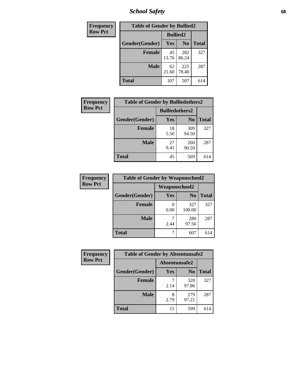*School Safety* **68**

| Frequency      | <b>Table of Gender by Bullied2</b> |                 |                |              |
|----------------|------------------------------------|-----------------|----------------|--------------|
| <b>Row Pct</b> |                                    | <b>Bullied2</b> |                |              |
|                | Gender(Gender)                     | Yes             | N <sub>0</sub> | <b>Total</b> |
|                | <b>Female</b>                      | 45<br>13.76     | 282<br>86.24   | 327          |
|                | <b>Male</b>                        | 62<br>21.60     | 225<br>78.40   | 287          |
|                | <b>Total</b>                       | 107             | 507            | 614          |

| <b>Frequency</b> | <b>Table of Gender by Bulliedothers2</b> |                       |                |              |
|------------------|------------------------------------------|-----------------------|----------------|--------------|
| <b>Row Pct</b>   |                                          | <b>Bulliedothers2</b> |                |              |
|                  | Gender(Gender)                           | Yes                   | N <sub>0</sub> | <b>Total</b> |
|                  | <b>Female</b>                            | 18<br>5.50            | 309<br>94.50   | 327          |
|                  | <b>Male</b>                              | 27<br>9.41            | 260<br>90.59   | 287          |
|                  | <b>Total</b>                             | 45                    | 569            | 614          |

| Frequency      | <b>Table of Gender by Weaponschool2</b> |               |                |              |
|----------------|-----------------------------------------|---------------|----------------|--------------|
| <b>Row Pct</b> |                                         | Weaponschool2 |                |              |
|                | Gender(Gender)                          | Yes           | N <sub>0</sub> | <b>Total</b> |
|                | <b>Female</b>                           | 0.00          | 327<br>100.00  | 327          |
|                | <b>Male</b>                             | 2.44          | 280<br>97.56   | 287          |
|                | <b>Total</b>                            |               | 607            |              |

| Frequency      | <b>Table of Gender by Absentunsafe2</b> |               |                |              |
|----------------|-----------------------------------------|---------------|----------------|--------------|
| <b>Row Pct</b> |                                         | Absentunsafe2 |                |              |
|                | Gender(Gender)                          | Yes           | N <sub>0</sub> | <b>Total</b> |
|                | <b>Female</b>                           | 2.14          | 320<br>97.86   | 327          |
|                | <b>Male</b>                             | 2.79          | 279<br>97.21   | 287          |
|                | <b>Total</b>                            | 15            | 599            | 614          |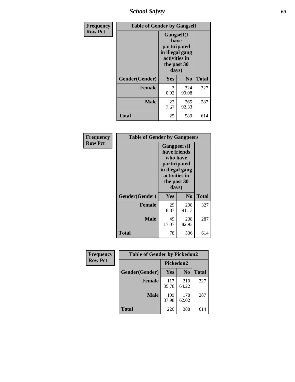*School Safety* **69**

| Frequency      | <b>Table of Gender by Gangself</b> |                                                                                                |                |              |
|----------------|------------------------------------|------------------------------------------------------------------------------------------------|----------------|--------------|
| <b>Row Pct</b> |                                    | Gangself(I<br>have<br>participated<br>in illegal gang<br>activities in<br>the past 30<br>days) |                |              |
|                | Gender(Gender)                     | Yes                                                                                            | N <sub>0</sub> | <b>Total</b> |
|                | <b>Female</b>                      | 3<br>0.92                                                                                      | 324<br>99.08   | 327          |
|                | <b>Male</b>                        | 22<br>7.67                                                                                     | 265<br>92.33   | 287          |
|                | <b>Total</b>                       | 25                                                                                             | 589            | 614          |

| Frequency      |                | <b>Table of Gender by Gangpeers</b>                                                                                         |                |              |  |
|----------------|----------------|-----------------------------------------------------------------------------------------------------------------------------|----------------|--------------|--|
| <b>Row Pct</b> |                | <b>Gangpeers</b> (I<br>have friends<br>who have<br>participated<br>in illegal gang<br>activities in<br>the past 30<br>days) |                |              |  |
|                | Gender(Gender) | <b>Yes</b>                                                                                                                  | N <sub>0</sub> | <b>Total</b> |  |
|                | <b>Female</b>  | 29<br>8.87                                                                                                                  | 298<br>91.13   | 327          |  |
|                | <b>Male</b>    | 49<br>17.07                                                                                                                 | 238<br>82.93   | 287          |  |
|                | <b>Total</b>   | 78                                                                                                                          | 536            | 614          |  |

| Frequency      | <b>Table of Gender by Pickedon2</b> |              |                |              |
|----------------|-------------------------------------|--------------|----------------|--------------|
| <b>Row Pct</b> |                                     | Pickedon2    |                |              |
|                | Gender(Gender)                      | Yes          | N <sub>0</sub> | <b>Total</b> |
|                | <b>Female</b>                       | 117<br>35.78 | 210<br>64.22   | 327          |
|                | <b>Male</b>                         | 109<br>37.98 | 178<br>62.02   | 287          |
|                | <b>Total</b>                        | 226          | 388            | 614          |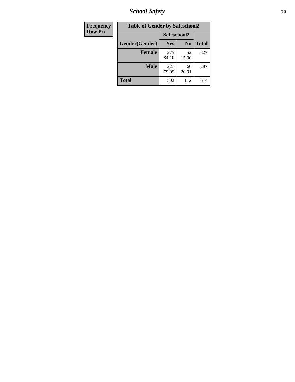*School Safety* **70**

| Frequency      | <b>Table of Gender by Safeschool2</b> |              |                |              |  |
|----------------|---------------------------------------|--------------|----------------|--------------|--|
| <b>Row Pct</b> |                                       | Safeschool2  |                |              |  |
|                | Gender(Gender)                        | <b>Yes</b>   | N <sub>0</sub> | <b>Total</b> |  |
|                | <b>Female</b>                         | 275<br>84.10 | 52<br>15.90    | 327          |  |
|                | <b>Male</b>                           | 227<br>79.09 | 60<br>20.91    | 287          |  |
|                | <b>Total</b>                          | 502          | 112            | 614          |  |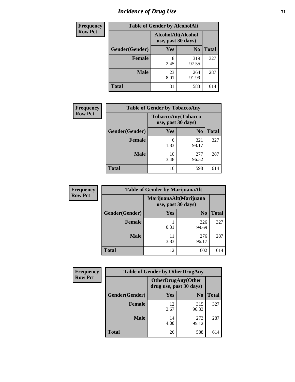# *Incidence of Drug Use* <sup>71</sup>

| <b>Frequency</b> | <b>Table of Gender by AlcoholAlt</b>     |            |                |              |  |
|------------------|------------------------------------------|------------|----------------|--------------|--|
| <b>Row Pct</b>   | AlcoholAlt(Alcohol<br>use, past 30 days) |            |                |              |  |
|                  | Gender(Gender)                           | Yes        | N <sub>0</sub> | <b>Total</b> |  |
|                  | <b>Female</b>                            | 8<br>2.45  | 319<br>97.55   | 327          |  |
|                  | <b>Male</b>                              | 23<br>8.01 | 264<br>91.99   | 287          |  |
|                  | <b>Total</b>                             | 31         | 583            | 614          |  |

| <b>Frequency</b> | <b>Table of Gender by TobaccoAny</b> |                                          |                |              |  |
|------------------|--------------------------------------|------------------------------------------|----------------|--------------|--|
| <b>Row Pct</b>   |                                      | TobaccoAny(Tobacco<br>use, past 30 days) |                |              |  |
|                  | Gender(Gender)                       | Yes                                      | N <sub>0</sub> | <b>Total</b> |  |
|                  | <b>Female</b>                        | 6<br>1.83                                | 321<br>98.17   | 327          |  |
|                  | <b>Male</b>                          | 10<br>3.48                               | 277<br>96.52   | 287          |  |
|                  | <b>Total</b>                         | 16                                       | 598            | 614          |  |

| <b>Frequency</b> | <b>Table of Gender by MarijuanaAlt</b> |                                              |                |              |
|------------------|----------------------------------------|----------------------------------------------|----------------|--------------|
| <b>Row Pct</b>   |                                        | MarijuanaAlt(Marijuana<br>use, past 30 days) |                |              |
|                  | Gender(Gender)                         | <b>Yes</b>                                   | N <sub>0</sub> | <b>Total</b> |
|                  | <b>Female</b>                          | 0.31                                         | 326<br>99.69   | 327          |
|                  | <b>Male</b>                            | 11<br>3.83                                   | 276<br>96.17   | 287          |
|                  | <b>Total</b>                           | 12                                           | 602            | 614          |

| <b>Frequency</b> | <b>Table of Gender by OtherDrugAny</b> |                                                      |                |              |
|------------------|----------------------------------------|------------------------------------------------------|----------------|--------------|
| <b>Row Pct</b>   |                                        | <b>OtherDrugAny(Other</b><br>drug use, past 30 days) |                |              |
|                  | Gender(Gender)                         | <b>Yes</b>                                           | N <sub>0</sub> | <b>Total</b> |
|                  | <b>Female</b>                          | 12<br>3.67                                           | 315<br>96.33   | 327          |
|                  | <b>Male</b>                            | 14<br>4.88                                           | 273<br>95.12   | 287          |
|                  | <b>Total</b>                           | 26                                                   | 588            | 614          |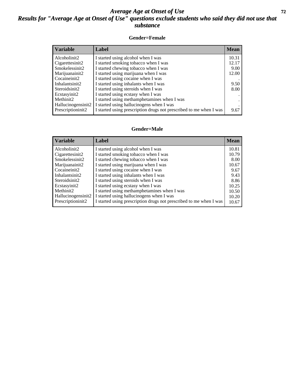### *Average Age at Onset of Use* **72** *Results for "Average Age at Onset of Use" questions exclude students who said they did not use that substance*

#### **Gender=Female**

| <b>Variable</b>                 | Label                                                              | <b>Mean</b> |
|---------------------------------|--------------------------------------------------------------------|-------------|
| Alcoholinit2                    | I started using alcohol when I was                                 | 10.31       |
| Cigarettesinit2                 | I started smoking tobacco when I was                               | 12.17       |
| Smokelessinit2                  | I started chewing tobacco when I was                               | 9.00        |
| Marijuanainit2                  | I started using marijuana when I was                               | 12.00       |
| Cocaineinit2                    | I started using cocaine when I was                                 |             |
| Inhalantsinit2                  | I started using inhalants when I was                               | 9.50        |
| Steroidsinit2                   | I started using steroids when I was                                | 8.00        |
| Ecstasyinit2                    | I started using ecstasy when I was                                 |             |
| Methinit2                       | I started using methamphetamines when I was                        |             |
| Hallucinogensinit2              | I started using hallucinogens when I was                           |             |
| Prescription in it <sub>2</sub> | I started using prescription drugs not prescribed to me when I was | 9.67        |

#### **Gender=Male**

| <b>Variable</b>    | Label                                                              | <b>Mean</b> |
|--------------------|--------------------------------------------------------------------|-------------|
| Alcoholinit2       | I started using alcohol when I was                                 | 10.81       |
| Cigarettesinit2    | I started smoking tobacco when I was                               | 10.79       |
| Smokelessinit2     | I started chewing tobacco when I was                               | 8.00        |
| Marijuanainit2     | I started using marijuana when I was                               | 10.67       |
| Cocaineinit2       | I started using cocaine when I was                                 | 9.67        |
| Inhalantsinit2     | I started using inhalants when I was                               | 9.43        |
| Steroidsinit2      | I started using steroids when I was                                | 8.86        |
| Ecstasyinit2       | I started using ecstasy when I was                                 | 10.25       |
| Methinit2          | I started using methamphetamines when I was                        | 10.50       |
| Hallucinogensinit2 | I started using hallucinogens when I was                           | 10.20       |
| Prescriptioninit2  | I started using prescription drugs not prescribed to me when I was | 10.67       |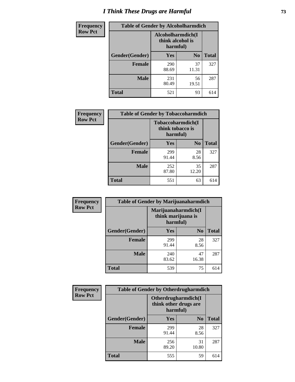# *I Think These Drugs are Harmful* **73**

| <b>Frequency</b> | <b>Table of Gender by Alcoholharmdich</b> |                                                   |                |              |
|------------------|-------------------------------------------|---------------------------------------------------|----------------|--------------|
| <b>Row Pct</b>   |                                           | Alcoholharmdich(I<br>think alcohol is<br>harmful) |                |              |
|                  | Gender(Gender)                            | Yes                                               | N <sub>0</sub> | <b>Total</b> |
|                  | <b>Female</b>                             | 290<br>88.69                                      | 37<br>11.31    | 327          |
|                  | <b>Male</b>                               | 231<br>80.49                                      | 56<br>19.51    | 287          |
|                  | Total                                     | 521                                               | 93             | 614          |

| Frequency      | <b>Table of Gender by Tobaccoharmdich</b> |                                                   |                |              |
|----------------|-------------------------------------------|---------------------------------------------------|----------------|--------------|
| <b>Row Pct</b> |                                           | Tobaccoharmdich(I<br>think tobacco is<br>harmful) |                |              |
|                | Gender(Gender)                            | <b>Yes</b>                                        | N <sub>0</sub> | <b>Total</b> |
|                | <b>Female</b>                             | 299<br>91.44                                      | 28<br>8.56     | 327          |
|                | <b>Male</b>                               | 252<br>87.80                                      | 35<br>12.20    | 287          |
|                | <b>Total</b>                              | 551                                               | 63             | 614          |

| Frequency      | <b>Table of Gender by Marijuanaharmdich</b> |                                                       |                |              |
|----------------|---------------------------------------------|-------------------------------------------------------|----------------|--------------|
| <b>Row Pct</b> |                                             | Marijuanaharmdich(I<br>think marijuana is<br>harmful) |                |              |
|                | Gender(Gender)                              | <b>Yes</b>                                            | N <sub>0</sub> | <b>Total</b> |
|                | <b>Female</b>                               | 299<br>91.44                                          | 28<br>8.56     | 327          |
|                | <b>Male</b>                                 | 240<br>83.62                                          | 47<br>16.38    | 287          |
|                | <b>Total</b>                                | 539                                                   | 75             | 614          |

| Frequency      | <b>Table of Gender by Otherdrugharmdich</b> |                                                          |                |              |
|----------------|---------------------------------------------|----------------------------------------------------------|----------------|--------------|
| <b>Row Pct</b> |                                             | Otherdrugharmdich(I<br>think other drugs are<br>harmful) |                |              |
|                | Gender(Gender)                              | <b>Yes</b>                                               | N <sub>0</sub> | <b>Total</b> |
|                | <b>Female</b>                               | 299<br>91.44                                             | 28<br>8.56     | 327          |
|                | <b>Male</b>                                 | 256<br>89.20                                             | 31<br>10.80    | 287          |
|                | <b>Total</b>                                | 555                                                      | 59             | 614          |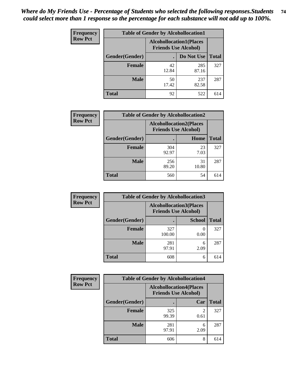| <b>Frequency</b> | <b>Table of Gender by Alcohollocation1</b> |                                                               |              |              |
|------------------|--------------------------------------------|---------------------------------------------------------------|--------------|--------------|
| <b>Row Pct</b>   |                                            | <b>Alcohollocation1(Places</b><br><b>Friends Use Alcohol)</b> |              |              |
|                  | Gender(Gender)                             |                                                               | Do Not Use   | <b>Total</b> |
|                  | <b>Female</b>                              | 42<br>12.84                                                   | 285<br>87.16 | 327          |
|                  | <b>Male</b>                                | 50<br>17.42                                                   | 237<br>82.58 | 287          |
|                  | Total                                      | 92                                                            | 522          | 614          |

| <b>Frequency</b> |                        | <b>Table of Gender by Alcohollocation2</b>                    |             |              |
|------------------|------------------------|---------------------------------------------------------------|-------------|--------------|
| <b>Row Pct</b>   |                        | <b>Alcohollocation2(Places</b><br><b>Friends Use Alcohol)</b> |             |              |
|                  | <b>Gender</b> (Gender) |                                                               | Home        | <b>Total</b> |
|                  | <b>Female</b>          | 304<br>92.97                                                  | 23<br>7.03  | 327          |
|                  | <b>Male</b>            | 256<br>89.20                                                  | 31<br>10.80 | 287          |
|                  | <b>Total</b>           | 560                                                           | 54          | 614          |

| Frequency      | <b>Table of Gender by Alcohollocation3</b> |                                                               |               |              |
|----------------|--------------------------------------------|---------------------------------------------------------------|---------------|--------------|
| <b>Row Pct</b> |                                            | <b>Alcohollocation3(Places</b><br><b>Friends Use Alcohol)</b> |               |              |
|                | Gender(Gender)                             |                                                               | <b>School</b> | <b>Total</b> |
|                | <b>Female</b>                              | 327<br>100.00                                                 | 0.00          | 327          |
|                | <b>Male</b>                                | 281<br>97.91                                                  | 6<br>2.09     | 287          |
|                | <b>Total</b>                               | 608                                                           | 6             | 614          |

| Frequency      | <b>Table of Gender by Alcohollocation4</b> |                                                               |           |              |
|----------------|--------------------------------------------|---------------------------------------------------------------|-----------|--------------|
| <b>Row Pct</b> |                                            | <b>Alcohollocation4(Places</b><br><b>Friends Use Alcohol)</b> |           |              |
|                | Gender(Gender)                             |                                                               | Car       | <b>Total</b> |
|                | <b>Female</b>                              | 325<br>99.39                                                  | 0.61      | 327          |
|                | <b>Male</b>                                | 281<br>97.91                                                  | 6<br>2.09 | 287          |
|                | <b>Total</b>                               | 606                                                           | 8         | 614          |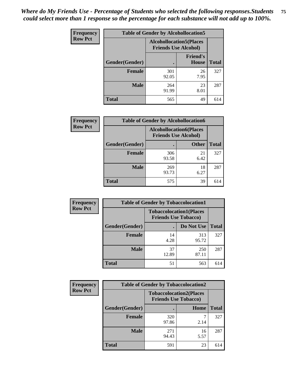| <b>Frequency</b> | <b>Table of Gender by Alcohollocation5</b> |                                                               |                                 |              |
|------------------|--------------------------------------------|---------------------------------------------------------------|---------------------------------|--------------|
| <b>Row Pct</b>   |                                            | <b>Alcohollocation5(Places</b><br><b>Friends Use Alcohol)</b> |                                 |              |
|                  | Gender(Gender)                             |                                                               | <b>Friend's</b><br><b>House</b> | <b>Total</b> |
|                  | <b>Female</b>                              | 301<br>92.05                                                  | 26<br>7.95                      | 327          |
|                  | <b>Male</b>                                | 264<br>91.99                                                  | 23<br>8.01                      | 287          |
|                  | <b>Total</b>                               | 565                                                           | 49                              | 614          |

| Frequency      | <b>Table of Gender by Alcohollocation6</b> |                                                               |              |              |
|----------------|--------------------------------------------|---------------------------------------------------------------|--------------|--------------|
| <b>Row Pct</b> |                                            | <b>Alcohollocation6(Places</b><br><b>Friends Use Alcohol)</b> |              |              |
|                | <b>Gender</b> (Gender)                     |                                                               | <b>Other</b> | <b>Total</b> |
|                | <b>Female</b>                              | 306<br>93.58                                                  | 21<br>6.42   | 327          |
|                | <b>Male</b>                                | 269<br>93.73                                                  | 18<br>6.27   | 287          |
|                | <b>Total</b>                               | 575                                                           | 39           | 614          |

| Frequency      | <b>Table of Gender by Tobaccolocation1</b> |                                                               |              |              |  |
|----------------|--------------------------------------------|---------------------------------------------------------------|--------------|--------------|--|
| <b>Row Pct</b> |                                            | <b>Tobaccolocation1(Places</b><br><b>Friends Use Tobacco)</b> |              |              |  |
|                | Gender(Gender)                             |                                                               | Do Not Use   | <b>Total</b> |  |
|                | Female                                     | 14<br>4.28                                                    | 313<br>95.72 | 327          |  |
|                | <b>Male</b>                                | 37<br>12.89                                                   | 250<br>87.11 | 287          |  |
|                | <b>Total</b>                               | 51                                                            | 563          | 614          |  |

| <b>Frequency</b> | <b>Table of Gender by Tobaccolocation2</b> |                                                               |            |              |
|------------------|--------------------------------------------|---------------------------------------------------------------|------------|--------------|
| <b>Row Pct</b>   |                                            | <b>Tobaccolocation2(Places</b><br><b>Friends Use Tobacco)</b> |            |              |
|                  | Gender(Gender)                             |                                                               | Home       | <b>Total</b> |
|                  | Female                                     | 320<br>97.86                                                  | 2.14       | 327          |
|                  | <b>Male</b>                                | 271<br>94.43                                                  | 16<br>5.57 | 287          |
|                  | <b>Total</b>                               | 591                                                           | 23         | 614          |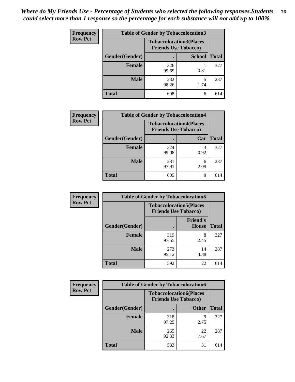| <b>Frequency</b> | <b>Table of Gender by Tobaccolocation3</b> |                             |                                |              |
|------------------|--------------------------------------------|-----------------------------|--------------------------------|--------------|
| <b>Row Pct</b>   |                                            | <b>Friends Use Tobacco)</b> | <b>Tobaccolocation3(Places</b> |              |
|                  | Gender(Gender)                             |                             | <b>School</b>                  | <b>Total</b> |
|                  | <b>Female</b>                              | 326<br>99.69                | 0.31                           | 327          |
|                  | <b>Male</b>                                | 282<br>98.26                | 1.74                           | 287          |
|                  | <b>Total</b>                               | 608                         | 6                              | 614          |

| <b>Frequency</b> | <b>Table of Gender by Tobaccolocation4</b> |              |                                                               |              |
|------------------|--------------------------------------------|--------------|---------------------------------------------------------------|--------------|
| <b>Row Pct</b>   |                                            |              | <b>Tobaccolocation4(Places</b><br><b>Friends Use Tobacco)</b> |              |
|                  | Gender(Gender)                             |              | Car                                                           | <b>Total</b> |
|                  | <b>Female</b>                              | 324<br>99.08 | 0.92                                                          | 327          |
|                  | <b>Male</b>                                | 281<br>97.91 | 6<br>2.09                                                     | 287          |
|                  | <b>Total</b>                               | 605          | 9                                                             | 614          |

| <b>Frequency</b> | <b>Table of Gender by Tobaccolocation5</b> |                             |                                 |              |
|------------------|--------------------------------------------|-----------------------------|---------------------------------|--------------|
| <b>Row Pct</b>   |                                            | <b>Friends Use Tobacco)</b> | <b>Tobaccolocation5(Places</b>  |              |
|                  | Gender(Gender)                             |                             | <b>Friend's</b><br><b>House</b> | <b>Total</b> |
|                  | <b>Female</b>                              | 319<br>97.55                | 8<br>2.45                       | 327          |
|                  | <b>Male</b>                                | 273<br>95.12                | 14<br>4.88                      | 287          |
|                  | <b>Total</b>                               | 592                         | 22                              | 614          |

| <b>Frequency</b> |                | <b>Table of Gender by Tobaccolocation6</b>                    |              |              |  |  |
|------------------|----------------|---------------------------------------------------------------|--------------|--------------|--|--|
| <b>Row Pct</b>   |                | <b>Tobaccolocation6(Places</b><br><b>Friends Use Tobacco)</b> |              |              |  |  |
|                  | Gender(Gender) |                                                               | <b>Other</b> | <b>Total</b> |  |  |
|                  | Female         | 318<br>97.25                                                  | q<br>2.75    | 327          |  |  |
|                  | <b>Male</b>    | 265<br>92.33                                                  | 22<br>7.67   | 287          |  |  |
|                  | <b>Total</b>   | 583                                                           | 31           | 614          |  |  |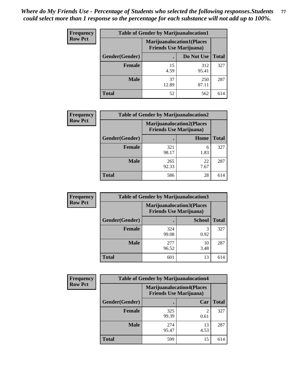| <b>Frequency</b> | <b>Table of Gender by Marijuanalocation1</b> |                                                                    |              |              |  |
|------------------|----------------------------------------------|--------------------------------------------------------------------|--------------|--------------|--|
| <b>Row Pct</b>   |                                              | <b>Marijuanalocation1(Places</b><br><b>Friends Use Marijuana</b> ) |              |              |  |
|                  | Gender(Gender)                               |                                                                    | Do Not Use   | <b>Total</b> |  |
|                  | <b>Female</b>                                | 15<br>4.59                                                         | 312<br>95.41 | 327          |  |
|                  | <b>Male</b>                                  | 37<br>12.89                                                        | 250<br>87.11 | 287          |  |
|                  | Total                                        | 52                                                                 | 562          | 614          |  |

| <b>Frequency</b> | <b>Table of Gender by Marijuanalocation2</b> |                                |                                  |              |
|------------------|----------------------------------------------|--------------------------------|----------------------------------|--------------|
| <b>Row Pct</b>   |                                              | <b>Friends Use Marijuana</b> ) | <b>Marijuanalocation2(Places</b> |              |
|                  | <b>Gender</b> (Gender)                       |                                | Home                             | <b>Total</b> |
|                  | <b>Female</b>                                | 321<br>98.17                   | 6<br>1.83                        | 327          |
|                  | <b>Male</b>                                  | 265<br>92.33                   | 22<br>7.67                       | 287          |
|                  | <b>Total</b>                                 | 586                            | 28                               | 614          |

| Frequency      | <b>Table of Gender by Marijuanalocation3</b> |                                                                    |               |              |
|----------------|----------------------------------------------|--------------------------------------------------------------------|---------------|--------------|
| <b>Row Pct</b> |                                              | <b>Marijuanalocation3(Places</b><br><b>Friends Use Marijuana</b> ) |               |              |
|                | Gender(Gender)                               |                                                                    | <b>School</b> | <b>Total</b> |
|                | Female                                       | 324<br>99.08                                                       | 0.92          | 327          |
|                | <b>Male</b>                                  | 277<br>96.52                                                       | 10<br>3.48    | 287          |
|                | <b>Total</b>                                 | 601                                                                | 13            | 614          |

| Frequency      | <b>Table of Gender by Marijuanalocation4</b> |                                |                                  |              |  |
|----------------|----------------------------------------------|--------------------------------|----------------------------------|--------------|--|
| <b>Row Pct</b> |                                              | <b>Friends Use Marijuana</b> ) | <b>Marijuanalocation4(Places</b> |              |  |
|                | Gender(Gender)                               |                                | Car                              | <b>Total</b> |  |
|                | <b>Female</b>                                | 325<br>99.39                   | 0.61                             | 327          |  |
|                | <b>Male</b>                                  | 274<br>95.47                   | 13<br>4.53                       | 287          |  |
|                | <b>Total</b>                                 | 599                            | 15                               | 614          |  |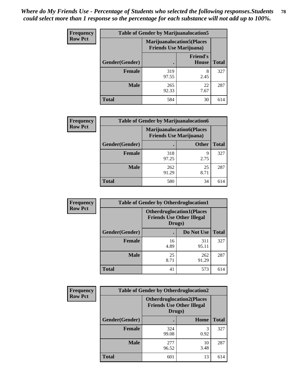| <b>Frequency</b> |                | <b>Table of Gender by Marijuanalocation5</b>                        |                          |              |
|------------------|----------------|---------------------------------------------------------------------|--------------------------|--------------|
| <b>Row Pct</b>   |                | <b>Marijuanalocation5</b> (Places<br><b>Friends Use Marijuana</b> ) |                          |              |
|                  | Gender(Gender) |                                                                     | <b>Friend's</b><br>House | <b>Total</b> |
|                  | <b>Female</b>  | 319<br>97.55                                                        | 8<br>2.45                | 327          |
|                  | <b>Male</b>    | 265<br>92.33                                                        | 22<br>7.67               | 287          |
|                  | <b>Total</b>   | 584                                                                 | 30                       | 614          |

| <b>Frequency</b> | <b>Table of Gender by Marijuanalocation6</b> |                                |                                  |              |
|------------------|----------------------------------------------|--------------------------------|----------------------------------|--------------|
| <b>Row Pct</b>   |                                              | <b>Friends Use Marijuana</b> ) | <b>Marijuanalocation6(Places</b> |              |
|                  | Gender(Gender)                               |                                | <b>Other</b>                     | <b>Total</b> |
|                  | <b>Female</b>                                | 318<br>97.25                   | 9<br>2.75                        | 327          |
|                  | <b>Male</b>                                  | 262<br>91.29                   | 25<br>8.71                       | 287          |
|                  | <b>Total</b>                                 | 580                            | 34                               | 614          |

| <b>Frequency</b> | <b>Table of Gender by Otherdruglocation1</b> |                                                                                |              |              |
|------------------|----------------------------------------------|--------------------------------------------------------------------------------|--------------|--------------|
| <b>Row Pct</b>   |                                              | <b>Otherdruglocation1(Places</b><br><b>Friends Use Other Illegal</b><br>Drugs) |              |              |
|                  | <b>Gender</b> (Gender)                       |                                                                                | Do Not Use   | <b>Total</b> |
|                  | <b>Female</b>                                | 16<br>4.89                                                                     | 311<br>95.11 | 327          |
|                  | <b>Male</b>                                  | 25<br>8.71                                                                     | 262<br>91.29 | 287          |
|                  | <b>Total</b>                                 | 41                                                                             | 573          | 614          |

| Frequency      | <b>Table of Gender by Otherdruglocation2</b> |                                                                                |            |              |
|----------------|----------------------------------------------|--------------------------------------------------------------------------------|------------|--------------|
| <b>Row Pct</b> |                                              | <b>Otherdruglocation2(Places</b><br><b>Friends Use Other Illegal</b><br>Drugs) |            |              |
|                | Gender(Gender)                               |                                                                                | Home       | <b>Total</b> |
|                | <b>Female</b>                                | 324<br>99.08                                                                   | 3<br>0.92  | 327          |
|                | <b>Male</b>                                  | 277<br>96.52                                                                   | 10<br>3.48 | 287          |
|                | <b>Total</b>                                 | 601                                                                            | 13         | 614          |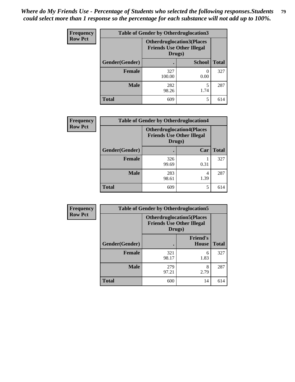| Frequency      | <b>Table of Gender by Otherdruglocation3</b> |                                                                                |               |              |
|----------------|----------------------------------------------|--------------------------------------------------------------------------------|---------------|--------------|
| <b>Row Pct</b> |                                              | <b>Otherdruglocation3(Places</b><br><b>Friends Use Other Illegal</b><br>Drugs) |               |              |
|                | Gender(Gender)                               |                                                                                | <b>School</b> | <b>Total</b> |
|                | <b>Female</b>                                | 327<br>100.00                                                                  | 0.00          | 327          |
|                | <b>Male</b>                                  | 282<br>98.26                                                                   | 1.74          | 287          |
|                | <b>Total</b>                                 | 609                                                                            | 5             | 614          |

| Frequency      | <b>Table of Gender by Otherdruglocation4</b> |                                                                                |           |              |
|----------------|----------------------------------------------|--------------------------------------------------------------------------------|-----------|--------------|
| <b>Row Pct</b> |                                              | <b>Otherdruglocation4(Places</b><br><b>Friends Use Other Illegal</b><br>Drugs) |           |              |
|                | Gender(Gender)                               |                                                                                | Car       | <b>Total</b> |
|                | Female                                       | 326<br>99.69                                                                   | 0.31      | 327          |
|                | <b>Male</b>                                  | 283<br>98.61                                                                   | 4<br>1.39 | 287          |
|                | <b>Total</b>                                 | 609                                                                            | 5         | 614          |

| Frequency      | <b>Table of Gender by Otherdruglocation5</b> |                                                                                |                                 |              |
|----------------|----------------------------------------------|--------------------------------------------------------------------------------|---------------------------------|--------------|
| <b>Row Pct</b> |                                              | <b>Otherdruglocation5(Places</b><br><b>Friends Use Other Illegal</b><br>Drugs) |                                 |              |
|                | Gender(Gender)                               |                                                                                | <b>Friend's</b><br><b>House</b> | <b>Total</b> |
|                | <b>Female</b>                                | 321<br>98.17                                                                   | 6<br>1.83                       | 327          |
|                | <b>Male</b>                                  | 279<br>97.21                                                                   | 8<br>2.79                       | 287          |
|                | <b>Total</b>                                 | 600                                                                            | 14                              | 614          |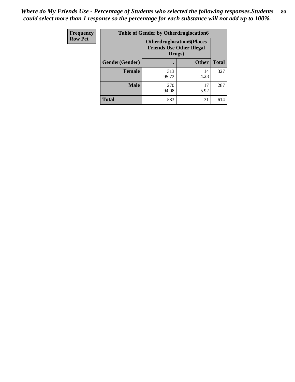| <b>Frequency</b> | <b>Table of Gender by Otherdruglocation6</b> |                                            |                                  |              |
|------------------|----------------------------------------------|--------------------------------------------|----------------------------------|--------------|
| <b>Row Pct</b>   |                                              | <b>Friends Use Other Illegal</b><br>Drugs) | <b>Otherdruglocation6(Places</b> |              |
|                  | Gender(Gender)                               |                                            | <b>Other</b>                     | <b>Total</b> |
|                  | <b>Female</b>                                | 313<br>95.72                               | 14<br>4.28                       | 327          |
|                  | <b>Male</b>                                  | 270<br>94.08                               | 17<br>5.92                       | 287          |
|                  | <b>Total</b>                                 | 583                                        | 31                               | 614          |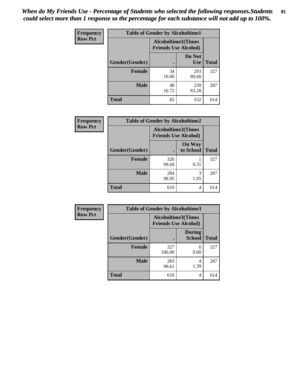| <b>Frequency</b> | <b>Table of Gender by Alcoholtime1</b> |                                                          |                      |              |
|------------------|----------------------------------------|----------------------------------------------------------|----------------------|--------------|
| <b>Row Pct</b>   |                                        | <b>Alcoholtime1(Times</b><br><b>Friends Use Alcohol)</b> |                      |              |
|                  | <b>Gender</b> (Gender)                 |                                                          | Do Not<br><b>Use</b> | <b>Total</b> |
|                  | <b>Female</b>                          | 34<br>10.40                                              | 293<br>89.60         | 327          |
|                  | <b>Male</b>                            | 48<br>16.72                                              | 239<br>83.28         | 287          |
|                  | <b>Total</b>                           | 82                                                       | 532                  | 614          |

| Frequency      | <b>Table of Gender by Alcoholtime2</b> |                                                          |                            |              |
|----------------|----------------------------------------|----------------------------------------------------------|----------------------------|--------------|
| <b>Row Pct</b> |                                        | <b>Alcoholtime2(Times</b><br><b>Friends Use Alcohol)</b> |                            |              |
|                | Gender(Gender)                         |                                                          | <b>On Way</b><br>to School | <b>Total</b> |
|                | <b>Female</b>                          | 326<br>99.69                                             | 0.31                       | 327          |
|                | <b>Male</b>                            | 284<br>98.95                                             | 3<br>1.05                  | 287          |
|                | <b>Total</b>                           | 610                                                      | 4                          | 614          |

| Frequency      | <b>Table of Gender by Alcoholtime3</b> |                                                          |                                |              |
|----------------|----------------------------------------|----------------------------------------------------------|--------------------------------|--------------|
| <b>Row Pct</b> |                                        | <b>Alcoholtime3(Times</b><br><b>Friends Use Alcohol)</b> |                                |              |
|                | Gender(Gender)                         |                                                          | <b>During</b><br><b>School</b> | <b>Total</b> |
|                | Female                                 | 327<br>100.00                                            | 0<br>0.00                      | 327          |
|                | <b>Male</b>                            | 283<br>98.61                                             | 4<br>1.39                      | 287          |
|                | <b>Total</b>                           | 610                                                      | 4                              | 614          |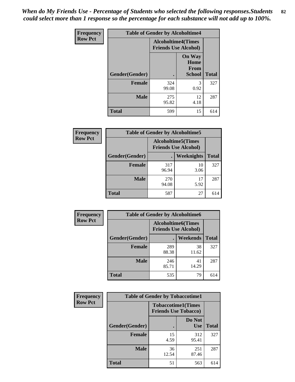*When do My Friends Use - Percentage of Students who selected the following responses.Students could select more than 1 response so the percentage for each substance will not add up to 100%.* **82**

| <b>Frequency</b> | <b>Table of Gender by Alcoholtime4</b> |                                                          |                                                |              |
|------------------|----------------------------------------|----------------------------------------------------------|------------------------------------------------|--------------|
| <b>Row Pct</b>   |                                        | <b>Alcoholtime4(Times</b><br><b>Friends Use Alcohol)</b> |                                                |              |
|                  | Gender(Gender)                         |                                                          | <b>On Way</b><br>Home<br>From<br><b>School</b> | <b>Total</b> |
|                  | <b>Female</b>                          | 324<br>99.08                                             | 3<br>0.92                                      | 327          |
|                  | <b>Male</b>                            | 275<br>95.82                                             | 12<br>4.18                                     | 287          |
|                  | <b>Total</b>                           | 599                                                      | 15                                             | 614          |

| <b>Frequency</b> | <b>Table of Gender by Alcoholtime5</b> |                                                           |            |              |
|------------------|----------------------------------------|-----------------------------------------------------------|------------|--------------|
| <b>Row Pct</b>   |                                        | <b>Alcoholtime5</b> (Times<br><b>Friends Use Alcohol)</b> |            |              |
|                  | Gender(Gender)                         |                                                           | Weeknights | <b>Total</b> |
|                  | <b>Female</b>                          | 317<br>96.94                                              | 10<br>3.06 | 327          |
|                  | <b>Male</b>                            | 270<br>94.08                                              | 17<br>5.92 | 287          |
|                  | <b>Total</b>                           | 587                                                       | 27         | 614          |

| <b>Frequency</b> | <b>Table of Gender by Alcoholtime6</b> |                                                          |             |              |
|------------------|----------------------------------------|----------------------------------------------------------|-------------|--------------|
| <b>Row Pct</b>   |                                        | <b>Alcoholtime6(Times</b><br><b>Friends Use Alcohol)</b> |             |              |
|                  | Gender(Gender)                         |                                                          | Weekends    | <b>Total</b> |
|                  | Female                                 | 289<br>88.38                                             | 38<br>11.62 | 327          |
|                  | <b>Male</b>                            | 246<br>85.71                                             | 41<br>14.29 | 287          |
|                  | <b>Total</b>                           | 535                                                      | 79          | 614          |

| Frequency      | <b>Table of Gender by Tobaccotime1</b> |                                                          |                      |              |
|----------------|----------------------------------------|----------------------------------------------------------|----------------------|--------------|
| <b>Row Pct</b> |                                        | <b>Tobaccotime1(Times</b><br><b>Friends Use Tobacco)</b> |                      |              |
|                | Gender(Gender)                         |                                                          | Do Not<br><b>Use</b> | <b>Total</b> |
|                | <b>Female</b>                          | 15<br>4.59                                               | 312<br>95.41         | 327          |
|                | <b>Male</b>                            | 36<br>12.54                                              | 251<br>87.46         | 287          |
|                | <b>Total</b>                           | 51                                                       | 563                  | 614          |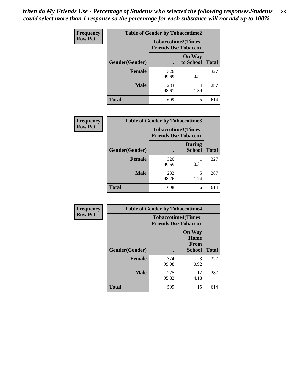| <b>Frequency</b> | <b>Table of Gender by Tobaccotime2</b> |                                                          |                            |              |
|------------------|----------------------------------------|----------------------------------------------------------|----------------------------|--------------|
| <b>Row Pct</b>   |                                        | <b>Tobaccotime2(Times</b><br><b>Friends Use Tobacco)</b> |                            |              |
|                  | Gender(Gender)                         | $\bullet$                                                | <b>On Way</b><br>to School | <b>Total</b> |
|                  | <b>Female</b>                          | 326<br>99.69                                             | 0.31                       | 327          |
|                  | <b>Male</b>                            | 283<br>98.61                                             | 4<br>1.39                  | 287          |
|                  | <b>Total</b>                           | 609                                                      | 5                          | 614          |

| Frequency      | <b>Table of Gender by Tobaccotime3</b> |                                                          |                                |              |
|----------------|----------------------------------------|----------------------------------------------------------|--------------------------------|--------------|
| <b>Row Pct</b> |                                        | <b>Tobaccotime3(Times</b><br><b>Friends Use Tobacco)</b> |                                |              |
|                | Gender(Gender)                         |                                                          | <b>During</b><br><b>School</b> | <b>Total</b> |
|                | Female                                 | 326<br>99.69                                             | 0.31                           | 327          |
|                | <b>Male</b>                            | 282<br>98.26                                             | 5<br>1.74                      | 287          |
|                | <b>Total</b>                           | 608                                                      | 6                              | 614          |

| <b>Frequency</b> | <b>Table of Gender by Tobaccotime4</b> |                                                          |                                                |              |
|------------------|----------------------------------------|----------------------------------------------------------|------------------------------------------------|--------------|
| <b>Row Pct</b>   |                                        | <b>Tobaccotime4(Times</b><br><b>Friends Use Tobacco)</b> |                                                |              |
|                  | Gender(Gender)                         |                                                          | <b>On Way</b><br>Home<br><b>From</b><br>School | <b>Total</b> |
|                  | <b>Female</b>                          | 324<br>99.08                                             | 3<br>0.92                                      | 327          |
|                  | <b>Male</b>                            | 275<br>95.82                                             | 12<br>4.18                                     | 287          |
|                  | <b>Total</b>                           | 599                                                      | 15                                             | 614          |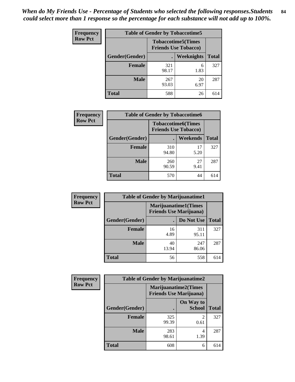| <b>Frequency</b> | <b>Table of Gender by Tobaccotime5</b> |                                                          |            |              |  |
|------------------|----------------------------------------|----------------------------------------------------------|------------|--------------|--|
| <b>Row Pct</b>   |                                        | <b>Tobaccotime5(Times</b><br><b>Friends Use Tobacco)</b> |            |              |  |
|                  | <b>Gender</b> (Gender)                 |                                                          | Weeknights | <b>Total</b> |  |
|                  | <b>Female</b>                          | 321<br>98.17                                             | 6<br>1.83  | 327          |  |
|                  | <b>Male</b>                            | 267<br>93.03                                             | 20<br>6.97 | 287          |  |
|                  | Total                                  | 588                                                      | 26         | 614          |  |

| <b>Frequency</b> | <b>Table of Gender by Tobaccotime6</b> |                                                          |            |              |
|------------------|----------------------------------------|----------------------------------------------------------|------------|--------------|
| <b>Row Pct</b>   |                                        | <b>Tobaccotime6(Times</b><br><b>Friends Use Tobacco)</b> |            |              |
|                  | Gender(Gender)                         |                                                          | Weekends   | <b>Total</b> |
|                  | Female                                 | 310<br>94.80                                             | 17<br>5.20 | 327          |
|                  | <b>Male</b>                            | 260<br>90.59                                             | 27<br>9.41 | 287          |
|                  | <b>Total</b>                           | 570                                                      | 44         | 614          |

| Frequency      | <b>Table of Gender by Marijuanatime1</b> |                                |                             |              |
|----------------|------------------------------------------|--------------------------------|-----------------------------|--------------|
| <b>Row Pct</b> |                                          | <b>Friends Use Marijuana</b> ) | <b>Marijuanatime1(Times</b> |              |
|                | Gender(Gender)                           |                                | Do Not Use                  | <b>Total</b> |
|                | <b>Female</b>                            | 16<br>4.89                     | 311<br>95.11                | 327          |
|                | <b>Male</b>                              | 40<br>13.94                    | 247<br>86.06                | 287          |
|                | <b>Total</b>                             | 56                             | 558                         | 614          |

| <b>Frequency</b> | <b>Table of Gender by Marijuanatime2</b> |                                                               |                            |              |
|------------------|------------------------------------------|---------------------------------------------------------------|----------------------------|--------------|
| <b>Row Pct</b>   |                                          | <b>Marijuanatime2(Times</b><br><b>Friends Use Marijuana</b> ) |                            |              |
|                  | Gender(Gender)                           |                                                               | On Way to<br><b>School</b> | <b>Total</b> |
|                  | Female                                   | 325<br>99.39                                                  | $\mathfrak{D}$<br>0.61     | 327          |
|                  | <b>Male</b>                              | 283<br>98.61                                                  | 4<br>1.39                  | 287          |
|                  | <b>Total</b>                             | 608                                                           | 6                          | 614          |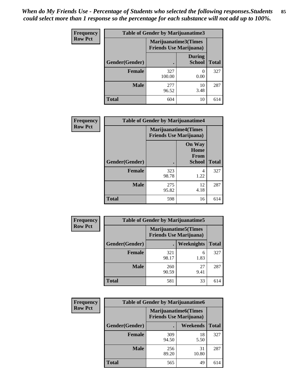*When do My Friends Use - Percentage of Students who selected the following responses.Students could select more than 1 response so the percentage for each substance will not add up to 100%.* **85**

| <b>Frequency</b> | <b>Table of Gender by Marijuanatime3</b> |                                                        |                                |              |
|------------------|------------------------------------------|--------------------------------------------------------|--------------------------------|--------------|
| <b>Row Pct</b>   |                                          | Marijuanatime3(Times<br><b>Friends Use Marijuana</b> ) |                                |              |
|                  | Gender(Gender)                           |                                                        | <b>During</b><br><b>School</b> | <b>Total</b> |
|                  | <b>Female</b>                            | 327<br>100.00                                          | $\theta$<br>0.00               | 327          |
|                  | <b>Male</b>                              | 277<br>96.52                                           | 10<br>3.48                     | 287          |
|                  | <b>Total</b>                             | 604                                                    | 10                             | 614          |

| Frequency      | <b>Table of Gender by Marijuanatime4</b> |                                                               |                                                |              |
|----------------|------------------------------------------|---------------------------------------------------------------|------------------------------------------------|--------------|
| <b>Row Pct</b> |                                          | <b>Marijuanatime4(Times</b><br><b>Friends Use Marijuana</b> ) |                                                |              |
|                | Gender(Gender)                           |                                                               | <b>On Way</b><br>Home<br>From<br><b>School</b> | <b>Total</b> |
|                | <b>Female</b>                            | 323<br>98.78                                                  | 4<br>1.22                                      | 327          |
|                | <b>Male</b>                              | 275<br>95.82                                                  | 12<br>4.18                                     | 287          |
|                | <b>Total</b>                             | 598                                                           | 16                                             | 614          |

| Frequency      |                | <b>Table of Gender by Marijuanatime5</b> |                                                                |              |  |
|----------------|----------------|------------------------------------------|----------------------------------------------------------------|--------------|--|
| <b>Row Pct</b> |                |                                          | <b>Marijuanatime5</b> (Times<br><b>Friends Use Marijuana</b> ) |              |  |
|                | Gender(Gender) | ٠                                        | Weeknights                                                     | <b>Total</b> |  |
|                | <b>Female</b>  | 321<br>98.17                             | 6<br>1.83                                                      | 327          |  |
|                | <b>Male</b>    | 260<br>90.59                             | 27<br>9.41                                                     | 287          |  |
|                | <b>Total</b>   | 581                                      | 33                                                             | 614          |  |

| <b>Frequency</b> | <b>Table of Gender by Marijuanatime6</b> |                                |                             |              |  |
|------------------|------------------------------------------|--------------------------------|-----------------------------|--------------|--|
| <b>Row Pct</b>   |                                          | <b>Friends Use Marijuana</b> ) | <b>Marijuanatime6(Times</b> |              |  |
|                  | Gender(Gender)                           |                                | <b>Weekends</b>             | <b>Total</b> |  |
|                  | <b>Female</b>                            | 309<br>94.50                   | 18<br>5.50                  | 327          |  |
|                  | <b>Male</b>                              | 256<br>89.20                   | 31<br>10.80                 | 287          |  |
|                  | <b>Total</b>                             | 565                            | 49                          | 614          |  |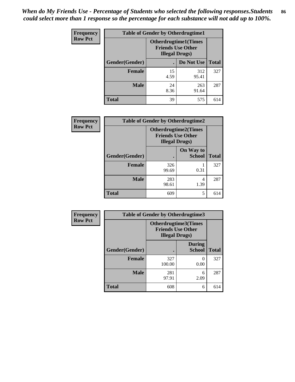| <b>Frequency</b> | <b>Table of Gender by Otherdrugtime1</b> |                                                                                   |              |              |
|------------------|------------------------------------------|-----------------------------------------------------------------------------------|--------------|--------------|
| <b>Row Pct</b>   |                                          | <b>Otherdrugtime1(Times</b><br><b>Friends Use Other</b><br><b>Illegal Drugs</b> ) |              |              |
|                  | Gender(Gender)                           |                                                                                   | Do Not Use   | <b>Total</b> |
|                  | <b>Female</b>                            | 15<br>4.59                                                                        | 312<br>95.41 | 327          |
|                  | <b>Male</b>                              | 24<br>8.36                                                                        | 263<br>91.64 | 287          |
|                  | <b>Total</b>                             | 39                                                                                | 575          | 614          |

| Frequency      | <b>Table of Gender by Otherdrugtime2</b> |                                                                                   |                            |              |
|----------------|------------------------------------------|-----------------------------------------------------------------------------------|----------------------------|--------------|
| <b>Row Pct</b> |                                          | <b>Otherdrugtime2(Times</b><br><b>Friends Use Other</b><br><b>Illegal Drugs</b> ) |                            |              |
|                | <b>Gender</b> (Gender)                   |                                                                                   | On Way to<br><b>School</b> | <b>Total</b> |
|                | <b>Female</b>                            | 326<br>99.69                                                                      | 0.31                       | 327          |
|                | <b>Male</b>                              | 283<br>98.61                                                                      | 4<br>1.39                  | 287          |
|                | <b>Total</b>                             | 609                                                                               | 5                          | 614          |

| Frequency      | <b>Table of Gender by Otherdrugtime3</b> |                        |                                                         |              |
|----------------|------------------------------------------|------------------------|---------------------------------------------------------|--------------|
| <b>Row Pct</b> |                                          | <b>Illegal Drugs</b> ) | <b>Otherdrugtime3(Times</b><br><b>Friends Use Other</b> |              |
|                | Gender(Gender)                           |                        | <b>During</b><br><b>School</b>                          | <b>Total</b> |
|                | <b>Female</b>                            | 327<br>100.00          | $\Omega$<br>0.00                                        | 327          |
|                | <b>Male</b>                              | 281<br>97.91           | 6<br>2.09                                               | 287          |
|                | <b>Total</b>                             | 608                    | 6                                                       | 614          |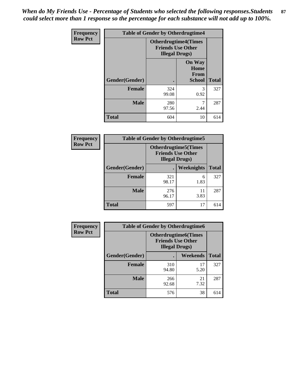*When do My Friends Use - Percentage of Students who selected the following responses.Students could select more than 1 response so the percentage for each substance will not add up to 100%.* **87**

| <b>Frequency</b> | <b>Table of Gender by Otherdrugtime4</b> |                        |                                                         |              |
|------------------|------------------------------------------|------------------------|---------------------------------------------------------|--------------|
| <b>Row Pct</b>   |                                          | <b>Illegal Drugs</b> ) | <b>Otherdrugtime4(Times</b><br><b>Friends Use Other</b> |              |
|                  | Gender(Gender)                           |                        | <b>On Way</b><br>Home<br><b>From</b><br><b>School</b>   | <b>Total</b> |
|                  | <b>Female</b>                            | 324<br>99.08           | 3<br>0.92                                               | 327          |
|                  | <b>Male</b>                              | 280<br>97.56           | 2.44                                                    | 287          |
|                  | <b>Total</b>                             | 604                    | 10                                                      | 614          |

| <b>Frequency</b> | <b>Table of Gender by Otherdrugtime5</b> |                                                                                    |            |              |
|------------------|------------------------------------------|------------------------------------------------------------------------------------|------------|--------------|
| <b>Row Pct</b>   |                                          | <b>Otherdrugtime5</b> (Times<br><b>Friends Use Other</b><br><b>Illegal Drugs</b> ) |            |              |
|                  | Gender(Gender)                           |                                                                                    | Weeknights | <b>Total</b> |
|                  | <b>Female</b>                            | 321<br>98.17                                                                       | 6<br>1.83  | 327          |
|                  | <b>Male</b>                              | 276<br>96.17                                                                       | 11<br>3.83 | 287          |
|                  | Total                                    | 597                                                                                | 17         | 614          |

| <b>Frequency</b> | <b>Table of Gender by Otherdrugtime6</b> |                                                                                   |            |              |  |
|------------------|------------------------------------------|-----------------------------------------------------------------------------------|------------|--------------|--|
| <b>Row Pct</b>   |                                          | <b>Otherdrugtime6(Times</b><br><b>Friends Use Other</b><br><b>Illegal Drugs</b> ) |            |              |  |
|                  | Gender(Gender)                           |                                                                                   | Weekends   | <b>Total</b> |  |
|                  | <b>Female</b>                            | 310<br>94.80                                                                      | 17<br>5.20 | 327          |  |
|                  | <b>Male</b>                              | 266<br>92.68                                                                      | 21<br>7.32 | 287          |  |
|                  | <b>Total</b>                             | 576                                                                               | 38         | 614          |  |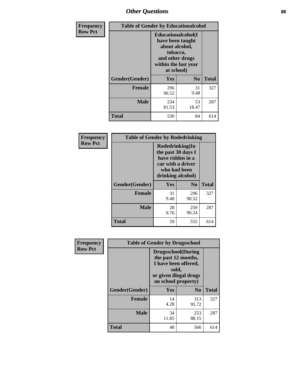## *Other Questions* **88**

| <b>Frequency</b> | <b>Table of Gender by Educationalcohol</b> |                                                                                                                                       |             |              |
|------------------|--------------------------------------------|---------------------------------------------------------------------------------------------------------------------------------------|-------------|--------------|
| <b>Row Pct</b>   |                                            | <b>Educationalcohol</b> (I<br>have been taught<br>about alcohol,<br>tobacco,<br>and other drugs<br>within the last year<br>at school) |             |              |
|                  | Gender(Gender)                             | <b>Yes</b>                                                                                                                            | $\bf No$    | <b>Total</b> |
|                  | <b>Female</b>                              | 296<br>90.52                                                                                                                          | 31<br>9.48  | 327          |
|                  | <b>Male</b>                                | 234<br>81.53                                                                                                                          | 53<br>18.47 | 287          |
|                  | <b>Total</b>                               | 530                                                                                                                                   | 84          | 614          |

| Frequency      | <b>Table of Gender by Rodedrinking</b> |                                                                                                                     |              |              |
|----------------|----------------------------------------|---------------------------------------------------------------------------------------------------------------------|--------------|--------------|
| <b>Row Pct</b> |                                        | Rodedrinking(In<br>the past 30 days I<br>have ridden in a<br>car with a driver<br>who had been<br>drinking alcohol) |              |              |
|                | Gender(Gender)                         | Yes                                                                                                                 | $\bf N_0$    | <b>Total</b> |
|                | <b>Female</b>                          | 31<br>9.48                                                                                                          | 296<br>90.52 | 327          |
|                | <b>Male</b>                            | 28<br>9.76                                                                                                          | 259<br>90.24 | 287          |
|                | <b>Total</b>                           | 59                                                                                                                  | 555          | 614          |

| Frequency      | <b>Table of Gender by Drugsschool</b> |                                                                                                                                     |                |              |
|----------------|---------------------------------------|-------------------------------------------------------------------------------------------------------------------------------------|----------------|--------------|
| <b>Row Pct</b> |                                       | <b>Drugsschool</b> (During<br>the past 12 months,<br>I have been offered,<br>sold,<br>or given illegal drugs<br>on school property) |                |              |
|                | Gender(Gender)                        | Yes                                                                                                                                 | N <sub>0</sub> | <b>Total</b> |
|                | <b>Female</b>                         | 14<br>4.28                                                                                                                          | 313<br>95.72   | 327          |
|                | <b>Male</b>                           | 34<br>11.85                                                                                                                         | 253<br>88.15   | 287          |
|                | <b>Total</b>                          | 48                                                                                                                                  | 566            | 614          |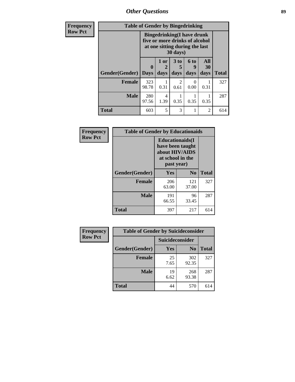*Other Questions* **89**

| <b>Frequency</b> | <b>Table of Gender by Bingedrinking</b> |                             |                                                                                                                   |                              |                          |                   |              |
|------------------|-----------------------------------------|-----------------------------|-------------------------------------------------------------------------------------------------------------------|------------------------------|--------------------------|-------------------|--------------|
| <b>Row Pct</b>   |                                         |                             | <b>Bingedrinking(I have drunk</b><br>five or more drinks of alcohol<br>at one sitting during the last<br>30 days) |                              |                          |                   |              |
|                  | <b>Gender</b> (Gender)                  | $\mathbf{0}$<br><b>Days</b> | 1 or<br>2<br>days                                                                                                 | 3 <sub>to</sub><br>5<br>days | <b>6 to</b><br>9<br>days | All<br>30<br>days | <b>Total</b> |
|                  | Female                                  | 323<br>98.78                | 0.31                                                                                                              | $\mathfrak{D}$<br>0.61       | $\theta$<br>0.00         | 0.31              | 327          |
|                  | <b>Male</b>                             | 280<br>97.56                | 4<br>1.39                                                                                                         | 0.35                         | 0.35                     | 0.35              | 287          |
|                  | <b>Total</b>                            | 603                         | 5                                                                                                                 | 3                            |                          | 2                 | 614          |

| Frequency      | <b>Table of Gender by Educationaids</b> |                                                                                                 |              |              |
|----------------|-----------------------------------------|-------------------------------------------------------------------------------------------------|--------------|--------------|
| <b>Row Pct</b> |                                         | <b>Educationaids</b> (I<br>have been taught<br>about HIV/AIDS<br>at school in the<br>past year) |              |              |
|                | Gender(Gender)                          | Yes                                                                                             | $\bf N_0$    | <b>Total</b> |
|                | <b>Female</b>                           | 206<br>63.00                                                                                    | 121<br>37.00 | 327          |
|                | <b>Male</b>                             | 191<br>66.55                                                                                    | 96<br>33.45  | 287          |
|                | <b>Total</b>                            | 397                                                                                             | 217          | 614          |

| <b>Frequency</b> | <b>Table of Gender by Suicideconsider</b> |                 |                |              |
|------------------|-------------------------------------------|-----------------|----------------|--------------|
| <b>Row Pct</b>   |                                           | Suicideconsider |                |              |
|                  | Gender(Gender)                            | Yes             | N <sub>0</sub> | <b>Total</b> |
|                  | <b>Female</b>                             | 25<br>7.65      | 302<br>92.35   | 327          |
|                  | <b>Male</b>                               | 19<br>6.62      | 268<br>93.38   | 287          |
|                  | <b>Total</b>                              | 44              | 570            | 614          |